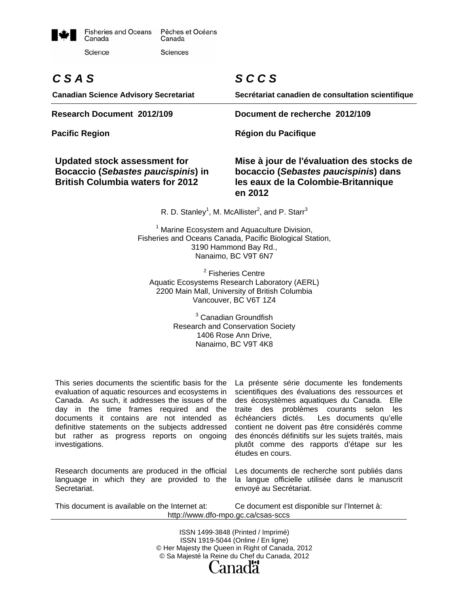

# *C S A S*

**Canadian Science Advisory Secretariat** 

#### **Updated stock assessment for Bocaccio (***Sebastes paucispinis***) in British Columbia waters for 2012**

# *S C C S*

**Secrétariat canadien de consultation scientifique**

**Research Document 2012/109 Document de recherche 2012/109** 

Pacific Region **Région du Pacifique Région du Pacifique** 

**Mise à jour de l'évaluation des stocks de bocaccio (***Sebastes paucispinis***) dans les eaux de la Colombie-Britannique en 2012** 

R. D. Stanley<sup>1</sup>, M. McAllister<sup>2</sup>, and P. Starr<sup>3</sup>

<sup>1</sup> Marine Ecosystem and Aquaculture Division, Fisheries and Oceans Canada, Pacific Biological Station, 3190 Hammond Bay Rd., Nanaimo, BC V9T 6N7

<sup>2</sup> Fisheries Centre Aquatic Ecosystems Research Laboratory (AERL) 2200 Main Mall, University of British Columbia Vancouver, BC V6T 1Z4

> <sup>3</sup> Canadian Groundfish Research and Conservation Society 1406 Rose Ann Drive, Nanaimo, BC V9T 4K8

This series documents the scientific basis for the evaluation of aquatic resources and ecosystems in Canada. As such, it addresses the issues of the day in the time frames required and the documents it contains are not intended as definitive statements on the subjects addressed but rather as progress reports on ongoing investigations.

Research documents are produced in the official language in which they are provided to the Secretariat.

La présente série documente les fondements scientifiques des évaluations des ressources et des écosystèmes aquatiques du Canada. Elle traite des problèmes courants selon les échéanciers dictés. Les documents qu'elle contient ne doivent pas être considérés comme des énoncés définitifs sur les sujets traités, mais plutôt comme des rapports d'étape sur les études en cours.

Les documents de recherche sont publiés dans la langue officielle utilisée dans le manuscrit envoyé au Secrétariat.

This document is available on the Internet at: Ce document est disponible sur l'Internet à: http://www.dfo-mpo.gc.ca/csas-sccs

> ISSN 1499-3848 (Printed / Imprimé) ISSN 1919-5044 (Online / En ligne) © Her Majesty the Queen in Right of Canada, 2012 © Sa Majesté la Reine du Chef du Canada, 2012 anada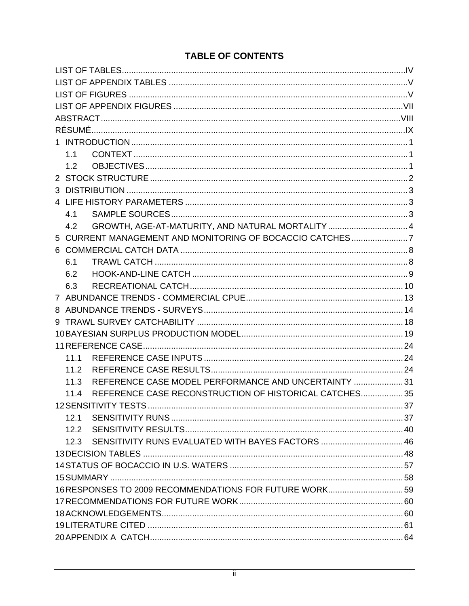## **TABLE OF CONTENTS**

<span id="page-1-0"></span>

| 1.1                                                            |  |
|----------------------------------------------------------------|--|
| 1.2                                                            |  |
|                                                                |  |
|                                                                |  |
|                                                                |  |
| 4.1                                                            |  |
| GROWTH, AGE-AT-MATURITY, AND NATURAL MORTALITY  4<br>4.2       |  |
| 5 CURRENT MANAGEMENT AND MONITORING OF BOCACCIO CATCHES7       |  |
|                                                                |  |
| 6.1                                                            |  |
| 6.2                                                            |  |
| 6.3                                                            |  |
|                                                                |  |
|                                                                |  |
|                                                                |  |
|                                                                |  |
|                                                                |  |
| 11.1                                                           |  |
| 11.2                                                           |  |
| REFERENCE CASE MODEL PERFORMANCE AND UNCERTAINTY  31<br>11.3   |  |
| REFERENCE CASE RECONSTRUCTION OF HISTORICAL CATCHES 35<br>11.4 |  |
|                                                                |  |
| 12.1                                                           |  |
| 12.2                                                           |  |
| 12.3 SENSITIVITY RUNS EVALUATED WITH BAYES FACTORS  46         |  |
|                                                                |  |
|                                                                |  |
|                                                                |  |
| 16 RESPONSES TO 2009 RECOMMENDATIONS FOR FUTURE WORK 59        |  |
|                                                                |  |
|                                                                |  |
|                                                                |  |
|                                                                |  |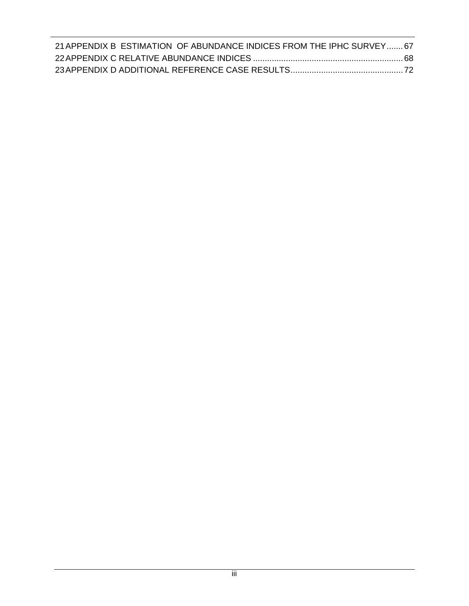|  | 21 APPENDIX B ESTIMATION OF ABUNDANCE INDICES FROM THE IPHC SURVEY 67 |  |
|--|-----------------------------------------------------------------------|--|
|  |                                                                       |  |
|  |                                                                       |  |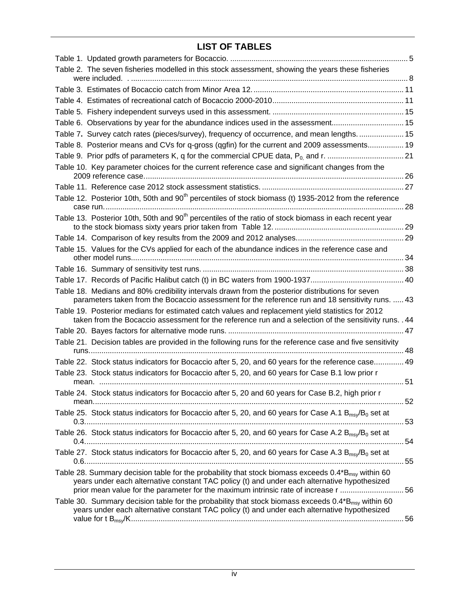## **LIST OF TABLES**

<span id="page-3-0"></span>

| Table 2. The seven fisheries modelled in this stock assessment, showing the years these fisheries                                                                                                                    |  |
|----------------------------------------------------------------------------------------------------------------------------------------------------------------------------------------------------------------------|--|
|                                                                                                                                                                                                                      |  |
|                                                                                                                                                                                                                      |  |
|                                                                                                                                                                                                                      |  |
|                                                                                                                                                                                                                      |  |
| Table 6. Observations by year for the abundance indices used in the assessment 15                                                                                                                                    |  |
| Table 7. Survey catch rates (pieces/survey), frequency of occurrence, and mean lengths 15                                                                                                                            |  |
| Table 8. Posterior means and CVs for q-gross (qgfin) for the current and 2009 assessments 19                                                                                                                         |  |
|                                                                                                                                                                                                                      |  |
| Table 10. Key parameter choices for the current reference case and significant changes from the                                                                                                                      |  |
|                                                                                                                                                                                                                      |  |
| Table 12. Posterior 10th, 50th and 90 <sup>th</sup> percentiles of stock biomass (t) 1935-2012 from the reference                                                                                                    |  |
|                                                                                                                                                                                                                      |  |
| Table 13. Posterior 10th, 50th and 90 <sup>th</sup> percentiles of the ratio of stock biomass in each recent year                                                                                                    |  |
|                                                                                                                                                                                                                      |  |
|                                                                                                                                                                                                                      |  |
| Table 15. Values for the CVs applied for each of the abundance indices in the reference case and                                                                                                                     |  |
|                                                                                                                                                                                                                      |  |
|                                                                                                                                                                                                                      |  |
|                                                                                                                                                                                                                      |  |
| Table 18. Medians and 80% credibility intervals drawn from the posterior distributions for seven                                                                                                                     |  |
| parameters taken from the Bocaccio assessment for the reference run and 18 sensitivity runs.  43                                                                                                                     |  |
| Table 19. Posterior medians for estimated catch values and replacement yield statistics for 2012<br>taken from the Bocaccio assessment for the reference run and a selection of the sensitivity runs. . 44           |  |
|                                                                                                                                                                                                                      |  |
| Table 21. Decision tables are provided in the following runs for the reference case and five sensitivity                                                                                                             |  |
|                                                                                                                                                                                                                      |  |
| Table 22. Stock status indicators for Bocaccio after 5, 20, and 60 years for the reference case 49                                                                                                                   |  |
| Table 23. Stock status indicators for Bocaccio after 5, 20, and 60 years for Case B.1 low prior r                                                                                                                    |  |
|                                                                                                                                                                                                                      |  |
| Table 24. Stock status indicators for Bocaccio after 5, 20 and 60 years for Case B.2, high prior r                                                                                                                   |  |
|                                                                                                                                                                                                                      |  |
| Table 25. Stock status indicators for Bocaccio after 5, 20, and 60 years for Case A.1 $B_{msv}/B_0$ set at                                                                                                           |  |
|                                                                                                                                                                                                                      |  |
| Table 26. Stock status indicators for Bocaccio after 5, 20, and 60 years for Case A.2 $B_{msv}/B_0$ set at                                                                                                           |  |
| Table 27. Stock status indicators for Bocaccio after 5, 20, and 60 years for Case A.3 B <sub>msy</sub> /B <sub>0</sub> set at                                                                                        |  |
|                                                                                                                                                                                                                      |  |
| Table 28. Summary decision table for the probability that stock biomass exceeds 0.4*B <sub>msy</sub> within 60                                                                                                       |  |
| years under each alternative constant TAC policy (t) and under each alternative hypothesized                                                                                                                         |  |
| prior mean value for the parameter for the maximum intrinsic rate of increase r 56                                                                                                                                   |  |
| Table 30. Summary decision table for the probability that stock biomass exceeds $0.4^{\ast}B_{\text{msv}}$ within 60<br>years under each alternative constant TAC policy (t) and under each alternative hypothesized |  |
|                                                                                                                                                                                                                      |  |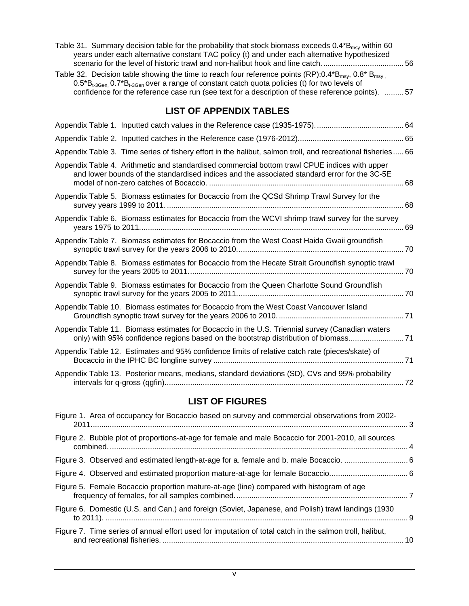<span id="page-4-0"></span>

| Table 31. Summary decision table for the probability that stock biomass exceeds $0.4 B_{\text{msy}}$ within 60<br>years under each alternative constant TAC policy (t) and under each alternative hypothesized                                                                                                                                 |
|------------------------------------------------------------------------------------------------------------------------------------------------------------------------------------------------------------------------------------------------------------------------------------------------------------------------------------------------|
| Table 32. Decision table showing the time to reach four reference points (RP): $0.4*B_{\text{msv}}$ , $0.8*B_{\text{msv}}$ .<br>$0.5^*B_{t-3Gen}$ , $0.7^*B_{t-3Gen}$ over a range of constant catch quota policies (t) for two levels of<br>confidence for the reference case run (see text for a description of these reference points).  57 |
| <b>LIST OF APPENDIX TABLES</b>                                                                                                                                                                                                                                                                                                                 |
|                                                                                                                                                                                                                                                                                                                                                |
|                                                                                                                                                                                                                                                                                                                                                |
| Appendix Table 3. Time series of fishery effort in the halibut, salmon troll, and recreational fisheries 66                                                                                                                                                                                                                                    |
| Appendix Table 4. Arithmetic and standardised commercial bottom trawl CPUE indices with upper<br>and lower bounds of the standardised indices and the associated standard error for the 3C-5E                                                                                                                                                  |
| Appendix Table 5. Biomass estimates for Bocaccio from the QCSd Shrimp Trawl Survey for the                                                                                                                                                                                                                                                     |
| Appendix Table 6. Biomass estimates for Bocaccio from the WCVI shrimp trawl survey for the survey                                                                                                                                                                                                                                              |
| Appendix Table 7. Biomass estimates for Bocaccio from the West Coast Haida Gwaii groundfish                                                                                                                                                                                                                                                    |
| Appendix Table 8. Biomass estimates for Bocaccio from the Hecate Strait Groundfish synoptic trawl                                                                                                                                                                                                                                              |
| Appendix Table 9. Biomass estimates for Bocaccio from the Queen Charlotte Sound Groundfish                                                                                                                                                                                                                                                     |
| Appendix Table 10. Biomass estimates for Bocaccio from the West Coast Vancouver Island                                                                                                                                                                                                                                                         |
| Appendix Table 11. Biomass estimates for Bocaccio in the U.S. Triennial survey (Canadian waters<br>only) with 95% confidence regions based on the bootstrap distribution of biomass                                                                                                                                                            |
| Appendix Table 12. Estimates and 95% confidence limits of relative catch rate (pieces/skate) of                                                                                                                                                                                                                                                |
| Appendix Table 13. Posterior means, medians, standard deviations (SD), CVs and 95% probability                                                                                                                                                                                                                                                 |

## **LIST OF FIGURES**

<span id="page-4-1"></span>

| Figure 1. Area of occupancy for Bocaccio based on survey and commercial observations from 2002-         |  |
|---------------------------------------------------------------------------------------------------------|--|
| Figure 2. Bubble plot of proportions-at-age for female and male Bocaccio for 2001-2010, all sources     |  |
| Figure 3. Observed and estimated length-at-age for a. female and b. male Bocaccio.  6                   |  |
|                                                                                                         |  |
| Figure 5. Female Bocaccio proportion mature-at-age (line) compared with histogram of age                |  |
| Figure 6. Domestic (U.S. and Can.) and foreign (Soviet, Japanese, and Polish) trawl landings (1930      |  |
| Figure 7. Time series of annual effort used for imputation of total catch in the salmon troll, halibut, |  |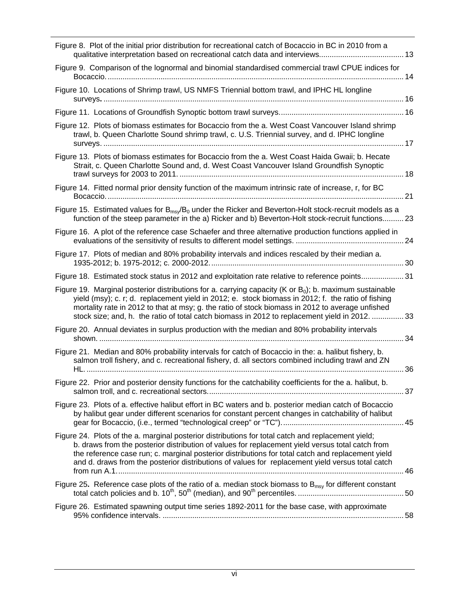| Figure 8. Plot of the initial prior distribution for recreational catch of Bocaccio in BC in 2010 from a                                                                                                                                                                                                                                                                                                              |  |
|-----------------------------------------------------------------------------------------------------------------------------------------------------------------------------------------------------------------------------------------------------------------------------------------------------------------------------------------------------------------------------------------------------------------------|--|
| Figure 9. Comparison of the lognormal and binomial standardised commercial trawl CPUE indices for                                                                                                                                                                                                                                                                                                                     |  |
| Figure 10. Locations of Shrimp trawl, US NMFS Triennial bottom trawl, and IPHC HL longline                                                                                                                                                                                                                                                                                                                            |  |
|                                                                                                                                                                                                                                                                                                                                                                                                                       |  |
| Figure 12. Plots of biomass estimates for Bocaccio from the a. West Coast Vancouver Island shrimp<br>trawl, b. Queen Charlotte Sound shrimp trawl, c. U.S. Triennial survey, and d. IPHC longline                                                                                                                                                                                                                     |  |
| Figure 13. Plots of biomass estimates for Bocaccio from the a. West Coast Haida Gwaii; b. Hecate<br>Strait, c. Queen Charlotte Sound and, d. West Coast Vancouver Island Groundfish Synoptic                                                                                                                                                                                                                          |  |
| Figure 14. Fitted normal prior density function of the maximum intrinsic rate of increase, r, for BC                                                                                                                                                                                                                                                                                                                  |  |
| Figure 15. Estimated values for $B_{ms}$ / $B_0$ under the Ricker and Beverton-Holt stock-recruit models as a<br>function of the steep parameter in the a) Ricker and b) Beverton-Holt stock-recruit functions 23                                                                                                                                                                                                     |  |
| Figure 16. A plot of the reference case Schaefer and three alternative production functions applied in                                                                                                                                                                                                                                                                                                                |  |
| Figure 17. Plots of median and 80% probability intervals and indices rescaled by their median a.                                                                                                                                                                                                                                                                                                                      |  |
| Figure 18. Estimated stock status in 2012 and exploitation rate relative to reference points31                                                                                                                                                                                                                                                                                                                        |  |
| Figure 19. Marginal posterior distributions for a. carrying capacity (K or $B0$ ); b. maximum sustainable<br>yield (msy); c. r; d. replacement yield in 2012; e. stock biomass in 2012; f. the ratio of fishing<br>mortality rate in 2012 to that at msy; g. the ratio of stock biomass in 2012 to average unfished<br>stock size; and, h. the ratio of total catch biomass in 2012 to replacement yield in 2012.  33 |  |
| Figure 20. Annual deviates in surplus production with the median and 80% probability intervals                                                                                                                                                                                                                                                                                                                        |  |
| Figure 21. Median and 80% probability intervals for catch of Bocaccio in the: a. halibut fishery, b.<br>salmon troll fishery, and c. recreational fishery, d. all sectors combined including trawl and ZN                                                                                                                                                                                                             |  |
| Figure 22. Prior and posterior density functions for the catchability coefficients for the a. halibut, b.                                                                                                                                                                                                                                                                                                             |  |
| Figure 23. Plots of a. effective halibut effort in BC waters and b. posterior median catch of Bocaccio<br>by halibut gear under different scenarios for constant percent changes in catchability of halibut                                                                                                                                                                                                           |  |
| Figure 24. Plots of the a. marginal posterior distributions for total catch and replacement yield;<br>b. draws from the posterior distribution of values for replacement yield versus total catch from<br>the reference case run; c. marginal posterior distributions for total catch and replacement yield<br>and d. draws from the posterior distributions of values for replacement yield versus total catch       |  |
| Figure 25. Reference case plots of the ratio of a. median stock biomass to $B_{msy}$ for different constant                                                                                                                                                                                                                                                                                                           |  |
| Figure 26. Estimated spawning output time series 1892-2011 for the base case, with approximate                                                                                                                                                                                                                                                                                                                        |  |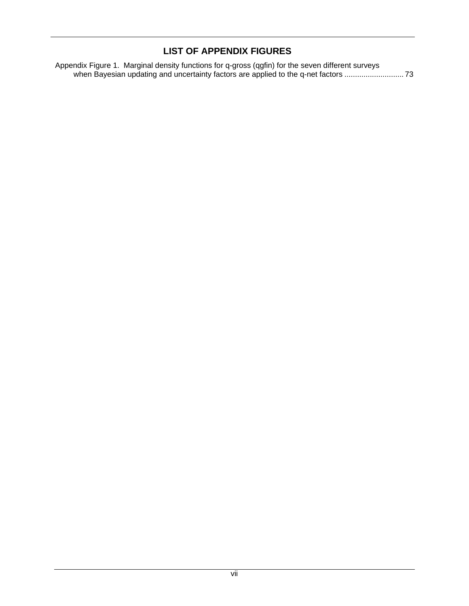### **LIST OF APPENDIX FIGURES**

<span id="page-6-0"></span>[Appendix Figure 1. Marginal density functions for q-gross \(qgfin\) for the seven different surveys](#page-81-0)  [when Bayesian updating and uncertainty factors are applied to the q-net factors ..](#page-81-0).......................... [7](#page-81-0)3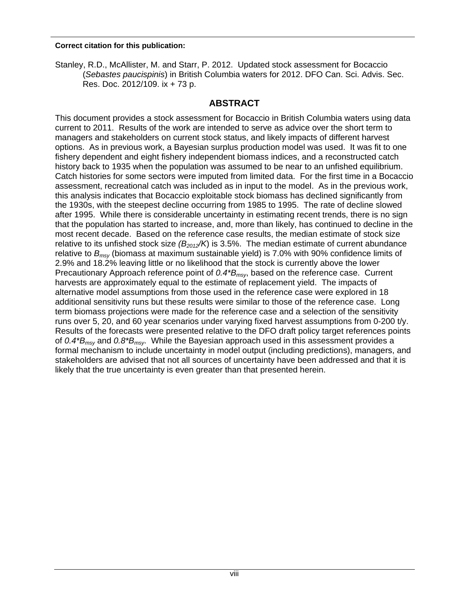#### **Correct citation for this publication:**

Stanley, R.D., McAllister, M. and Starr, P. 2012. Updated stock assessment for Bocaccio (*Sebastes paucispinis*) in British Columbia waters for 2012. DFO Can. Sci. Advis. Sec. Res. Doc. 2012/109. ix + 73 p.

#### **ABSTRACT**

<span id="page-7-0"></span>This document provides a stock assessment for Bocaccio in British Columbia waters using data current to 2011. Results of the work are intended to serve as advice over the short term to managers and stakeholders on current stock status, and likely impacts of different harvest options. As in previous work, a Bayesian surplus production model was used. It was fit to one fishery dependent and eight fishery independent biomass indices, and a reconstructed catch history back to 1935 when the population was assumed to be near to an unfished equilibrium. Catch histories for some sectors were imputed from limited data. For the first time in a Bocaccio assessment, recreational catch was included as in input to the model. As in the previous work, this analysis indicates that Bocaccio exploitable stock biomass has declined significantly from the 1930s, with the steepest decline occurring from 1985 to 1995. The rate of decline slowed after 1995. While there is considerable uncertainty in estimating recent trends, there is no sign that the population has started to increase, and, more than likely, has continued to decline in the most recent decade. Based on the reference case results, the median estimate of stock size relative to its unfished stock size (B<sub>2012</sub>/K) is 3.5%. The median estimate of current abundance relative to *Bmsy* (biomass at maximum sustainable yield) is 7.0% with 90% confidence limits of 2.9% and 18.2% leaving little or no likelihood that the stock is currently above the lower Precautionary Approach reference point of *0.4\*Bmsy*, based on the reference case. Current harvests are approximately equal to the estimate of replacement yield. The impacts of alternative model assumptions from those used in the reference case were explored in 18 additional sensitivity runs but these results were similar to those of the reference case. Long term biomass projections were made for the reference case and a selection of the sensitivity runs over 5, 20, and 60 year scenarios under varying fixed harvest assumptions from 0-200 t/y. Results of the forecasts were presented relative to the DFO draft policy target references points of *0.4\*Bmsy* and *0.8\*Bmsy*. While the Bayesian approach used in this assessment provides a formal mechanism to include uncertainty in model output (including predictions), managers, and stakeholders are advised that not all sources of uncertainty have been addressed and that it is likely that the true uncertainty is even greater than that presented herein.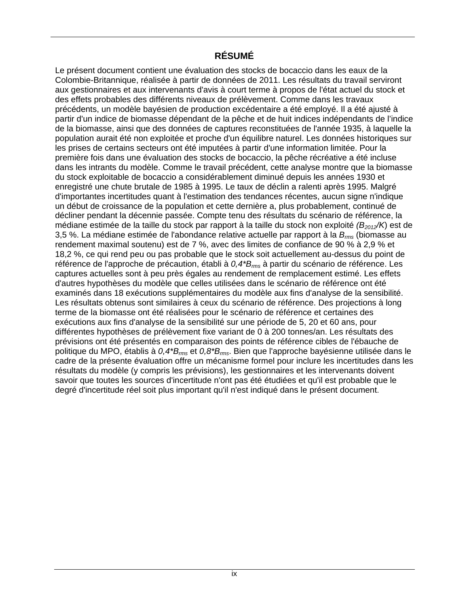#### **RÉSUMÉ**

<span id="page-8-0"></span>Le présent document contient une évaluation des stocks de bocaccio dans les eaux de la Colombie-Britannique, réalisée à partir de données de 2011. Les résultats du travail serviront aux gestionnaires et aux intervenants d'avis à court terme à propos de l'état actuel du stock et des effets probables des différents niveaux de prélèvement. Comme dans les travaux précédents, un modèle bayésien de production excédentaire a été employé. Il a été ajusté à partir d'un indice de biomasse dépendant de la pêche et de huit indices indépendants de l'indice de la biomasse, ainsi que des données de captures reconstituées de l'année 1935, à laquelle la population aurait été non exploitée et proche d'un équilibre naturel. Les données historiques sur les prises de certains secteurs ont été imputées à partir d'une information limitée. Pour la première fois dans une évaluation des stocks de bocaccio, la pêche récréative a été incluse dans les intrants du modèle. Comme le travail précédent, cette analyse montre que la biomasse du stock exploitable de bocaccio a considérablement diminué depuis les années 1930 et enregistré une chute brutale de 1985 à 1995. Le taux de déclin a ralenti après 1995. Malgré d'importantes incertitudes quant à l'estimation des tendances récentes, aucun signe n'indique un début de croissance de la population et cette dernière a, plus probablement, continué de décliner pendant la décennie passée. Compte tenu des résultats du scénario de référence, la médiane estimée de la taille du stock par rapport à la taille du stock non exploité *(B2012/K*) est de 3,5 %. La médiane estimée de l'abondance relative actuelle par rapport à la *Brms* (biomasse au rendement maximal soutenu) est de 7 %, avec des limites de confiance de 90 % à 2,9 % et 18,2 %, ce qui rend peu ou pas probable que le stock soit actuellement au-dessus du point de référence de l'approche de précaution, établi à *0,4\*Brms* à partir du scénario de référence. Les captures actuelles sont à peu près égales au rendement de remplacement estimé. Les effets d'autres hypothèses du modèle que celles utilisées dans le scénario de référence ont été examinés dans 18 exécutions supplémentaires du modèle aux fins d'analyse de la sensibilité. Les résultats obtenus sont similaires à ceux du scénario de référence. Des projections à long terme de la biomasse ont été réalisées pour le scénario de référence et certaines des exécutions aux fins d'analyse de la sensibilité sur une période de 5, 20 et 60 ans, pour différentes hypothèses de prélèvement fixe variant de 0 à 200 tonnes/an. Les résultats des prévisions ont été présentés en comparaison des points de référence cibles de l'ébauche de politique du MPO, établis à *0,4\*Brms* et *0,8\*Brms*. Bien que l'approche bayésienne utilisée dans le cadre de la présente évaluation offre un mécanisme formel pour inclure les incertitudes dans les résultats du modèle (y compris les prévisions), les gestionnaires et les intervenants doivent savoir que toutes les sources d'incertitude n'ont pas été étudiées et qu'il est probable que le degré d'incertitude réel soit plus important qu'il n'est indiqué dans le présent document.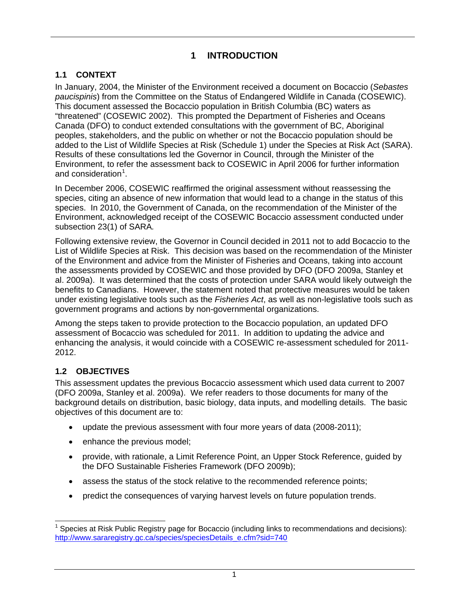### **1 INTRODUCTION**

#### <span id="page-9-0"></span>**1.1 CONTEXT**

<span id="page-9-1"></span>In January, 2004, the Minister of the Environment received a document on Bocaccio (*Sebastes paucispinis*) from the Committee on the Status of Endangered Wildlife in Canada (COSEWIC). This document assessed the Bocaccio population in British Columbia (BC) waters as "threatened" (COSEWIC 2002). This prompted the Department of Fisheries and Oceans Canada (DFO) to conduct extended consultations with the government of BC, Aboriginal peoples, stakeholders, and the public on whether or not the Bocaccio population should be added to the List of Wildlife Species at Risk (Schedule 1) under the Species at Risk Act (SARA). Results of these consultations led the Governor in Council, through the Minister of the Environment, to refer the assessment back to COSEWIC in April 2006 for further information and consideration<sup>[1](#page-9-3)</sup>.

In December 2006, COSEWIC reaffirmed the original assessment without reassessing the species, citing an absence of new information that would lead to a change in the status of this species. In 2010, the Government of Canada, on the recommendation of the Minister of the Environment, acknowledged receipt of the COSEWIC Bocaccio assessment conducted under subsection 23(1) of SARA*.*

Following extensive review, the Governor in Council decided in 2011 not to add Bocaccio to the List of Wildlife Species at Risk. This decision was based on the recommendation of the Minister of the Environment and advice from the Minister of Fisheries and Oceans, taking into account the assessments provided by COSEWIC and those provided by DFO (DFO 2009a, Stanley et al. 2009a). It was determined that the costs of protection under SARA would likely outweigh the benefits to Canadians. However, the statement noted that protective measures would be taken under existing legislative tools such as the *Fisheries Act*, as well as non-legislative tools such as government programs and actions by non-governmental organizations.

Among the steps taken to provide protection to the Bocaccio population, an updated DFO assessment of Bocaccio was scheduled for 2011. In addition to updating the advice and enhancing the analysis, it would coincide with a COSEWIC re-assessment scheduled for 2011- 2012.

### <span id="page-9-2"></span>**1.2 OBJECTIVES**

This assessment updates the previous Bocaccio assessment which used data current to 2007 (DFO 2009a, Stanley et al. 2009a). We refer readers to those documents for many of the background details on distribution, basic biology, data inputs, and modelling details. The basic objectives of this document are to:

- update the previous assessment with four more years of data (2008-2011);
- enhance the previous model;
- provide, with rationale, a Limit Reference Point, an Upper Stock Reference, guided by the DFO Sustainable Fisheries Framework (DFO 2009b);
- assess the status of the stock relative to the recommended reference points;
- predict the consequences of varying harvest levels on future population trends.

<span id="page-9-3"></span>l 1 Species at Risk Public Registry page for Bocaccio (including links to recommendations and decisions): http://www.sararegistry.gc.ca/species/speciesDetails\_e.cfm?sid=740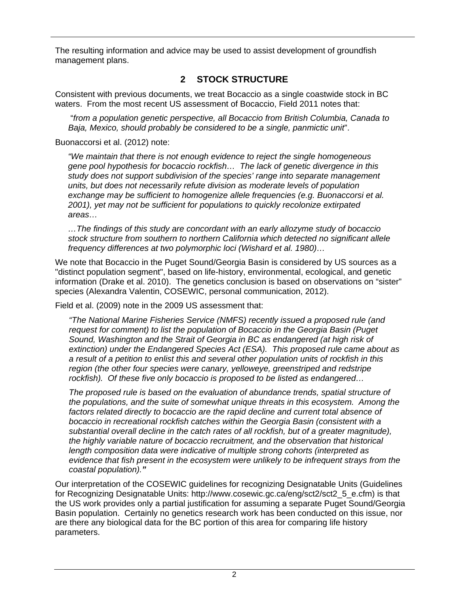The resulting information and advice may be used to assist development of groundfish management plans.

## **2 STOCK STRUCTURE**

<span id="page-10-0"></span>Consistent with previous documents, we treat Bocaccio as a single coastwide stock in BC waters. From the most recent US assessment of Bocaccio, Field 2011 notes that:

 "*from a population genetic perspective, all Bocaccio from British Columbia, Canada to Baja, Mexico, should probably be considered to be a single, panmictic unit*".

Buonaccorsi et al. (2012) note:

*"We maintain that there is not enough evidence to reject the single homogeneous gene pool hypothesis for bocaccio rockfish… The lack of genetic divergence in this study does not support subdivision of the species' range into separate management units, but does not necessarily refute division as moderate levels of population exchange may be sufficient to homogenize allele frequencies (e.g. Buonaccorsi et al. 2001), yet may not be sufficient for populations to quickly recolonize extirpated areas…* 

*…The findings of this study are concordant with an early allozyme study of bocaccio stock structure from southern to northern California which detected no significant allele frequency differences at two polymorphic loci (Wishard et al. 1980)…* 

We note that Bocaccio in the Puget Sound/Georgia Basin is considered by US sources as a "distinct population segment", based on life-history, environmental, ecological, and genetic information (Drake et al. 2010). The genetics conclusion is based on observations on "sister" species (Alexandra Valentin, COSEWIC, personal communication, 2012).

Field et al. (2009) note in the 2009 US assessment that:

*"The National Marine Fisheries Service (NMFS) recently issued a proposed rule (and request for comment) to list the population of Bocaccio in the Georgia Basin (Puget Sound, Washington and the Strait of Georgia in BC as endangered (at high risk of extinction) under the Endangered Species Act (ESA). This proposed rule came about as a result of a petition to enlist this and several other population units of rockfish in this region (the other four species were canary, yelloweye, greenstriped and redstripe rockfish). Of these five only bocaccio is proposed to be listed as endangered…* 

*The proposed rule is based on the evaluation of abundance trends, spatial structure of the populations, and the suite of somewhat unique threats in this ecosystem. Among the factors related directly to bocaccio are the rapid decline and current total absence of bocaccio in recreational rockfish catches within the Georgia Basin (consistent with a substantial overall decline in the catch rates of all rockfish, but of a greater magnitude), the highly variable nature of bocaccio recruitment, and the observation that historical length composition data were indicative of multiple strong cohorts (interpreted as evidence that fish present in the ecosystem were unlikely to be infrequent strays from the coastal population)."* 

Our interpretation of the COSEWIC guidelines for recognizing Designatable Units (Guidelines for Recognizing Designatable Units: http://www.cosewic.gc.ca/eng/sct2/sct2\_5\_e.cfm) is that the US work provides only a partial justification for assuming a separate Puget Sound/Georgia Basin population. Certainly no genetics research work has been conducted on this issue, nor are there any biological data for the BC portion of this area for comparing life history parameters.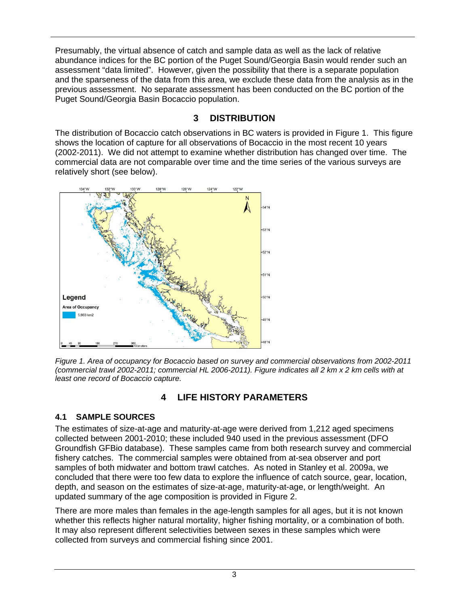Presumably, the virtual absence of catch and sample data as well as the lack of relative abundance indices for the BC portion of the Puget Sound/Georgia Basin would render such an assessment "data limited". However, given the possibility that there is a separate population and the sparseness of the data from this area, we exclude these data from the analysis as in the previous assessment. No separate assessment has been conducted on the BC portion of the Puget Sound/Georgia Basin Bocaccio population.

## **3 DISTRIBUTION**

<span id="page-11-0"></span>The distribution of Bocaccio catch observations in BC waters is provided in [Figure 1.](#page-11-3) This figure shows the location of capture for all observations of Bocaccio in the most recent 10 years (2002-2011). We did not attempt to examine whether distribution has changed over time. The commercial data are not comparable over time and the time series of the various surveys are relatively short (see below).



<span id="page-11-3"></span>*Figure 1. Area of occupancy for Bocaccio based on survey and commercial observations from 2002-2011 (commercial trawl 2002-2011; commercial HL 2006-2011). Figure indicates all 2 km x 2 km cells with at least one record of Bocaccio capture.* 

## **4 LIFE HISTORY PARAMETERS**

### <span id="page-11-2"></span><span id="page-11-1"></span>**4.1 SAMPLE SOURCES**

The estimates of size-at-age and maturity-at-age were derived from 1,212 aged specimens collected between 2001-2010; these included 940 used in the previous assessment (DFO Groundfish GFBio database). These samples came from both research survey and commercial fishery catches. The commercial samples were obtained from at-sea observer and port samples of both midwater and bottom trawl catches. As noted in Stanley et al. 2009a, we concluded that there were too few data to explore the influence of catch source, gear, location, depth, and season on the estimates of size-at-age, maturity-at-age, or length/weight. An updated summary of the age composition is provided in Figure 2.

There are more males than females in the age-length samples for all ages, but it is not known whether this reflects higher natural mortality, higher fishing mortality, or a combination of both. It may also represent different selectivities between sexes in these samples which were collected from surveys and commercial fishing since 2001.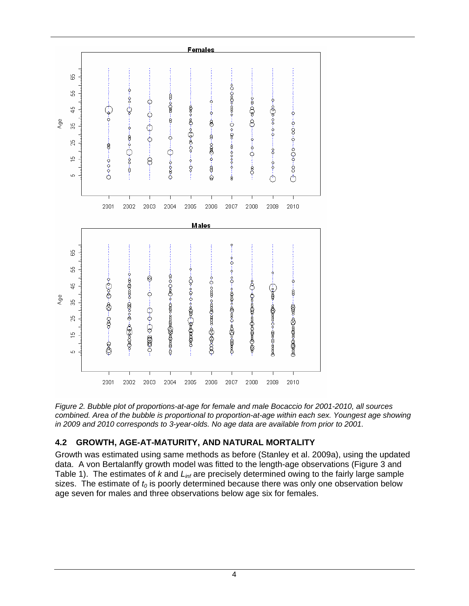<span id="page-12-1"></span>

*Figure 2. Bubble plot of proportions-at-age for female and male Bocaccio for 2001-2010, all sources combined. Area of the bubble is proportional to proportion-at-age within each sex. Youngest age showing in 2009 and 2010 corresponds to 3-year-olds. No age data are available from prior to 2001.* 

#### <span id="page-12-0"></span>**4.2 GROWTH, AGE-AT-MATURITY, AND NATURAL MORTALITY**

Growth was estimated using same methods as before (Stanley et al. 2009a), using the updated data. A von Bertalanffy growth model was fitted to the length-age observations ([Figure 3](#page-14-0) and [Table 1\)](#page-13-0). The estimates of *k* and *Linf* are precisely determined owing to the fairly large sample sizes. The estimate of  $t_0$  is poorly determined because there was only one observation below age seven for males and three observations below age six for females.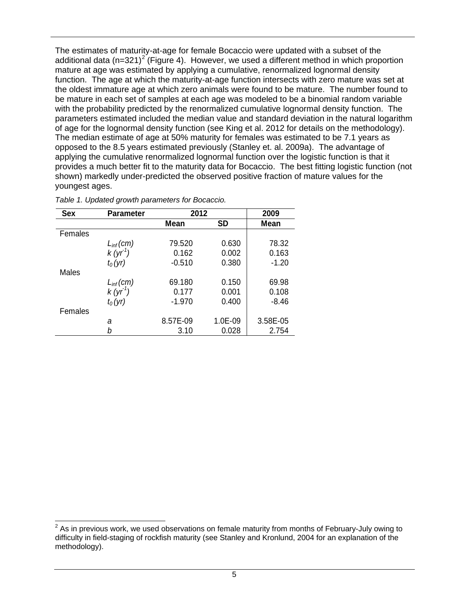The estimates of maturity-at-age for female Bocaccio were updated with a subset of the additional data (n=3[2](#page-13-1)1)<sup>2</sup> ([Figure 4](#page-14-1)). However, we used a different method in which proportion mature at age was estimated by applying a cumulative, renormalized lognormal density function. The age at which the maturity-at-age function intersects with zero mature was set at the oldest immature age at which zero animals were found to be mature. The number found to be mature in each set of samples at each age was modeled to be a binomial random variable with the probability predicted by the renormalized cumulative lognormal density function. The parameters estimated included the median value and standard deviation in the natural logarithm of age for the lognormal density function (see King et al. 2012 for details on the methodology). The median estimate of age at 50% maturity for females was estimated to be 7.1 years as opposed to the 8.5 years estimated previously (Stanley et. al. 2009a). The advantage of applying the cumulative renormalized lognormal function over the logistic function is that it provides a much better fit to the maturity data for Bocaccio. The best fitting logistic function (not shown) markedly under-predicted the observed positive fraction of mature values for the youngest ages.

| <b>Sex</b> | <b>Parameter</b> | 2012        |           | 2009     |
|------------|------------------|-------------|-----------|----------|
|            |                  | <b>Mean</b> | <b>SD</b> | Mean     |
| Females    |                  |             |           |          |
|            | $L_{inf}(cm)$    | 79.520      | 0.630     | 78.32    |
|            | $k(yr^1)$        | 0.162       | 0.002     | 0.163    |
|            | $t_0(yr)$        | $-0.510$    | 0.380     | $-1.20$  |
| Males      |                  |             |           |          |
|            | $L_{inf}(cm)$    | 69.180      | 0.150     | 69.98    |
|            | $k(yr^1)$        | 0.177       | 0.001     | 0.108    |
|            | $t_0(yr)$        | $-1.970$    | 0.400     | $-8.46$  |
| Females    |                  |             |           |          |
|            | a                | 8.57E-09    | 1.0E-09   | 3.58E-05 |
|            | b                | 3.10        | 0.028     | 2.754    |

<span id="page-13-0"></span>*Table 1. Updated growth parameters for Bocaccio.* 

<span id="page-13-1"></span><sup>&</sup>lt;u>2</u><br><sup>2</sup> As in previous work, we used observations on female maturity from months of February-July owing to difficulty in field-staging of rockfish maturity (see Stanley and Kronlund, 2004 for an explanation of the methodology).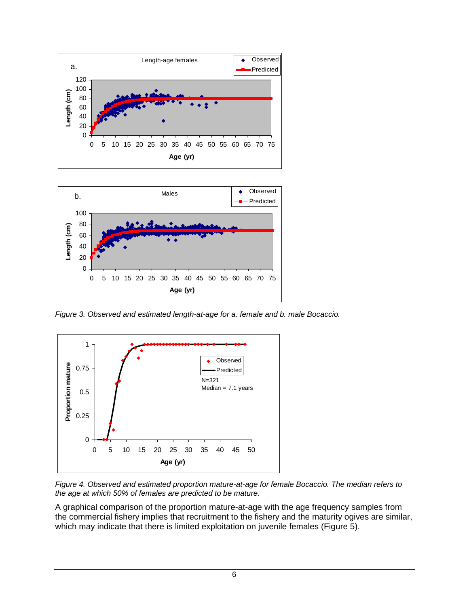



*Figure 3. Observed and estimated length-at-age for a. female and b. male Bocaccio.* 

<span id="page-14-0"></span>

<span id="page-14-1"></span>*Figure 4. Observed and estimated proportion mature-at-age for female Bocaccio. The median refers to the age at which 50% of females are predicted to be mature.* 

A graphical comparison of the proportion mature-at-age with the age frequency samples from the commercial fishery implies that recruitment to the fishery and the maturity ogives are similar, which may indicate that there is limited exploitation on juvenile females ([Figure 5](#page-15-1)).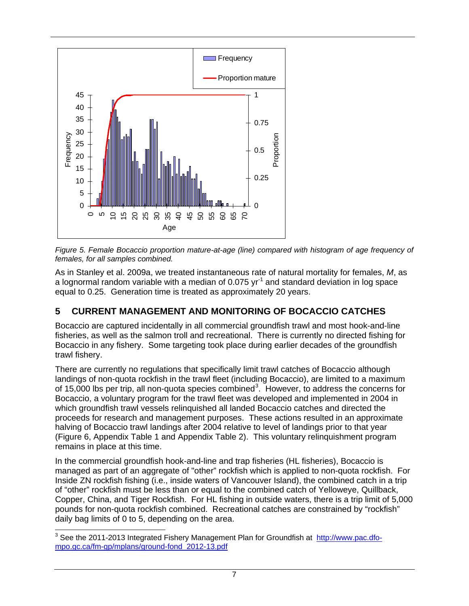

<span id="page-15-1"></span>*Figure 5. Female Bocaccio proportion mature-at-age (line) compared with histogram of age frequency of females, for all samples combined.* 

As in Stanley et al. 2009a, we treated instantaneous rate of natural mortality for females, *M*, as a lognormal random variable with a median of 0.075  $yr<sup>-1</sup>$  and standard deviation in log space equal to 0.25. Generation time is treated as approximately 20 years.

## <span id="page-15-0"></span>**5 CURRENT MANAGEMENT AND MONITORING OF BOCACCIO CATCHES**

Bocaccio are captured incidentally in all commercial groundfish trawl and most hook-and-line fisheries, as well as the salmon troll and recreational. There is currently no directed fishing for Bocaccio in any fishery. Some targeting took place during earlier decades of the groundfish trawl fishery.

There are currently no regulations that specifically limit trawl catches of Bocaccio although landings of non-quota rockfish in the trawl fleet (including Bocaccio), are limited to a maximum of 15,000 lbs per trip, all non-quota species combined<sup>[3](#page-15-2)</sup>. However, to address the concerns for Bocaccio, a voluntary program for the trawl fleet was developed and implemented in 2004 in which groundfish trawl vessels relinquished all landed Bocaccio catches and directed the proceeds for research and management purposes. These actions resulted in an approximate halving of Bocaccio trawl landings after 2004 relative to level of landings prior to that year ([Figure 6](#page-17-1), [Appendix Table 1](#page-72-1) and [Appendix Table 2\)](#page-73-0). This voluntary relinquishment program remains in place at this time.

In the commercial groundfish hook-and-line and trap fisheries (HL fisheries), Bocaccio is managed as part of an aggregate of "other" rockfish which is applied to non-quota rockfish. For Inside ZN rockfish fishing (i.e., inside waters of Vancouver Island), the combined catch in a trip of "other" rockfish must be less than or equal to the combined catch of Yelloweye, Quillback, Copper, China, and Tiger Rockfish. For HL fishing in outside waters, there is a trip limit of 5,000 pounds for non-quota rockfish combined. Recreational catches are constrained by "rockfish" daily bag limits of 0 to 5, depending on the area.

<span id="page-15-2"></span> 3 See the 2011-2013 Integrated Fishery Management Plan for Groundfish at http://www.pac.dfompo.gc.ca/fm-gp/mplans/ground-fond\_2012-13.pdf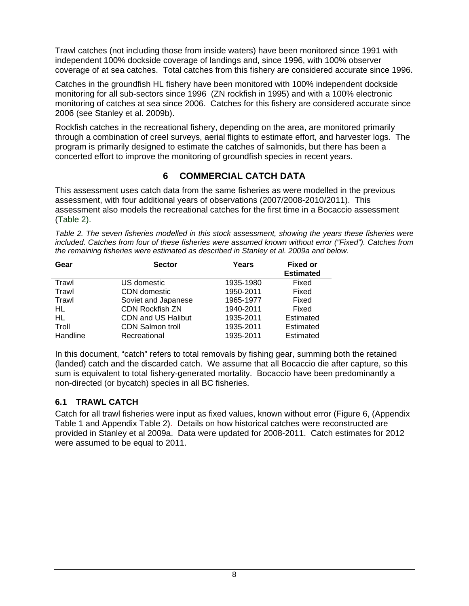Trawl catches (not including those from inside waters) have been monitored since 1991 with independent 100% dockside coverage of landings and, since 1996, with 100% observer coverage of at sea catches. Total catches from this fishery are considered accurate since 1996.

Catches in the groundfish HL fishery have been monitored with 100% independent dockside monitoring for all sub-sectors since 1996 (ZN rockfish in 1995) and with a 100% electronic monitoring of catches at sea since 2006. Catches for this fishery are considered accurate since 2006 (see Stanley et al. 2009b).

Rockfish catches in the recreational fishery, depending on the area, are monitored primarily through a combination of creel surveys, aerial flights to estimate effort, and harvester logs. The program is primarily designed to estimate the catches of salmonids, but there has been a concerted effort to improve the monitoring of groundfish species in recent years.

### **6 COMMERCIAL CATCH DATA**

<span id="page-16-0"></span>This assessment uses catch data from the same fisheries as were modelled in the previous assessment, with four additional years of observations (2007/2008-2010/2011). This assessment also models the recreational catches for the first time in a Bocaccio assessment ([Table 2](#page-16-2)).

<span id="page-16-2"></span>*Table 2. The seven fisheries modelled in this stock assessment, showing the years these fisheries were included. Catches from four of these fisheries were assumed known without error ("Fixed"). Catches from the remaining fisheries were estimated as described in Stanley et al. 2009a and below.* 

| Gear     | <b>Sector</b>             | Years     | <b>Fixed or</b><br><b>Estimated</b> |
|----------|---------------------------|-----------|-------------------------------------|
| Trawl    | US domestic               | 1935-1980 | Fixed                               |
| Trawl    | CDN domestic              | 1950-2011 | Fixed                               |
| Trawl    | Soviet and Japanese       | 1965-1977 | Fixed                               |
| HL       | <b>CDN Rockfish ZN</b>    | 1940-2011 | Fixed                               |
| HL       | <b>CDN and US Halibut</b> | 1935-2011 | Estimated                           |
| Troll    | <b>CDN Salmon troll</b>   | 1935-2011 | Estimated                           |
| Handline | Recreational              | 1935-2011 | Estimated                           |

In this document, "catch" refers to total removals by fishing gear, summing both the retained (landed) catch and the discarded catch. We assume that all Bocaccio die after capture, so this sum is equivalent to total fishery-generated mortality. Bocaccio have been predominantly a non-directed (or bycatch) species in all BC fisheries.

#### <span id="page-16-1"></span>**6.1 TRAWL CATCH**

Catch for all trawl fisheries were input as fixed values, known without error [\(Figure 6,](#page-17-1) [\(Appendix](#page-72-1)  [Table 1](#page-72-1) and [Appendix Table 2\)](#page-73-0). Details on how historical catches were reconstructed are provided in Stanley et al 2009a. Data were updated for 2008-2011. Catch estimates for 2012 were assumed to be equal to 2011.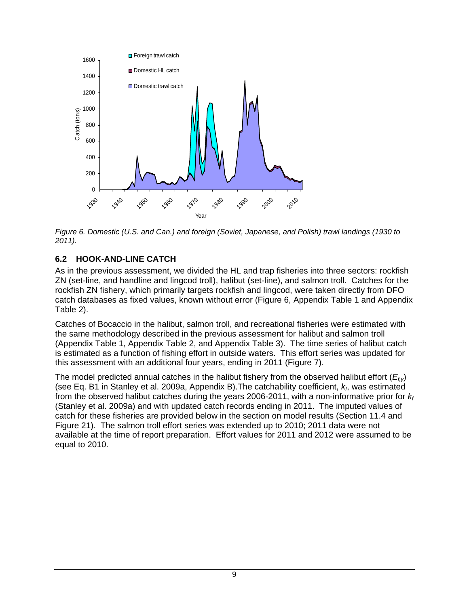

<span id="page-17-1"></span>*Figure 6. Domestic (U.S. and Can.) and foreign (Soviet, Japanese, and Polish) trawl landings (1930 to 2011).* 

#### <span id="page-17-0"></span>**6.2 HOOK-AND-LINE CATCH**

As in the previous assessment, we divided the HL and trap fisheries into three sectors: rockfish ZN (set-line, and handline and lingcod troll), halibut (set-line), and salmon troll. Catches for the rockfish ZN fishery, which primarily targets rockfish and lingcod, were taken directly from DFO catch databases as fixed values, known without error ([Figure 6](#page-17-1), [Appendix Table 1](#page-72-1) and [Appendix](#page-73-0)  [Table 2\)](#page-73-0).

Catches of Bocaccio in the halibut, salmon troll, and recreational fisheries were estimated with the same methodology described in the previous assessment for halibut and salmon troll ([Appendix Table 1](#page-72-1), [Appendix Table 2,](#page-73-0) and [Appendix Table 3](#page-74-0)). The time series of halibut catch is estimated as a function of fishing effort in outside waters. This effort series was updated for this assessment with an additional four years, ending in 2011 ([Figure 7](#page-18-1)).

The model predicted annual catches in the halibut fishery from the observed halibut effort (*Ef,y*) (see Eq. B1 in Stanley et al. 2009a, Appendix B).The catchability coefficient, *kf*, was estimated from the observed halibut catches during the years 2006-2011, with a non-informative prior for  $k_f$ (Stanley et al. 2009a) and with updated catch records ending in 2011. The imputed values of catch for these fisheries are provided below in the section on model results (Section 11.4 and [Figure 21](#page-44-0)). The salmon troll effort series was extended up to 2010; 2011 data were not available at the time of report preparation. Effort values for 2011 and 2012 were assumed to be equal to 2010.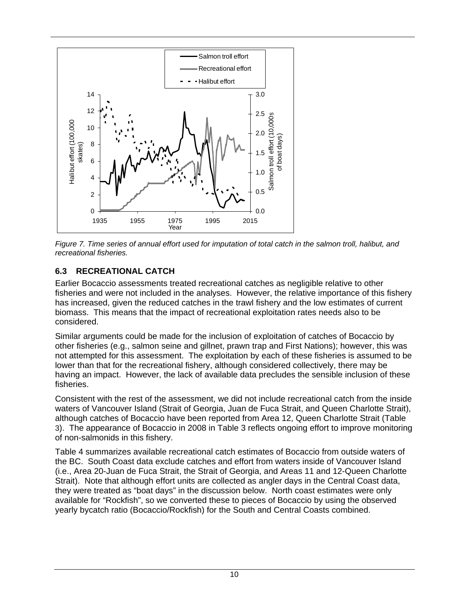

<span id="page-18-1"></span>*Figure 7. Time series of annual effort used for imputation of total catch in the salmon troll, halibut, and recreational fisheries.* 

### <span id="page-18-0"></span>**6.3 RECREATIONAL CATCH**

Earlier Bocaccio assessments treated recreational catches as negligible relative to other fisheries and were not included in the analyses. However, the relative importance of this fishery has increased, given the reduced catches in the trawl fishery and the low estimates of current biomass. This means that the impact of recreational exploitation rates needs also to be considered.

Similar arguments could be made for the inclusion of exploitation of catches of Bocaccio by other fisheries (e.g., salmon seine and gillnet, prawn trap and First Nations); however, this was not attempted for this assessment. The exploitation by each of these fisheries is assumed to be lower than that for the recreational fishery, although considered collectively, there may be having an impact. However, the lack of available data precludes the sensible inclusion of these fisheries.

Consistent with the rest of the assessment, we did not include recreational catch from the inside waters of Vancouver Island (Strait of Georgia, Juan de Fuca Strait, and Queen Charlotte Strait), although catches of Bocaccio have been reported from Area 12, Queen Charlotte Strait [\(Table](#page-19-0) [3\)](#page-19-0). The appearance of Bocaccio in 2008 in [Table 3](#page-19-0) reflects ongoing effort to improve monitoring of non-salmonids in this fishery.

[Table 4](#page-19-1) summarizes available recreational catch estimates of Bocaccio from outside waters of the BC. South Coast data exclude catches and effort from waters inside of Vancouver Island (i.e., Area 20-Juan de Fuca Strait, the Strait of Georgia, and Areas 11 and 12-Queen Charlotte Strait). Note that although effort units are collected as angler days in the Central Coast data, they were treated as "boat days" in the discussion below. North coast estimates were only available for "Rockfish", so we converted these to pieces of Bocaccio by using the observed yearly bycatch ratio (Bocaccio/Rockfish) for the South and Central Coasts combined.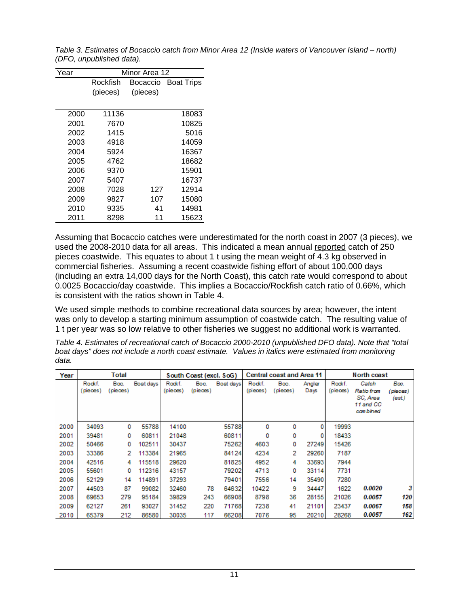<span id="page-19-0"></span>*Table 3. Estimates of Bocaccio catch from Minor Area 12 (Inside waters of Vancouver Island – north) (DFO, unpublished data).* 

| Year | Minor Area 12                             |          |       |  |  |  |  |
|------|-------------------------------------------|----------|-------|--|--|--|--|
|      | Rockfish<br><b>Boat Trips</b><br>Bocaccio |          |       |  |  |  |  |
|      | (pieces)                                  | (pieces) |       |  |  |  |  |
|      |                                           |          |       |  |  |  |  |
| 2000 | 11136                                     |          | 18083 |  |  |  |  |
| 2001 | 7670                                      |          | 10825 |  |  |  |  |
| 2002 | 1415                                      |          | 5016  |  |  |  |  |
| 2003 | 4918                                      |          | 14059 |  |  |  |  |
| 2004 | 5924                                      |          | 16367 |  |  |  |  |
| 2005 | 4762                                      |          | 18682 |  |  |  |  |
| 2006 | 9370                                      |          | 15901 |  |  |  |  |
| 2007 | 5407                                      |          | 16737 |  |  |  |  |
| 2008 | 7028                                      | 127      | 12914 |  |  |  |  |
| 2009 | 9827                                      | 107      | 15080 |  |  |  |  |
| 2010 | 9335                                      | 41       | 14981 |  |  |  |  |
| 2011 | 8298                                      | 11       | 15623 |  |  |  |  |

Assuming that Bocaccio catches were underestimated for the north coast in 2007 (3 pieces), we used the 2008-2010 data for all areas. This indicated a mean annual reported catch of 250 pieces coastwide. This equates to about 1 t using the mean weight of 4.3 kg observed in commercial fisheries. Assuming a recent coastwide fishing effort of about 100,000 days (including an extra 14,000 days for the North Coast), this catch rate would correspond to about 0.0025 Bocaccio/day coastwide. This implies a Bocaccio/Rockfish catch ratio of 0.66%, which is consistent with the ratios shown in [Table 4.](#page-19-1)

We used simple methods to combine recreational data sources by area; however, the intent was only to develop a starting minimum assumption of coastwide catch. The resulting value of 1 t per year was so low relative to other fisheries we suggest no additional work is warranted.

<span id="page-19-1"></span>*Table 4. Estimates of recreational catch of Bocaccio 2000-2010 (unpublished DFO data). Note that "total boat days" does not include a north coast estimate. Values in italics were estimated from monitoring data.* 

| Year | Total             |                 |           | Central coast and Area 11<br>North coast<br>South Coast (excl. SoG) |                  |           |                    |                  |                |                    |                                                          |                           |
|------|-------------------|-----------------|-----------|---------------------------------------------------------------------|------------------|-----------|--------------------|------------------|----------------|--------------------|----------------------------------------------------------|---------------------------|
|      | Rockf.<br>pieces) | Boc.<br>pieces) | Boat days | Rockf.<br>(pieces)                                                  | Boc.<br>(pieces) | Boat days | Rockf.<br>(pieces) | Boc.<br>(pieces) | Angler<br>Days | Rockf.<br>(pieces) | Catch<br>Ratio from<br>SC, Area<br>11 and CC<br>cambined | Boc.<br>pieces)<br>(est.) |
| 2000 | 34093             | 0               | 55788     | 14100                                                               |                  | 55788     | 0                  | 0                | 0              | 19993              |                                                          |                           |
| 2001 | 39481             | 0               | 60811     | 21048                                                               |                  | 60811     | 0                  | 0                | 0              | 18433              |                                                          |                           |
| 2002 | 50466             | 0               | 102511    | 30437                                                               |                  | 75262     | 4603               | 0                | 27249          | 15426              |                                                          |                           |
| 2003 | 33386             | 2               | 113384    | 21965                                                               |                  | 84124     | 4234               | 2                | 29260          | 7187               |                                                          |                           |
| 2004 | 42516             | 4               | 115518    | 29620                                                               |                  | 81825     | 4952               | 4                | 33693          | 7944               |                                                          |                           |
| 2005 | 55601             | 0               | 112316    | 43157                                                               |                  | 79202     | 4713               | 0                | 33114          | 7731               |                                                          |                           |
| 2006 | 52129             | 14              | 114891    | 37293                                                               |                  | 79401     | 7556               | 14               | 35490          | 7280               |                                                          |                           |
| 2007 | 44503             | 87              | 99082     | 32460                                                               | 78               | 64632     | 10422              | 9                | 34447          | 1622               | 0.0020                                                   | 3                         |
| 2008 | 69653             | 279             | 95184     | 39829                                                               | 243              | 66908     | 8798               | 36               | 28155          | 21026              | 0.0057                                                   | 120                       |
| 2009 | 62127             | 261             | 93027     | 31452                                                               | 220              | 71768     | 7238               | 41               | 21101          | 23437              | 0.0067                                                   | 158                       |
| 2010 | 65379             | 212             | 86580     | 30035                                                               | 117              | 66208     | 7076               | 95               | 20210          | 28268              | 0.0057                                                   | 162                       |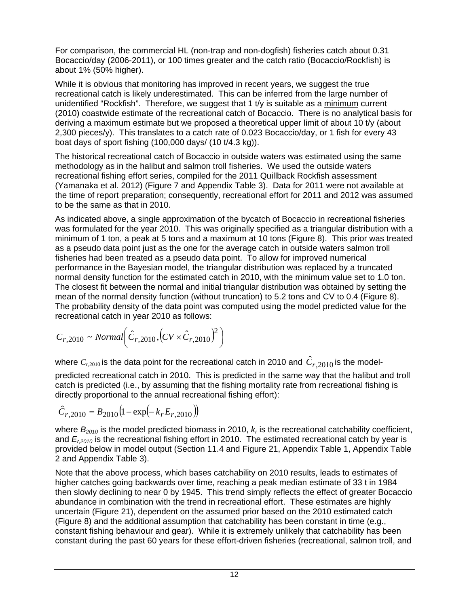For comparison, the commercial HL (non-trap and non-dogfish) fisheries catch about 0.31 Bocaccio/day (2006-2011), or 100 times greater and the catch ratio (Bocaccio/Rockfish) is about 1% (50% higher).

While it is obvious that monitoring has improved in recent years, we suggest the true recreational catch is likely underestimated. This can be inferred from the large number of unidentified "Rockfish". Therefore, we suggest that 1 t/y is suitable as a minimum current (2010) coastwide estimate of the recreational catch of Bocaccio. There is no analytical basis for deriving a maximum estimate but we proposed a theoretical upper limit of about 10 t/y (about 2,300 pieces/y). This translates to a catch rate of 0.023 Bocaccio/day, or 1 fish for every 43 boat days of sport fishing (100,000 days/ (10 t/4.3 kg)).

The historical recreational catch of Bocaccio in outside waters was estimated using the same methodology as in the halibut and salmon troll fisheries. We used the outside waters recreational fishing effort series, compiled for the 2011 Quillback Rockfish assessment (Yamanaka et al. 2012) ([Figure 7](#page-18-1) and [Appendix Table 3](#page-74-0)). Data for 2011 were not available at the time of report preparation; consequently, recreational effort for 2011 and 2012 was assumed to be the same as that in 2010.

As indicated above, a single approximation of the bycatch of Bocaccio in recreational fisheries was formulated for the year 2010. This was originally specified as a triangular distribution with a minimum of 1 ton, a peak at 5 tons and a maximum at 10 tons [\(Figure 8\)](#page-21-1). This prior was treated as a pseudo data point just as the one for the average catch in outside waters salmon troll fisheries had been treated as a pseudo data point. To allow for improved numerical performance in the Bayesian model, the triangular distribution was replaced by a truncated normal density function for the estimated catch in 2010, with the minimum value set to 1.0 ton. The closest fit between the normal and initial triangular distribution was obtained by setting the mean of the normal density function (without truncation) to 5.2 tons and CV to 0.4 [\(Figure 8\)](#page-21-1). The probability density of the data point was computed using the model predicted value for the recreational catch in year 2010 as follows:

$$
C_{r,2010} \sim Normal \Big( \hat{C}_{r,2010}, (CV \times \hat{C}_{r,2010})^2 \Big)
$$

where  $C_{r,2010}$  is the data point for the recreational catch in 2010 and  $\hat{C}_{r,2010}$  is the modelpredicted recreational catch in 2010. This is predicted in the same way that the halibut and troll catch is predicted (i.e., by assuming that the fishing mortality rate from recreational fishing is directly proportional to the annual recreational fishing effort):

$$
\hat{C}_{r,2010} = B_{2010} (1 - \exp(-k_r E_{r,2010}))
$$

where  $B_{2010}$  is the model predicted biomass in 2010,  $k_r$  is the recreational catchability coefficient, and *Er,2010* is the recreational fishing effort in 2010. The estimated recreational catch by year is provided below in model output (Section 11.4 and [Figure 21](#page-44-0), [Appendix Table 1,](#page-72-1) [Appendix Table](#page-73-0)  [2](#page-73-0) and [Appendix Table 3](#page-74-0)).

Note that the above process, which bases catchability on 2010 results, leads to estimates of higher catches going backwards over time, reaching a peak median estimate of 33 t in 1984 then slowly declining to near 0 by 1945. This trend simply reflects the effect of greater Bocaccio abundance in combination with the trend in recreational effort. These estimates are highly uncertain [\(Figure 21](#page-44-0)), dependent on the assumed prior based on the 2010 estimated catch ([Figure 8](#page-21-1)) and the additional assumption that catchability has been constant in time (e.g., constant fishing behaviour and gear). While it is extremely unlikely that catchability has been constant during the past 60 years for these effort-driven fisheries (recreational, salmon troll, and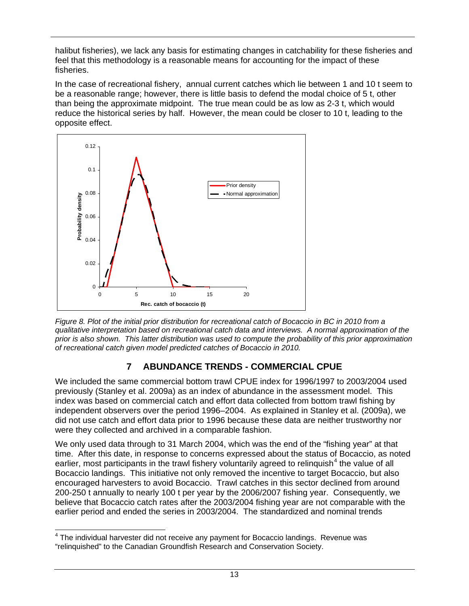halibut fisheries), we lack any basis for estimating changes in catchability for these fisheries and feel that this methodology is a reasonable means for accounting for the impact of these fisheries.

In the case of recreational fishery, annual current catches which lie between 1 and 10 t seem to be a reasonable range; however, there is little basis to defend the modal choice of 5 t, other than being the approximate midpoint. The true mean could be as low as 2-3 t, which would reduce the historical series by half. However, the mean could be closer to 10 t, leading to the opposite effect.



<span id="page-21-1"></span>*Figure 8. Plot of the initial prior distribution for recreational catch of Bocaccio in BC in 2010 from a qualitative interpretation based on recreational catch data and interviews. A normal approximation of the prior is also shown. This latter distribution was used to compute the probability of this prior approximation of recreational catch given model predicted catches of Bocaccio in 2010.* 

## **7 ABUNDANCE TRENDS - COMMERCIAL CPUE**

<span id="page-21-0"></span>We included the same commercial bottom trawl CPUE index for 1996/1997 to 2003/2004 used previously (Stanley et al. 2009a) as an index of abundance in the assessment model. This index was based on commercial catch and effort data collected from bottom trawl fishing by independent observers over the period 1996–2004. As explained in Stanley et al. (2009a), we did not use catch and effort data prior to 1996 because these data are neither trustworthy nor were they collected and archived in a comparable fashion.

We only used data through to 31 March 2004, which was the end of the "fishing year" at that time. After this date, in response to concerns expressed about the status of Bocaccio, as noted earlier, most participants in the trawl fishery voluntarily agreed to relinquish<sup>[4](#page-21-2)</sup> the value of all Bocaccio landings. This initiative not only removed the incentive to target Bocaccio, but also encouraged harvesters to avoid Bocaccio. Trawl catches in this sector declined from around 200-250 t annually to nearly 100 t per year by the 2006/2007 fishing year. Consequently, we believe that Bocaccio catch rates after the 2003/2004 fishing year are not comparable with the earlier period and ended the series in 2003/2004. The standardized and nominal trends

<span id="page-21-2"></span> 4 The individual harvester did not receive any payment for Bocaccio landings. Revenue was "relinquished" to the Canadian Groundfish Research and Conservation Society.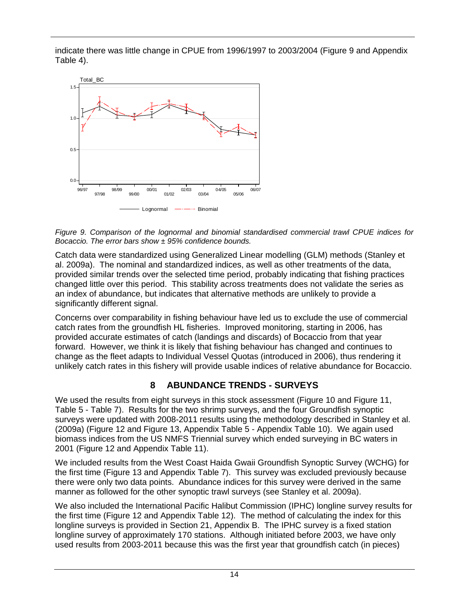indicate there was little change in CPUE from 1996/1997 to 2003/2004 ([Figure 9](#page-22-1) and [Appendix](#page-76-1)  [Table 4\)](#page-76-1).



<span id="page-22-1"></span>*Figure 9. Comparison of the lognormal and binomial standardised commercial trawl CPUE indices for Bocaccio. The error bars show ± 95% confidence bounds.* 

Catch data were standardized using Generalized Linear modelling (GLM) methods (Stanley et al. 2009a). The nominal and standardized indices, as well as other treatments of the data, provided similar trends over the selected time period, probably indicating that fishing practices changed little over this period. This stability across treatments does not validate the series as an index of abundance, but indicates that alternative methods are unlikely to provide a significantly different signal.

Concerns over comparability in fishing behaviour have led us to exclude the use of commercial catch rates from the groundfish HL fisheries. Improved monitoring, starting in 2006, has provided accurate estimates of catch (landings and discards) of Bocaccio from that year forward. However, we think it is likely that fishing behaviour has changed and continues to change as the fleet adapts to Individual Vessel Quotas (introduced in 2006), thus rendering it unlikely catch rates in this fishery will provide usable indices of relative abundance for Bocaccio.

## **8 ABUNDANCE TRENDS - SURVEYS**

<span id="page-22-0"></span>We used the results from eight surveys in this stock assessment [\(Figure 10](#page-24-0) and [Figure 11](#page-24-1), [Table 5](#page-23-0) - [Table 7](#page-23-2)). Results for the two shrimp surveys, and the four Groundfish synoptic surveys were updated with 2008-2011 results using the methodology described in Stanley et al. (2009a) ([Figure 12](#page-25-0) and [Figure 13](#page-26-1), [Appendix Table 5](#page-76-2) - [Appendix Table 10](#page-79-0)). We again used biomass indices from the US NMFS Triennial survey which ended surveying in BC waters in 2001 [\(Figure 12](#page-25-0) and [Appendix Table 11\)](#page-79-1).

We included results from the West Coast Haida Gwaii Groundfish Synoptic Survey (WCHG) for the first time ([Figure 13](#page-26-1) and [Appendix Table 7](#page-78-0)). This survey was excluded previously because there were only two data points. Abundance indices for this survey were derived in the same manner as followed for the other synoptic trawl surveys (see Stanley et al. 2009a).

We also included the International Pacific Halibut Commission (IPHC) longline survey results for the first time ([Figure 12](#page-25-0) and [Appendix Table 12](#page-79-2)). The method of calculating the index for this longline surveys is provided in Section 21, Appendix B. The IPHC survey is a fixed station longline survey of approximately 170 stations. Although initiated before 2003, we have only used results from 2003-2011 because this was the first year that groundfish catch (in pieces)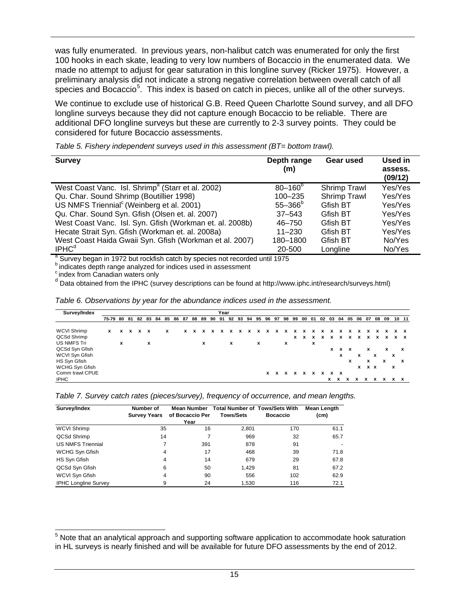was fully enumerated. In previous years, non-halibut catch was enumerated for only the first 100 hooks in each skate, leading to very low numbers of Bocaccio in the enumerated data. We made no attempt to adjust for gear saturation in this longline survey (Ricker 1975). However, a preliminary analysis did not indicate a strong negative correlation between overall catch of all species and Bocaccio<sup>[5](#page-23-3)</sup>. This index is based on catch in pieces, unlike all of the other surveys.

We continue to exclude use of historical G.B. Reed Queen Charlotte Sound survey, and all DFO longline surveys because they did not capture enough Bocaccio to be reliable. There are additional DFO longline surveys but these are currently to 2-3 survey points. They could be considered for future Bocaccio assessments.

<span id="page-23-0"></span>

| <b>Survey</b>                                                                           | Depth range<br>(m) | Gear used       | Used in<br>assess.<br>(09/12) |
|-----------------------------------------------------------------------------------------|--------------------|-----------------|-------------------------------|
| West Coast Vanc. Isl. Shrimp <sup>a</sup> (Starr et al. 2002)                           | $80 - 160^{\circ}$ | Shrimp Trawl    | Yes/Yes                       |
| Qu. Char. Sound Shrimp (Boutillier 1998)                                                | 100-235            | Shrimp Trawl    | Yes/Yes                       |
| US NMFS Triennial <sup>c</sup> (Weinberg et al. 2001)                                   | $55 - 366^{\circ}$ | Gfish BT        | Yes/Yes                       |
| Qu. Char. Sound Syn. Gfish (Olsen et. al. 2007)                                         | $37 - 543$         | Gfish BT        | Yes/Yes                       |
| West Coast Vanc. Isl. Syn. Gfish (Workman et. al. 2008b)                                | 46-750             | Gfish BT        | Yes/Yes                       |
| Hecate Strait Syn. Gfish (Workman et. al. 2008a)                                        | $11 - 230$         | Gfish BT        | Yes/Yes                       |
| West Coast Haida Gwaii Syn. Gfish (Workman et al. 2007)                                 | 180-1800           | <b>Gfish BT</b> | No/Yes                        |
| IPHC <sup>d</sup>                                                                       | 20-500             | Longline        | No/Yes                        |
| <sup>a</sup> Survey began in 1972 but rockfish catch by species not recorded until 1975 |                    |                 |                               |

*Table 5. Fishery independent surveys used in this assessment (BT= bottom trawl).* 

**b** indicates depth range analyzed for indices used in assessment

c index from Canadian waters only

<sup>d</sup> Data obtained from the IPHC (survey descriptions can be found at http://www.iphc.int/research/surveys.html)

<span id="page-23-1"></span>

| Table 6. Observations by year for the abundance indices used in the assessment. |  |
|---------------------------------------------------------------------------------|--|
|---------------------------------------------------------------------------------|--|

|   |             |   |               |              |                |   |    |   |      |              |                   |                   | x | x |                                            |                        | x       | x | x                                    | x                     | x            |              |              |        |                                                               |
|---|-------------|---|---------------|--------------|----------------|---|----|---|------|--------------|-------------------|-------------------|---|---|--------------------------------------------|------------------------|---------|---|--------------------------------------|-----------------------|--------------|--------------|--------------|--------|---------------------------------------------------------------|
| x |             | x |               |              |                | x |    | x |      | $\mathbf{x}$ |                   | х                 |   |   | х                                          |                        |         |   |                                      |                       |              |              |              |        |                                                               |
|   |             |   |               |              |                |   |    |   |      |              |                   |                   |   |   |                                            |                        |         |   |                                      |                       | x            |              | x            |        | $\mathbf{x}$                                                  |
|   |             |   |               |              |                |   |    |   |      |              |                   |                   |   |   |                                            |                        |         | x |                                      | x                     |              | х            |              | x      |                                                               |
|   |             |   |               |              |                |   |    |   |      |              |                   |                   |   |   |                                            |                        |         |   | х                                    |                       | x            |              | х            |        | x                                                             |
|   |             |   |               |              |                |   |    |   |      |              |                   |                   |   |   |                                            |                        |         |   |                                      |                       |              |              |              | x      |                                                               |
|   |             |   |               |              |                |   |    |   |      |              |                   |                   |   |   |                                            | x                      |         |   |                                      |                       |              |              |              |        |                                                               |
|   |             |   |               |              |                |   |    |   |      |              |                   |                   |   |   |                                            |                        |         |   |                                      |                       |              | х            |              |        |                                                               |
| x | 75-79 80 81 |   | 82<br>x x x x | $\mathbf{x}$ | 83 84 85 86 87 |   | 88 |   | Year |              | x x x x x x x x x | x<br>$\mathbf{x}$ | x |   | 89 90 91 92 93 94 95 96 97 98 99<br>x<br>x | 00<br>x<br>x x x x x x | 01<br>x | X | 02 03<br>x<br>x<br>$x \times$<br>x x | 04<br>x<br>$x \times$ | 05<br>x<br>x | 06<br>x<br>x | $x \times x$ | x<br>x | 10 11<br>07 08 09<br>x x<br>x x<br>x x<br>$\mathbf{x}$<br>x x |

<span id="page-23-2"></span>*Table 7. Survey catch rates (pieces/survey), frequency of occurrence, and mean lengths.* 

| Survey/Index                | Number of<br><b>Survey Years</b> | <b>Mean Number</b><br>of Bocaccio Per | <b>Total Number of Tows/Sets With</b><br><b>Tows/Sets</b> | <b>Bocaccio</b> | Mean Length<br>(c <sub>m</sub> ) |
|-----------------------------|----------------------------------|---------------------------------------|-----------------------------------------------------------|-----------------|----------------------------------|
|                             |                                  | Year                                  |                                                           |                 |                                  |
| <b>WCVI Shrimp</b>          | 35                               | 16                                    | 2,801                                                     | 170             | 61.1                             |
| QCSd Shrimp                 | 14                               |                                       | 969                                                       | 32              | 65.7                             |
| <b>US NMFS Triennial</b>    | 7                                | 391                                   | 878                                                       | 91              |                                  |
| WCHG Syn Gfish              | 4                                | 17                                    | 468                                                       | 39              | 71.8                             |
| HS Syn Gfish                | 4                                | 14                                    | 679                                                       | 29              | 67.8                             |
| QCSd Syn Gfish              | 6                                | 50                                    | 1.429                                                     | 81              | 67.2                             |
| WCVI Syn Gfish              | 4                                | 90                                    | 556                                                       | 102             | 62.9                             |
| <b>IPHC Longline Survey</b> | 9                                | 24                                    | 1,530                                                     | 116             | 72.1                             |

<span id="page-23-3"></span>\_\_\_\_\_\_\_\_\_\_\_\_\_\_\_\_\_\_\_\_\_\_\_\_\_\_\_\_\_\_\_\_\_\_\_<br><sup>5</sup> Note that an analytical approach and supporting software application to accommodate hook saturation <sub>\_</sub> in HL surveys is nearly finished and will be available for future DFO assessments by the end of 2012.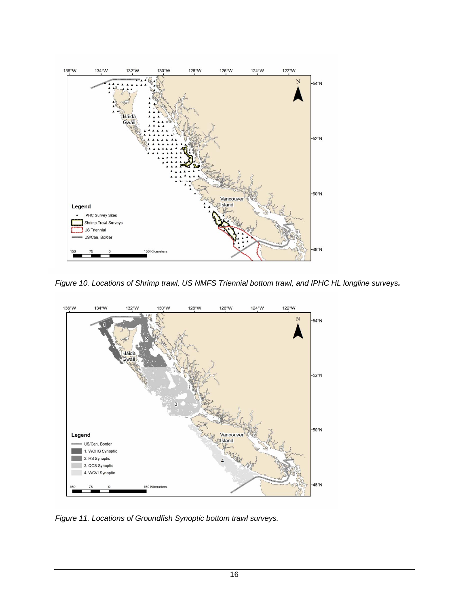

*Figure 10. Locations of Shrimp trawl, US NMFS Triennial bottom trawl, and IPHC HL longline surveys.*

<span id="page-24-0"></span>

<span id="page-24-1"></span>*Figure 11. Locations of Groundfish Synoptic bottom trawl surveys.*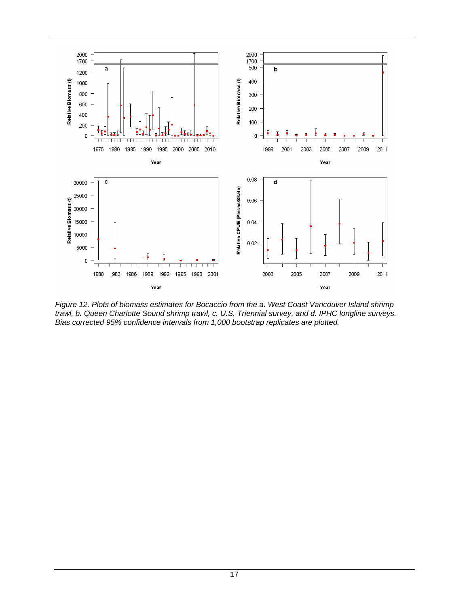

<span id="page-25-0"></span>*Figure 12. Plots of biomass estimates for Bocaccio from the a. West Coast Vancouver Island shrimp trawl, b. Queen Charlotte Sound shrimp trawl, c. U.S. Triennial survey, and d. IPHC longline surveys. Bias corrected 95% confidence intervals from 1,000 bootstrap replicates are plotted.*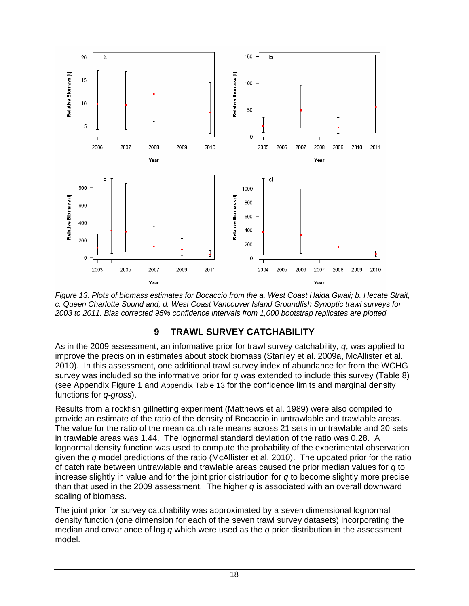

<span id="page-26-1"></span>*Figure 13. Plots of biomass estimates for Bocaccio from the a. West Coast Haida Gwaii; b. Hecate Strait, c. Queen Charlotte Sound and, d. West Coast Vancouver Island Groundfish Synoptic trawl surveys for 2003 to 2011. Bias corrected 95% confidence intervals from 1,000 bootstrap replicates are plotted.* 

### **9 TRAWL SURVEY CATCHABILITY**

<span id="page-26-0"></span>As in the 2009 assessment, an informative prior for trawl survey catchability, *q*, was applied to improve the precision in estimates about stock biomass (Stanley et al. 2009a, McAllister et al. 2010). In this assessment, one additional trawl survey index of abundance for from the WCHG survey was included so the informative prior for *q* was extended to include this survey [\(Table 8](#page-27-1)) (see [Appendix Figure 1](#page-81-0) and [Appendix Table 13](#page-80-1) for the confidence limits and marginal density functions for *q-gross*).

Results from a rockfish gillnetting experiment (Matthews et al. 1989) were also compiled to provide an estimate of the ratio of the density of Bocaccio in untrawlable and trawlable areas. The value for the ratio of the mean catch rate means across 21 sets in untrawlable and 20 sets in trawlable areas was 1.44. The lognormal standard deviation of the ratio was 0.28. A lognormal density function was used to compute the probability of the experimental observation given the *q* model predictions of the ratio (McAllister et al. 2010). The updated prior for the ratio of catch rate between untrawlable and trawlable areas caused the prior median values for *q* to increase slightly in value and for the joint prior distribution for *q* to become slightly more precise than that used in the 2009 assessment. The higher *q* is associated with an overall downward scaling of biomass.

The joint prior for survey catchability was approximated by a seven dimensional lognormal density function (one dimension for each of the seven trawl survey datasets) incorporating the median and covariance of log *q* which were used as the *q* prior distribution in the assessment model.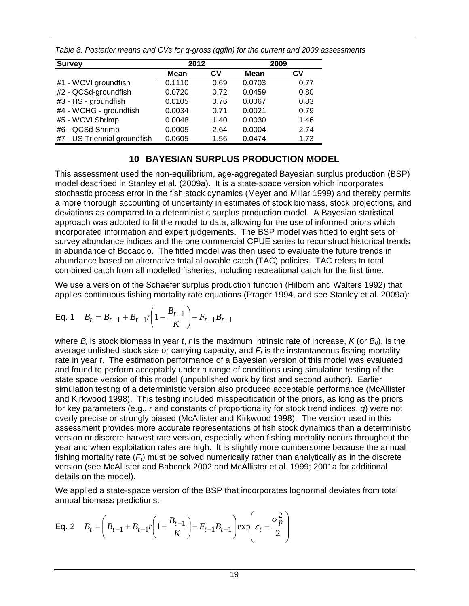| <b>Survey</b>                | 2012   |      | 2009        |      |  |  |
|------------------------------|--------|------|-------------|------|--|--|
|                              | Mean   | Cν   | <b>Mean</b> | C٧   |  |  |
| #1 - WCVI groundfish         | 0.1110 | 0.69 | 0.0703      | 0.77 |  |  |
| #2 - QCSd-groundfish         | 0.0720 | 0.72 | 0.0459      | 0.80 |  |  |
| #3 - HS - groundfish         | 0.0105 | 0.76 | 0.0067      | 0.83 |  |  |
| #4 - WCHG - groundfish       | 0.0034 | 0.71 | 0.0021      | 0.79 |  |  |
| #5 - WCVI Shrimp             | 0.0048 | 1.40 | 0.0030      | 1.46 |  |  |
| #6 - QCSd Shrimp             | 0.0005 | 2.64 | 0.0004      | 2.74 |  |  |
| #7 - US Triennial groundfish | 0.0605 | 1.56 | 0.0474      | 1.73 |  |  |

<span id="page-27-1"></span>*Table 8. Posterior means and CVs for q-gross (qgfin) for the current and 2009 assessments* 

### **10 BAYESIAN SURPLUS PRODUCTION MODEL**

<span id="page-27-0"></span>This assessment used the non-equilibrium, age-aggregated Bayesian surplus production (BSP) model described in Stanley et al. (2009a). It is a state-space version which incorporates stochastic process error in the fish stock dynamics (Meyer and Millar 1999) and thereby permits a more thorough accounting of uncertainty in estimates of stock biomass, stock projections, and deviations as compared to a deterministic surplus production model. A Bayesian statistical approach was adopted to fit the model to data, allowing for the use of informed priors which incorporated information and expert judgements. The BSP model was fitted to eight sets of survey abundance indices and the one commercial CPUE series to reconstruct historical trends in abundance of Bocaccio. The fitted model was then used to evaluate the future trends in abundance based on alternative total allowable catch (TAC) policies. TAC refers to total combined catch from all modelled fisheries, including recreational catch for the first time.

We use a version of the Schaefer surplus production function (Hilborn and Walters 1992) that applies continuous fishing mortality rate equations (Prager 1994, and see Stanley et al. 2009a):

Eq. 1 
$$
B_t = B_{t-1} + B_{t-1}r\left(1 - \frac{B_{t-1}}{K}\right) - F_{t-1}B_{t-1}
$$

where  $B_t$  is stock biomass in year *t*, *r* is the maximum intrinsic rate of increase,  $K$  (or  $B_0$ ), is the average unfished stock size or carrying capacity, and  $F_t$  is the instantaneous fishing mortality rate in year *t*. The estimation performance of a Bayesian version of this model was evaluated and found to perform acceptably under a range of conditions using simulation testing of the state space version of this model (unpublished work by first and second author). Earlier simulation testing of a deterministic version also produced acceptable performance (McAllister and Kirkwood 1998). This testing included misspecification of the priors, as long as the priors for key parameters (e.g., *r* and constants of proportionality for stock trend indices, *q*) were not overly precise or strongly biased (McAllister and Kirkwood 1998). The version used in this assessment provides more accurate representations of fish stock dynamics than a deterministic version or discrete harvest rate version, especially when fishing mortality occurs throughout the year and when exploitation rates are high. It is slightly more cumbersome because the annual fishing mortality rate  $(F<sub>i</sub>)$  must be solved numerically rather than analytically as in the discrete version (see McAllister and Babcock 2002 and McAllister et al. 1999; 2001a for additional details on the model).

We applied a state-space version of the BSP that incorporates lognormal deviates from total annual biomass predictions:

Eq. 2 
$$
B_t = \left(B_{t-1} + B_{t-1}r\left(1 - \frac{B_{t-1}}{K}\right) - F_{t-1}B_{t-1}\right) \exp\left(\varepsilon_t - \frac{\sigma_p^2}{2}\right)
$$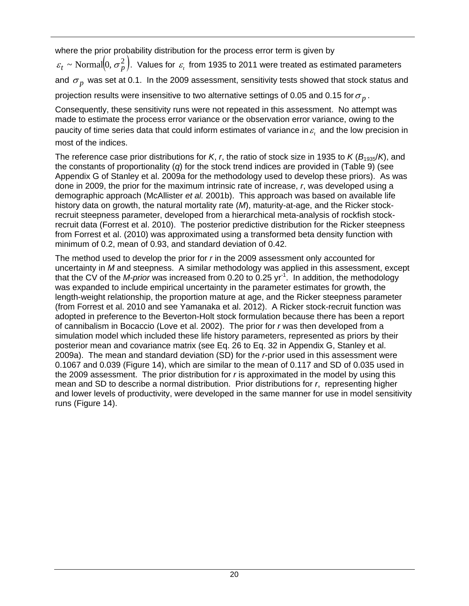where the prior probability distribution for the process error term is given by

 $\varepsilon_t$  ~ Normal $\left( 0, \sigma_p^2 \right)$ . Values for  $\varepsilon_{\rm r}$  from 1935 to 2011 were treated as estimated parameters and  $\sigma_p$  was set at 0.1. In the 2009 assessment, sensitivity tests showed that stock status and projection results were insensitive to two alternative settings of 0.05 and 0.15 for  $\sigma_p$ .

Consequently, these sensitivity runs were not repeated in this assessment. No attempt was made to estimate the process error variance or the observation error variance, owing to the paucity of time series data that could inform estimates of variance in  $\varepsilon$ , and the low precision in most of the indices.

The reference case prior distributions for *K*, *r*, the ratio of stock size in 1935 to *K* ( $B_{1935}/K$ ), and the constants of proportionality (*q*) for the stock trend indices are provided in [\(Table 9\)](#page-29-0) (see Appendix G of Stanley et al. 2009a for the methodology used to develop these priors). As was done in 2009, the prior for the maximum intrinsic rate of increase, *r*, was developed using a demographic approach (McAllister *et al.* 2001b). This approach was based on available life history data on growth, the natural mortality rate (*M*), maturity-at-age, and the Ricker stockrecruit steepness parameter, developed from a hierarchical meta-analysis of rockfish stockrecruit data (Forrest et al. 2010). The posterior predictive distribution for the Ricker steepness from Forrest et al. (2010) was approximated using a transformed beta density function with minimum of 0.2, mean of 0.93, and standard deviation of 0.42.

The method used to develop the prior for *r* in the 2009 assessment only accounted for uncertainty in *M* and steepness. A similar methodology was applied in this assessment, except that the CV of the *M-prior* was increased from 0.20 to 0.25 yr<sup>-1</sup>. In addition, the methodology was expanded to include empirical uncertainty in the parameter estimates for growth, the length-weight relationship, the proportion mature at age, and the Ricker steepness parameter (from Forrest et al. 2010 and see Yamanaka et al. 2012). A Ricker stock-recruit function was adopted in preference to the Beverton-Holt stock formulation because there has been a report of cannibalism in Bocaccio (Love et al. 2002). The prior for *r* was then developed from a simulation model which included these life history parameters, represented as priors by their posterior mean and covariance matrix (see Eq. 26 to Eq. 32 in Appendix G, Stanley et al. 2009a). The mean and standard deviation (SD) for the *r*-prior used in this assessment were 0.1067 and 0.039 [\(Figure 14\)](#page-29-1), which are similar to the mean of 0.117 and SD of 0.035 used in the 2009 assessment. The prior distribution for *r* is approximated in the model by using this mean and SD to describe a normal distribution. Prior distributions for *r*, representing higher and lower levels of productivity, were developed in the same manner for use in model sensitivity runs [\(Figure 14\)](#page-29-1).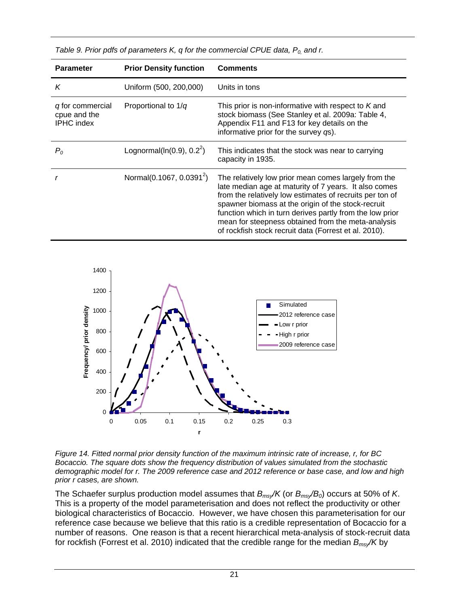<span id="page-29-0"></span>

| <b>Parameter</b>                                      | <b>Prior Density function</b>             | <b>Comments</b>                                                                                                                                                                                                                                                                                                                                                                                            |
|-------------------------------------------------------|-------------------------------------------|------------------------------------------------------------------------------------------------------------------------------------------------------------------------------------------------------------------------------------------------------------------------------------------------------------------------------------------------------------------------------------------------------------|
| K                                                     | Uniform (500, 200,000)                    | Units in tons                                                                                                                                                                                                                                                                                                                                                                                              |
| q for commercial<br>cpue and the<br><b>IPHC</b> index | Proportional to $1/q$                     | This prior is non-informative with respect to K and<br>stock biomass (See Stanley et al. 2009a: Table 4,<br>Appendix F11 and F13 for key details on the<br>informative prior for the survey qs).                                                                                                                                                                                                           |
| $P_{0}$                                               | Lognormal( $ln(0.9)$ , 0.2 <sup>2</sup> ) | This indicates that the stock was near to carrying<br>capacity in 1935.                                                                                                                                                                                                                                                                                                                                    |
|                                                       | Normal(0.1067, 0.0391 <sup>2</sup> )      | The relatively low prior mean comes largely from the<br>late median age at maturity of 7 years. It also comes<br>from the relatively low estimates of recruits per ton of<br>spawner biomass at the origin of the stock-recruit<br>function which in turn derives partly from the low prior<br>mean for steepness obtained from the meta-analysis<br>of rockfish stock recruit data (Forrest et al. 2010). |

*Table 9. Prior pdfs of parameters K, q for the commercial CPUE data, P<sub>0,</sub> and r.* 



<span id="page-29-1"></span>*Figure 14. Fitted normal prior density function of the maximum intrinsic rate of increase, r, for BC Bocaccio. The square dots show the frequency distribution of values simulated from the stochastic demographic model for r. The 2009 reference case and 2012 reference or base case, and low and high prior r cases, are shown.*

The Schaefer surplus production model assumes that *Bmsy/K* (or *Bmsy/B0*) occurs at 50% of *K*. This is a property of the model parameterisation and does not reflect the productivity or other biological characteristics of Bocaccio. However, we have chosen this parameterisation for our reference case because we believe that this ratio is a credible representation of Bocaccio for a number of reasons. One reason is that a recent hierarchical meta-analysis of stock-recruit data for rockfish (Forrest et al. 2010) indicated that the credible range for the median *Bmsy/K* by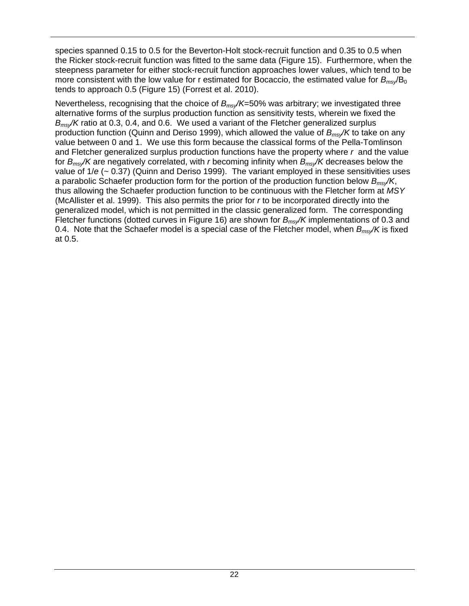species spanned 0.15 to 0.5 for the Beverton-Holt stock-recruit function and 0.35 to 0.5 when the Ricker stock-recruit function was fitted to the same data [\(Figure 15\)](#page-31-0). Furthermore, when the steepness parameter for either stock-recruit function approaches lower values, which tend to be more consistent with the low value for r estimated for Bocaccio, the estimated value for  $B_{ms}/B_0$ tends to approach 0.5 [\(Figure 15\)](#page-31-0) (Forrest et al. 2010).

Nevertheless, recognising that the choice of *Bmsy/K*=50% was arbitrary; we investigated three alternative forms of the surplus production function as sensitivity tests, wherein we fixed the *Bmsy/K* ratio at 0.3, 0.4, and 0.6. We used a variant of the Fletcher generalized surplus production function (Quinn and Deriso 1999), which allowed the value of *Bmsy/K* to take on any value between 0 and 1. We use this form because the classical forms of the Pella-Tomlinson and Fletcher generalized surplus production functions have the property where *r* and the value for *Bmsy/K* are negatively correlated, with *r* becoming infinity when *Bmsy/K* decreases below the value of 1/*e* (~ 0.37) (Quinn and Deriso 1999). The variant employed in these sensitivities uses a parabolic Schaefer production form for the portion of the production function below *Bmsy/K*, thus allowing the Schaefer production function to be continuous with the Fletcher form at *MSY* (McAllister et al. 1999). This also permits the prior for *r* to be incorporated directly into the generalized model, which is not permitted in the classic generalized form. The corresponding Fletcher functions (dotted curves in [Figure 16\)](#page-32-3) are shown for  $B_{ms}/K$  implementations of 0.3 and 0.4. Note that the Schaefer model is a special case of the Fletcher model, when *Bmsy/K* is fixed at 0.5.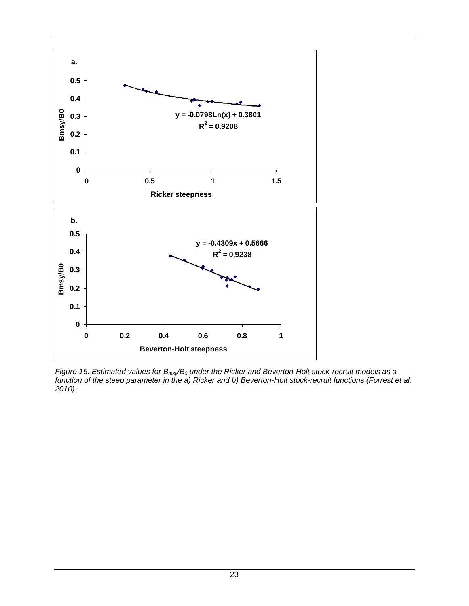

<span id="page-31-0"></span>*Figure 15. Estimated values for*  $B_{\text{msy}}/B_0$  *under the Ricker and Beverton-Holt stock-recruit models as a function of the steep parameter in the a) Ricker and b) Beverton-Holt stock-recruit functions (Forrest et al. 2010).*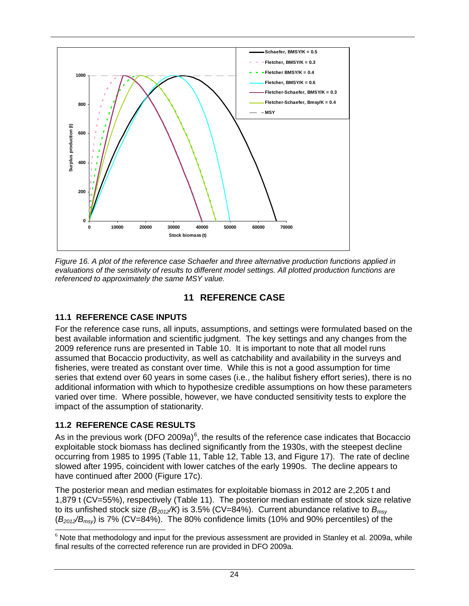

<span id="page-32-3"></span>*Figure 16. A plot of the reference case Schaefer and three alternative production functions applied in evaluations of the sensitivity of results to different model settings. All plotted production functions are referenced to approximately the same MSY value.* 

#### **11 REFERENCE CASE**

#### <span id="page-32-1"></span><span id="page-32-0"></span>**11.1 REFERENCE CASE INPUTS**

For the reference case runs, all inputs, assumptions, and settings were formulated based on the best available information and scientific judgment. The key settings and any changes from the 2009 reference runs are presented in [Table 10.](#page-34-0) It is important to note that all model runs assumed that Bocaccio productivity, as well as catchability and availability in the surveys and fisheries, were treated as constant over time. While this is not a good assumption for time series that extend over 60 years in some cases (i.e., the halibut fishery effort series), there is no additional information with which to hypothesize credible assumptions on how these parameters varied over time. Where possible, however, we have conducted sensitivity tests to explore the impact of the assumption of stationarity.

#### <span id="page-32-2"></span>**11.2 REFERENCE CASE RESULTS**

As in the previous work (DFO 2009a) $^6$  $^6$ , the results of the reference case indicates that Bocaccio exploitable stock biomass has declined significantly from the 1930s, with the steepest decline occurring from 1985 to 1995 [\(Table 11](#page-35-0), [Table 12,](#page-36-0) [Table 13,](#page-37-0) and [Figure 17\)](#page-38-0). The rate of decline slowed after 1995, coincident with lower catches of the early 1990s. The decline appears to have continued after 2000 ([Figure 17](#page-38-0)c).

The posterior mean and median estimates for exploitable biomass in 2012 are 2,205 t and 1,879 t (CV=55%), respectively ([Table 11](#page-35-0)). The posterior median estimate of stock size relative to its unfished stock size  $(B_{2012}/K)$  is 3.5% (CV=84%). Current abundance relative to  $B_{\text{msv}}$ (*B2012/Bmsy*) is 7% (CV=84%). The 80% confidence limits (10% and 90% percentiles) of the

<span id="page-32-4"></span>l  $6$  Note that methodology and input for the previous assessment are provided in Stanley et al. 2009a, while final results of the corrected reference run are provided in DFO 2009a.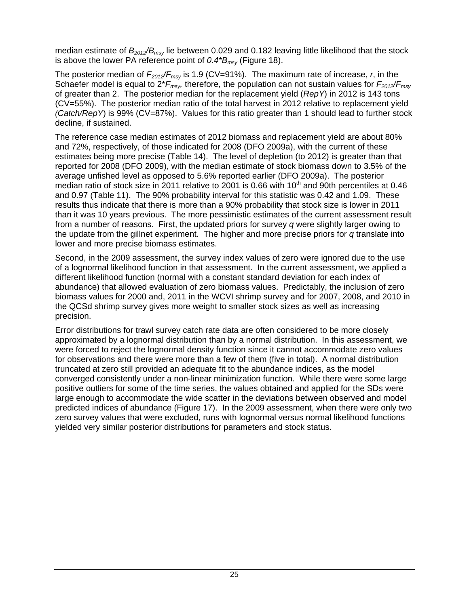median estimate of *B2012/Bmsy* lie between 0.029 and 0.182 leaving little likelihood that the stock is above the lower PA reference point of *0.4\*Bmsy* ([Figure 18](#page-39-1)).

The posterior median of *F2012/Fmsy* is 1.9 (CV=91%). The maximum rate of increase, *r*, in the Schaefer model is equal to  $2*F_{msy}$ , therefore, the population can not sustain values for  $F_{2012}/F_{msv}$ of greater than 2. The posterior median for the replacement yield (*RepY*) in 2012 is 143 tons (CV=55%). The posterior median ratio of the total harvest in 2012 relative to replacement yield *(Catch/RepY*) is 99% (CV=87%). Values for this ratio greater than 1 should lead to further stock decline, if sustained.

The reference case median estimates of 2012 biomass and replacement yield are about 80% and 72%, respectively, of those indicated for 2008 (DFO 2009a), with the current of these estimates being more precise [\(Table 14](#page-37-1)). The level of depletion (to 2012) is greater than that reported for 2008 (DFO 2009), with the median estimate of stock biomass down to 3.5% of the average unfished level as opposed to 5.6% reported earlier (DFO 2009a). The posterior median ratio of stock size in 2011 relative to 2001 is 0.66 with  $10<sup>th</sup>$  and 90th percentiles at 0.46 and 0.97 ([Table 11](#page-35-0)). The 90% probability interval for this statistic was 0.42 and 1.09. These results thus indicate that there is more than a 90% probability that stock size is lower in 2011 than it was 10 years previous. The more pessimistic estimates of the current assessment result from a number of reasons. First, the updated priors for survey *q* were slightly larger owing to the update from the gillnet experiment. The higher and more precise priors for *q* translate into lower and more precise biomass estimates.

Second, in the 2009 assessment, the survey index values of zero were ignored due to the use of a lognormal likelihood function in that assessment. In the current assessment, we applied a different likelihood function (normal with a constant standard deviation for each index of abundance) that allowed evaluation of zero biomass values. Predictably, the inclusion of zero biomass values for 2000 and, 2011 in the WCVI shrimp survey and for 2007, 2008, and 2010 in the QCSd shrimp survey gives more weight to smaller stock sizes as well as increasing precision.

Error distributions for trawl survey catch rate data are often considered to be more closely approximated by a lognormal distribution than by a normal distribution. In this assessment, we were forced to reject the lognormal density function since it cannot accommodate zero values for observations and there were more than a few of them (five in total). A normal distribution truncated at zero still provided an adequate fit to the abundance indices, as the model converged consistently under a non-linear minimization function. While there were some large positive outliers for some of the time series, the values obtained and applied for the SDs were large enough to accommodate the wide scatter in the deviations between observed and model predicted indices of abundance [\(Figure 17](#page-38-0)). In the 2009 assessment, when there were only two zero survey values that were excluded, runs with lognormal versus normal likelihood functions yielded very similar posterior distributions for parameters and stock status.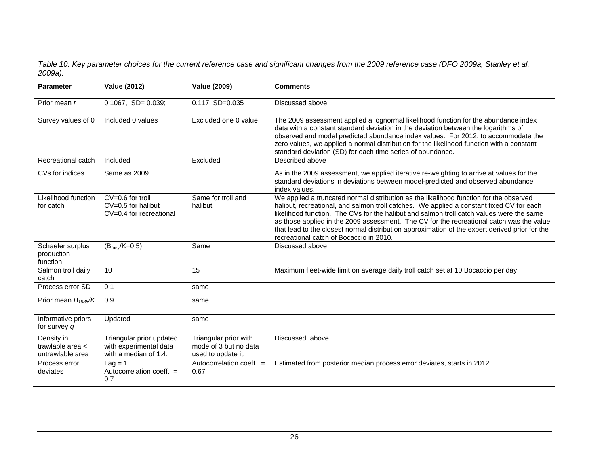#### *Table 10. Key parameter choices for the current reference case and significant changes from the 2009 reference case (DFO 2009a, Stanley et al. 2009a).*

<span id="page-34-0"></span>

| <b>Parameter</b>                                       | <b>Value (2012)</b>                                                         | <b>Value (2009)</b>                                                  | <b>Comments</b>                                                                                                                                                                                                                                                                                                                                                                                                                                                                                                         |
|--------------------------------------------------------|-----------------------------------------------------------------------------|----------------------------------------------------------------------|-------------------------------------------------------------------------------------------------------------------------------------------------------------------------------------------------------------------------------------------------------------------------------------------------------------------------------------------------------------------------------------------------------------------------------------------------------------------------------------------------------------------------|
| Prior mean r                                           | $0.1067$ , SD= $0.039$ ;                                                    | $0.117; SD=0.035$                                                    | Discussed above                                                                                                                                                                                                                                                                                                                                                                                                                                                                                                         |
| Survey values of $0$                                   | Included 0 values                                                           | Excluded one 0 value                                                 | The 2009 assessment applied a lognormal likelihood function for the abundance index<br>data with a constant standard deviation in the deviation between the logarithms of<br>observed and model predicted abundance index values. For 2012, to accommodate the<br>zero values, we applied a normal distribution for the likelihood function with a constant<br>standard deviation (SD) for each time series of abundance.                                                                                               |
| Recreational catch                                     | Included                                                                    | Excluded                                                             | Described above                                                                                                                                                                                                                                                                                                                                                                                                                                                                                                         |
| CVs for indices                                        | Same as 2009                                                                |                                                                      | As in the 2009 assessment, we applied iterative re-weighting to arrive at values for the<br>standard deviations in deviations between model-predicted and observed abundance<br>index values.                                                                                                                                                                                                                                                                                                                           |
| Likelihood function<br>for catch                       | $CV=0.6$ for troll<br>$CV=0.5$ for halibut<br>$CV=0.4$ for recreational     | Same for troll and<br>halibut                                        | We applied a truncated normal distribution as the likelihood function for the observed<br>halibut, recreational, and salmon troll catches. We applied a constant fixed CV for each<br>likelihood function. The CVs for the halibut and salmon troll catch values were the same<br>as those applied in the 2009 assessment. The CV for the recreational catch was the value<br>that lead to the closest normal distribution approximation of the expert derived prior for the<br>recreational catch of Bocaccio in 2010. |
| Schaefer surplus<br>production<br>function             | $(B_{msy}/K=0.5);$                                                          | Same                                                                 | Discussed above                                                                                                                                                                                                                                                                                                                                                                                                                                                                                                         |
| Salmon troll daily<br>catch                            | 10                                                                          | 15                                                                   | Maximum fleet-wide limit on average daily troll catch set at 10 Bocaccio per day.                                                                                                                                                                                                                                                                                                                                                                                                                                       |
| Process error SD                                       | 0.1                                                                         | same                                                                 |                                                                                                                                                                                                                                                                                                                                                                                                                                                                                                                         |
| Prior mean $B_{1935}/K$                                | 0.9                                                                         | same                                                                 |                                                                                                                                                                                                                                                                                                                                                                                                                                                                                                                         |
| Informative priors<br>for survey $q$                   | Updated                                                                     | same                                                                 |                                                                                                                                                                                                                                                                                                                                                                                                                                                                                                                         |
| Density in<br>trawlable area $\lt$<br>untrawlable area | Triangular prior updated<br>with experimental data<br>with a median of 1.4. | Triangular prior with<br>mode of 3 but no data<br>used to update it. | Discussed above                                                                                                                                                                                                                                                                                                                                                                                                                                                                                                         |
| Process error<br>deviates                              | $Lag = 1$<br>Autocorrelation coeff. $=$<br>0.7                              | Autocorrelation coeff. $=$<br>0.67                                   | Estimated from posterior median process error deviates, starts in 2012.                                                                                                                                                                                                                                                                                                                                                                                                                                                 |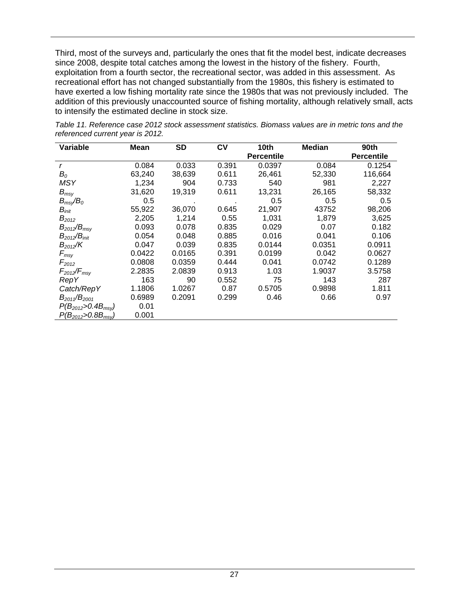Third, most of the surveys and, particularly the ones that fit the model best, indicate decreases since 2008, despite total catches among the lowest in the history of the fishery. Fourth, exploitation from a fourth sector, the recreational sector, was added in this assessment. As recreational effort has not changed substantially from the 1980s, this fishery is estimated to have exerted a low fishing mortality rate since the 1980s that was not previously included. The addition of this previously unaccounted source of fishing mortality, although relatively small, acts to intensify the estimated decline in stock size.

| Variable                          | Mean   | <b>SD</b> | C۷    | 10th              | <b>Median</b> | 90th              |
|-----------------------------------|--------|-----------|-------|-------------------|---------------|-------------------|
|                                   |        |           |       | <b>Percentile</b> |               | <b>Percentile</b> |
| r                                 | 0.084  | 0.033     | 0.391 | 0.0397            | 0.084         | 0.1254            |
| $B_{\rm 0}$                       | 63,240 | 38,639    | 0.611 | 26,461            | 52,330        | 116,664           |
| <b>MSY</b>                        | 1,234  | 904       | 0.733 | 540               | 981           | 2,227             |
| $B_{msv}$                         | 31,620 | 19,319    | 0.611 | 13,231            | 26,165        | 58,332            |
| $B_{msy}/B_0$                     | 0.5    |           |       | 0.5               | 0.5           | 0.5               |
| $B_{init}$                        | 55,922 | 36,070    | 0.645 | 21,907            | 43752         | 98,206            |
| $B_{2012}$                        | 2,205  | 1,214     | 0.55  | 1,031             | 1,879         | 3,625             |
| $B_{2012}/B_{msv}$                | 0.093  | 0.078     | 0.835 | 0.029             | 0.07          | 0.182             |
| $B_{2012}/B_{init}$               | 0.054  | 0.048     | 0.885 | 0.016             | 0.041         | 0.106             |
| $B_{2012}/K$                      | 0.047  | 0.039     | 0.835 | 0.0144            | 0.0351        | 0.0911            |
| $F_{\text{msy}}$                  | 0.0422 | 0.0165    | 0.391 | 0.0199            | 0.042         | 0.0627            |
| $F_{2012}$                        | 0.0808 | 0.0359    | 0.444 | 0.041             | 0.0742        | 0.1289            |
| $F_{2012}/F_{\text{msy}}$         | 2.2835 | 2.0839    | 0.913 | 1.03              | 1.9037        | 3.5758            |
| <b>RepY</b>                       | 163    | 90        | 0.552 | 75                | 143           | 287               |
| Catch/RepY                        | 1.1806 | 1.0267    | 0.87  | 0.5705            | 0.9898        | 1.811             |
| $B_{2011}/B_{2001}$               | 0.6989 | 0.2091    | 0.299 | 0.46              | 0.66          | 0.97              |
| $P(B_{2012} > 0.4B_{\text{msy}})$ | 0.01   |           |       |                   |               |                   |
| $P(B_{2012} > 0.8B_{msv})$        | 0.001  |           |       |                   |               |                   |

<span id="page-35-0"></span>*Table 11. Reference case 2012 stock assessment statistics. Biomass values are in metric tons and the referenced current year is 2012.*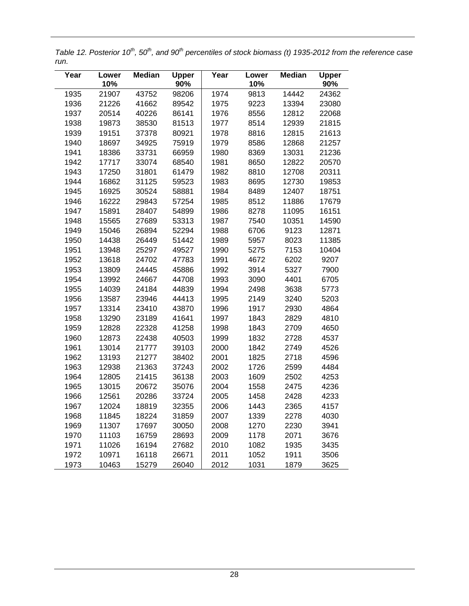*Table 12. Posterior 10<sup>th</sup>, 50<sup>th</sup>, and 90<sup>th</sup> percentiles of stock biomass (t) 1935-2012 from the reference case run.* 

| Year | Lower<br>10% | <b>Median</b> | <b>Upper</b><br>90% | Year | Lower<br>10% | <b>Median</b> | <b>Upper</b><br>90% |
|------|--------------|---------------|---------------------|------|--------------|---------------|---------------------|
| 1935 | 21907        | 43752         | 98206               | 1974 | 9813         | 14442         | 24362               |
| 1936 | 21226        | 41662         | 89542               | 1975 | 9223         | 13394         | 23080               |
| 1937 | 20514        | 40226         | 86141               | 1976 | 8556         | 12812         | 22068               |
| 1938 | 19873        | 38530         | 81513               | 1977 | 8514         | 12939         | 21815               |
| 1939 | 19151        | 37378         | 80921               | 1978 | 8816         | 12815         | 21613               |
| 1940 | 18697        | 34925         | 75919               | 1979 | 8586         | 12868         | 21257               |
| 1941 | 18386        | 33731         | 66959               | 1980 | 8369         | 13031         | 21236               |
| 1942 | 17717        | 33074         | 68540               | 1981 | 8650         | 12822         | 20570               |
| 1943 | 17250        | 31801         | 61479               | 1982 | 8810         | 12708         | 20311               |
| 1944 | 16862        | 31125         | 59523               | 1983 | 8695         | 12730         | 19853               |
| 1945 | 16925        | 30524         | 58881               | 1984 | 8489         | 12407         | 18751               |
| 1946 | 16222        | 29843         | 57254               | 1985 | 8512         | 11886         | 17679               |
| 1947 | 15891        | 28407         | 54899               | 1986 | 8278         | 11095         | 16151               |
| 1948 | 15565        | 27689         | 53313               | 1987 | 7540         | 10351         | 14590               |
| 1949 | 15046        | 26894         | 52294               | 1988 | 6706         | 9123          | 12871               |
| 1950 | 14438        | 26449         | 51442               | 1989 | 5957         | 8023          | 11385               |
| 1951 | 13948        | 25297         | 49527               | 1990 | 5275         | 7153          | 10404               |
| 1952 | 13618        | 24702         | 47783               | 1991 | 4672         | 6202          | 9207                |
| 1953 | 13809        | 24445         | 45886               | 1992 | 3914         | 5327          | 7900                |
| 1954 | 13992        | 24667         | 44708               | 1993 | 3090         | 4401          | 6705                |
| 1955 | 14039        | 24184         | 44839               | 1994 | 2498         | 3638          | 5773                |
| 1956 | 13587        | 23946         | 44413               | 1995 | 2149         | 3240          | 5203                |
| 1957 | 13314        | 23410         | 43870               | 1996 | 1917         | 2930          | 4864                |
| 1958 | 13290        | 23189         | 41641               | 1997 | 1843         | 2829          | 4810                |
| 1959 | 12828        | 22328         | 41258               | 1998 | 1843         | 2709          | 4650                |
| 1960 | 12873        | 22438         | 40503               | 1999 | 1832         | 2728          | 4537                |
| 1961 | 13014        | 21777         | 39103               | 2000 | 1842         | 2749          | 4526                |
| 1962 | 13193        | 21277         | 38402               | 2001 | 1825         | 2718          | 4596                |
| 1963 | 12938        | 21363         | 37243               | 2002 | 1726         | 2599          | 4484                |
| 1964 | 12805        | 21415         | 36138               | 2003 | 1609         | 2502          | 4253                |
| 1965 | 13015        | 20672         | 35076               | 2004 | 1558         | 2475          | 4236                |
| 1966 | 12561        | 20286         | 33724               | 2005 | 1458         | 2428          | 4233                |
| 1967 | 12024        | 18819         | 32355               | 2006 | 1443         | 2365          | 4157                |
| 1968 | 11845        | 18224         | 31859               | 2007 | 1339         | 2278          | 4030                |
| 1969 | 11307        | 17697         | 30050               | 2008 | 1270         | 2230          | 3941                |
| 1970 | 11103        | 16759         | 28693               | 2009 | 1178         | 2071          | 3676                |
| 1971 | 11026        | 16194         | 27682               | 2010 | 1082         | 1935          | 3435                |
| 1972 | 10971        | 16118         | 26671               | 2011 | 1052         | 1911          | 3506                |
| 1973 | 10463        | 15279         | 26040               | 2012 | 1031         | 1879          | 3625                |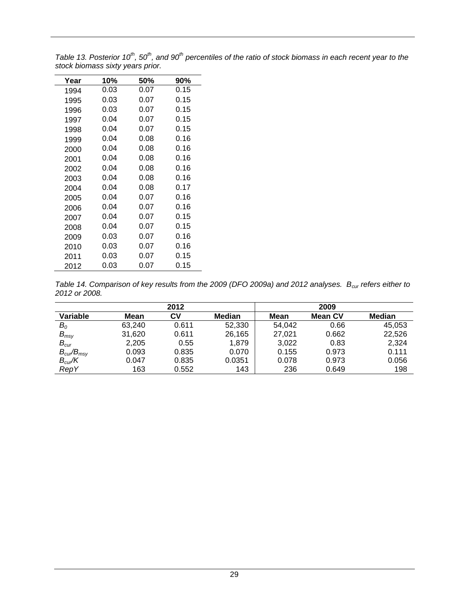*Table 13. Posterior 10<sup>th</sup>, 50<sup>th</sup>, and 90<sup>th</sup> percentiles of the ratio of stock biomass in each recent year to the stock biomass sixty years prior.* 

| Year | 10%  | 50%  | 90%  |
|------|------|------|------|
| 1994 | 0.03 | 0.07 | 0.15 |
| 1995 | 0.03 | 0.07 | 0.15 |
| 1996 | 0.03 | 0.07 | 0.15 |
| 1997 | 0.04 | 0.07 | 0.15 |
| 1998 | 0.04 | 0.07 | 0.15 |
| 1999 | 0.04 | 0.08 | 0.16 |
| 2000 | 0.04 | 0.08 | 0.16 |
| 2001 | 0.04 | 0.08 | 0.16 |
| 2002 | 0.04 | 0.08 | 0.16 |
| 2003 | 0.04 | 0.08 | 0.16 |
| 2004 | 0.04 | 0.08 | 0.17 |
| 2005 | 0.04 | 0.07 | 0.16 |
| 2006 | 0.04 | 0.07 | 0.16 |
| 2007 | 0.04 | 0.07 | 0.15 |
| 2008 | 0.04 | 0.07 | 0.15 |
| 2009 | 0.03 | 0.07 | 0.16 |
| 2010 | 0.03 | 0.07 | 0.16 |
| 2011 | 0.03 | 0.07 | 0.15 |
| 2012 | 0.03 | 0.07 | 0.15 |

*Table 14. Comparison of key results from the 2009 (DFO 2009a) and 2012 analyses. B<sub>cur</sub> refers either to 2012 or 2008.* 

|                                 |        | 2012  |        |        | 2009           |        |
|---------------------------------|--------|-------|--------|--------|----------------|--------|
| Variable                        | Mean   | СV    | Median | Mean   | <b>Mean CV</b> | Median |
| $B_{\rm 0}$                     | 63.240 | 0.611 | 52,330 | 54,042 | 0.66           | 45,053 |
| $B_{msy}$                       | 31,620 | 0.611 | 26,165 | 27,021 | 0.662          | 22,526 |
| $B_{\text{cur}}$                | 2,205  | 0.55  | 1.879  | 3,022  | 0.83           | 2,324  |
| $B_{\text{cur}}/B_{\text{msy}}$ | 0.093  | 0.835 | 0.070  | 0.155  | 0.973          | 0.111  |
| $B_{\text{cur}}/K$              | 0.047  | 0.835 | 0.0351 | 0.078  | 0.973          | 0.056  |
| <b>RepY</b>                     | 163    | 0.552 | 143    | 236    | 0.649          | 198    |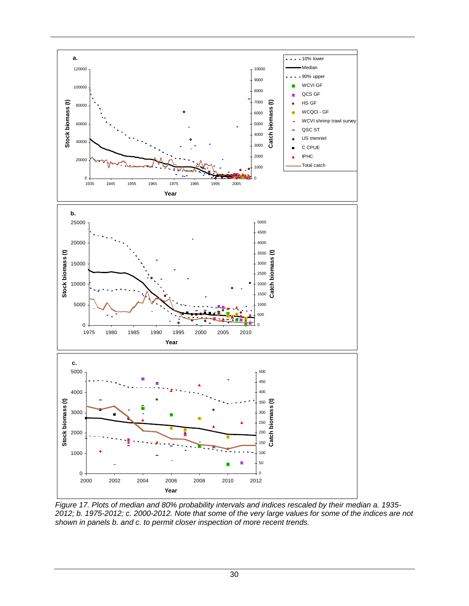

<span id="page-38-0"></span>*Figure 17. Plots of median and 80% probability intervals and indices rescaled by their median a. 1935- 2012; b. 1975-2012; c. 2000-2012. Note that some of the very large values for some of the indices are not shown in panels b. and c. to permit closer inspection of more recent trends.*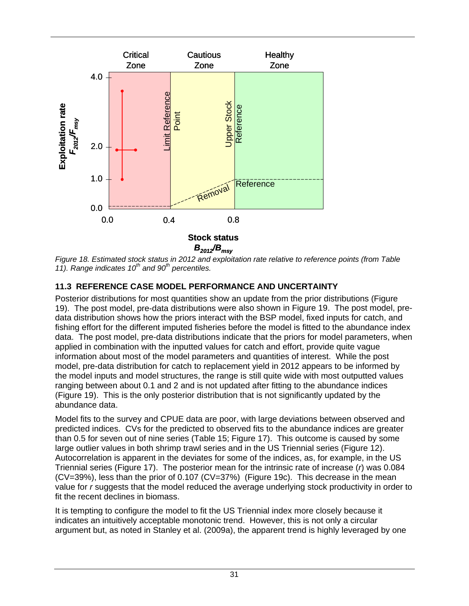

*Figure 18. Estimated stock status in 2012 and exploitation rate relative to reference points (from Table* [11](#page-35-0)). Range indicates 10<sup>th</sup> and 90<sup>th</sup> percentiles.

#### **11.3 REFERENCE CASE MODEL PERFORMANCE AND UNCERTAINTY**

Posterior distributions for most quantities show an update from the prior distributions [\(Figure](#page-41-0)  [19](#page-41-0)). The post model, pre-data distributions were also shown in [Figure 19.](#page-41-0) The post model, predata distribution shows how the priors interact with the BSP model, fixed inputs for catch, and fishing effort for the different imputed fisheries before the model is fitted to the abundance index data. The post model, pre-data distributions indicate that the priors for model parameters, when applied in combination with the inputted values for catch and effort, provide quite vague information about most of the model parameters and quantities of interest. While the post model, pre-data distribution for catch to replacement yield in 2012 appears to be informed by the model inputs and model structures, the range is still quite wide with most outputted values ranging between about 0.1 and 2 and is not updated after fitting to the abundance indices ([Figure 19](#page-41-0)). This is the only posterior distribution that is not significantly updated by the abundance data.

Model fits to the survey and CPUE data are poor, with large deviations between observed and predicted indices. CVs for the predicted to observed fits to the abundance indices are greater than 0.5 for seven out of nine series ([Table 15](#page-42-0); [Figure 17\)](#page-38-0). This outcome is caused by some large outlier values in both shrimp trawl series and in the US Triennial series [\(Figure 12\)](#page-25-0). Autocorrelation is apparent in the deviates for some of the indices, as, for example, in the US Triennial series [\(Figure 17\)](#page-38-0). The posterior mean for the intrinsic rate of increase (*r*) was 0.084  $(CV=39%)$ , less than the prior of 0.107  $(CV=37%)$  [\(Figure 19c](#page-41-0)). This decrease in the mean value for *r* suggests that the model reduced the average underlying stock productivity in order to fit the recent declines in biomass.

It is tempting to configure the model to fit the US Triennial index more closely because it indicates an intuitively acceptable monotonic trend. However, this is not only a circular argument but, as noted in Stanley et al. (2009a), the apparent trend is highly leveraged by one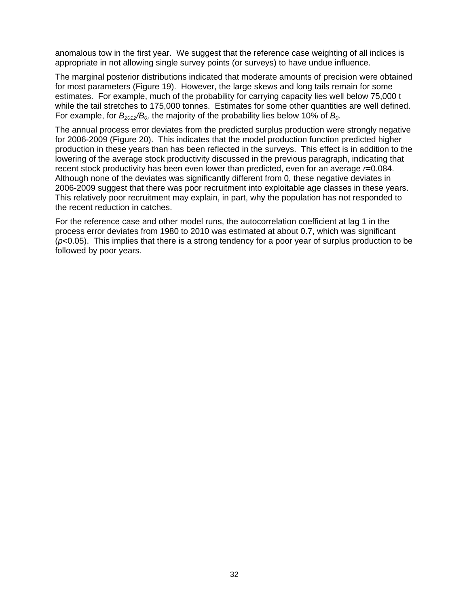anomalous tow in the first year. We suggest that the reference case weighting of all indices is appropriate in not allowing single survey points (or surveys) to have undue influence.

The marginal posterior distributions indicated that moderate amounts of precision were obtained for most parameters [\(Figure 19\)](#page-41-0). However, the large skews and long tails remain for some estimates. For example, much of the probability for carrying capacity lies well below 75,000 t while the tail stretches to 175,000 tonnes. Estimates for some other quantities are well defined. For example, for  $B_{2012}/B_0$ , the majority of the probability lies below 10% of  $B_0$ .

The annual process error deviates from the predicted surplus production were strongly negative for 2006-2009 (Figure 20). This indicates that the model production function predicted higher production in these years than has been reflected in the surveys. This effect is in addition to the lowering of the average stock productivity discussed in the previous paragraph, indicating that recent stock productivity has been even lower than predicted, even for an average *r*=0.084. Although none of the deviates was significantly different from 0, these negative deviates in 2006-2009 suggest that there was poor recruitment into exploitable age classes in these years. This relatively poor recruitment may explain, in part, why the population has not responded to the recent reduction in catches.

For the reference case and other model runs, the autocorrelation coefficient at lag 1 in the process error deviates from 1980 to 2010 was estimated at about 0.7, which was significant (*p*<0.05). This implies that there is a strong tendency for a poor year of surplus production to be followed by poor years.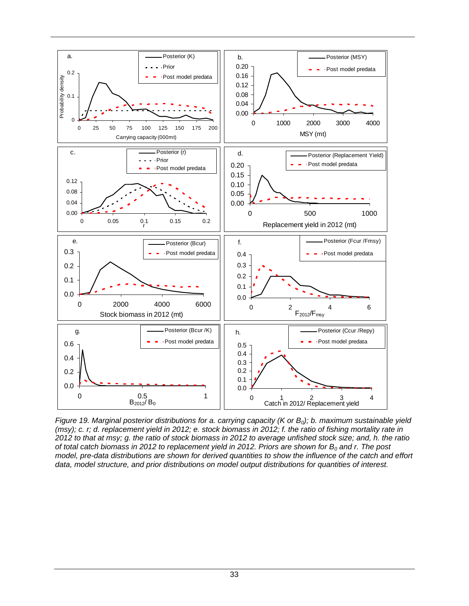

<span id="page-41-0"></span>*Figure 19. Marginal posterior distributions for a. carrying capacity (K or B<sub>0</sub>); b. maximum sustainable yield (msy); c. r; d. replacement yield in 2012; e. stock biomass in 2012; f. the ratio of fishing mortality rate in 2012 to that at msy; g. the ratio of stock biomass in 2012 to average unfished stock size; and, h. the ratio of total catch biomass in 2012 to replacement yield in 2012. Priors are shown for*  $B_0$  *and r. The post model, pre-data distributions are shown for derived quantities to show the influence of the catch and effort data, model structure, and prior distributions on model output distributions for quantities of interest.*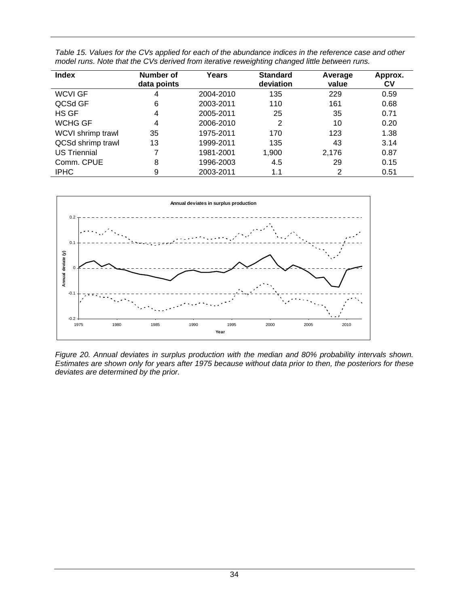| <b>Index</b>        | Number of<br>data points | Years     | <b>Standard</b><br>deviation | Average<br>value | Approx.<br>C٧ |
|---------------------|--------------------------|-----------|------------------------------|------------------|---------------|
| <b>WCVI GF</b>      | 4                        | 2004-2010 | 135                          | 229              | 0.59          |
| QCSd GF             | 6                        | 2003-2011 | 110                          | 161              | 0.68          |
| HS GF               | 4                        | 2005-2011 | 25                           | 35               | 0.71          |
| WCHG GF             | 4                        | 2006-2010 | 2                            | 10               | 0.20          |
| WCVI shrimp trawl   | 35                       | 1975-2011 | 170                          | 123              | 1.38          |
| QCSd shrimp trawl   | 13                       | 1999-2011 | 135                          | 43               | 3.14          |
| <b>US Triennial</b> |                          | 1981-2001 | 1,900                        | 2,176            | 0.87          |
| Comm. CPUE          | 8                        | 1996-2003 | 4.5                          | 29               | 0.15          |
| <b>IPHC</b>         | 9                        | 2003-2011 | 1.1                          | 2                | 0.51          |

<span id="page-42-0"></span>*Table 15. Values for the CVs applied for each of the abundance indices in the reference case and other model runs. Note that the CVs derived from iterative reweighting changed little between runs.* 



*Figure 20. Annual deviates in surplus production with the median and 80% probability intervals shown. Estimates are shown only for years after 1975 because without data prior to then, the posteriors for these deviates are determined by the prior.*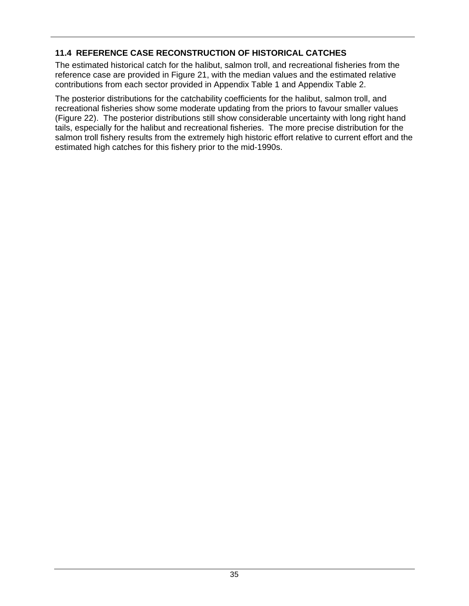### **11.4 REFERENCE CASE RECONSTRUCTION OF HISTORICAL CATCHES**

The estimated historical catch for the halibut, salmon troll, and recreational fisheries from the reference case are provided in [Figure 21](#page-44-0), with the median values and the estimated relative contributions from each sector provided in [Appendix Table 1](#page-72-0) and [Appendix Table 2](#page-73-0).

The posterior distributions for the catchability coefficients for the halibut, salmon troll, and recreational fisheries show some moderate updating from the priors to favour smaller values ([Figure 22](#page-45-0)). The posterior distributions still show considerable uncertainty with long right hand tails, especially for the halibut and recreational fisheries. The more precise distribution for the salmon troll fishery results from the extremely high historic effort relative to current effort and the estimated high catches for this fishery prior to the mid-1990s.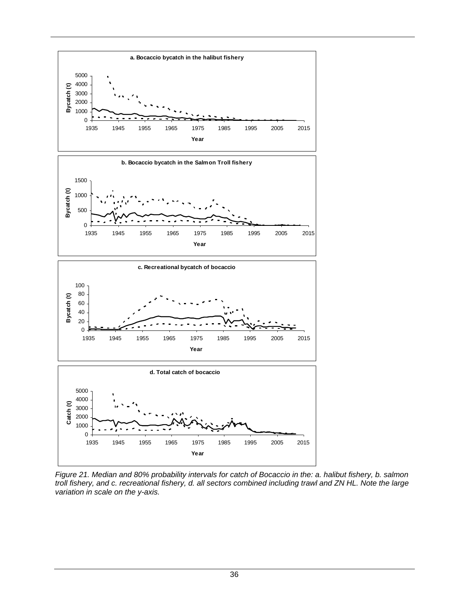

<span id="page-44-0"></span>*Figure 21. Median and 80% probability intervals for catch of Bocaccio in the: a. halibut fishery, b. salmon troll fishery, and c. recreational fishery, d. all sectors combined including trawl and ZN HL. Note the large variation in scale on the y-axis.*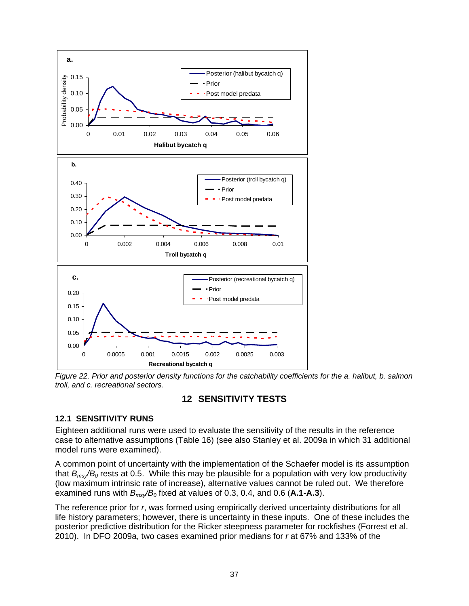

<span id="page-45-0"></span>*Figure 22. Prior and posterior density functions for the catchability coefficients for the a. halibut, b. salmon troll, and c. recreational sectors.* 

## **12 SENSITIVITY TESTS**

#### **12.1 SENSITIVITY RUNS**

Eighteen additional runs were used to evaluate the sensitivity of the results in the reference case to alternative assumptions ([Table 16\)](#page-46-0) (see also Stanley et al. 2009a in which 31 additional model runs were examined).

A common point of uncertainty with the implementation of the Schaefer model is its assumption that *Bmsy/B0* rests at 0.5. While this may be plausible for a population with very low productivity (low maximum intrinsic rate of increase), alternative values cannot be ruled out. We therefore examined runs with  $B_{ms}/B_0$  fixed at values of 0.3, 0.4, and 0.6 (A.1-A.3).

The reference prior for *r*, was formed using empirically derived uncertainty distributions for all life history parameters; however, there is uncertainty in these inputs. One of these includes the posterior predictive distribution for the Ricker steepness parameter for rockfishes (Forrest et al. 2010). In DFO 2009a, two cases examined prior medians for *r* at 67% and 133% of the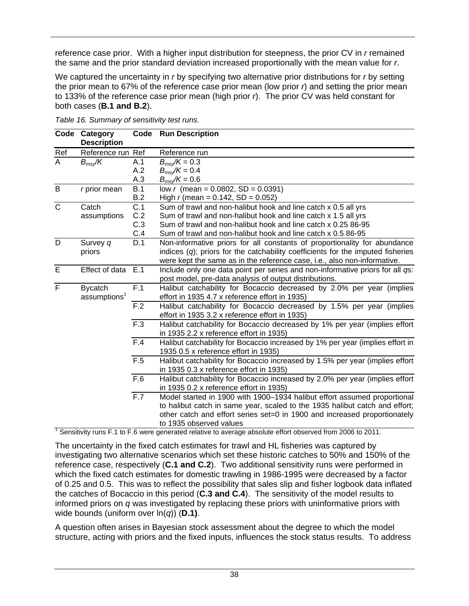<span id="page-46-1"></span>reference case prior. With a higher input distribution for steepness, the prior CV in *r* remained the same and the prior standard deviation increased proportionally with the mean value for *r*.

We captured the uncertainty in *r* by specifying two alternative prior distributions for *r* by setting the prior mean to 67% of the reference case prior mean (low prior *r*) and setting the prior mean to 133% of the reference case prior mean (high prior *r*). The prior CV was held constant for both cases (**B.1 and B.2**).

<span id="page-46-0"></span>

|                | Code Category<br><b>Description</b> |                  | <b>Code</b> Run Description                                                                                |
|----------------|-------------------------------------|------------------|------------------------------------------------------------------------------------------------------------|
| Ref            | Reference run Ref                   |                  | Reference run                                                                                              |
| $\overline{A}$ | $B_{msy}/K$                         | A.1              | $B_{msy}/K = 0.3$                                                                                          |
|                |                                     | A.2              | $B_{msv}/K = 0.4$                                                                                          |
|                |                                     | A.3              | $B_{msv}/K = 0.6$                                                                                          |
| B              | $r$ prior mean                      | B.1              | low r (mean = $0.0802$ , SD = $0.0391$ )                                                                   |
|                |                                     | B.2              | High r (mean = $0.142$ , SD = $0.052$ )                                                                    |
| $\overline{C}$ | Catch                               | $\overline{C.1}$ | Sum of trawl and non-halibut hook and line catch x 0.5 all yrs                                             |
|                | assumptions                         | C.2              | Sum of trawl and non-halibut hook and line catch x 1.5 all yrs                                             |
|                |                                     | C.3              | Sum of trawl and non-halibut hook and line catch x 0.25 86-95                                              |
|                |                                     | C.4              | Sum of trawl and non-halibut hook and line catch x 0.5 86-95                                               |
| D              | Survey q                            | D.1              | Non-informative priors for all constants of proportionality for abundance                                  |
|                | priors                              |                  | indices $(q)$ ; priors for the catchability coefficients for the imputed fisheries                         |
|                |                                     |                  | were kept the same as in the reference case, i.e., also non-informative.                                   |
| $\overline{E}$ | Effect of data                      | E.1              | Include only one data point per series and non-informative priors for all qs:                              |
|                |                                     |                  | post model, pre-data analysis of output distributions.                                                     |
| $\overline{F}$ | <b>Bycatch</b>                      | F.1              | Halibut catchability for Bocaccio decreased by 2.0% per year (implies                                      |
|                | assumptions <sup>1</sup>            |                  | effort in 1935 4.7 x reference effort in 1935)                                                             |
|                |                                     | F.2              | Halibut catchability for Bocaccio decreased by 1.5% per year (implies                                      |
|                |                                     |                  | effort in 1935 3.2 x reference effort in 1935)                                                             |
|                |                                     | $\overline{F.3}$ | Halibut catchability for Bocaccio decreased by 1% per year (implies effort                                 |
|                |                                     |                  | in 1935 2.2 x reference effort in 1935)                                                                    |
|                |                                     | $\overline{F.4}$ | Halibut catchability for Bocaccio increased by 1% per year (implies effort in                              |
|                |                                     |                  | 1935 0.5 x reference effort in 1935)                                                                       |
|                |                                     | $\overline{F.5}$ | Halibut catchability for Bocaccio increased by 1.5% per year (implies effort                               |
|                |                                     |                  | in 1935 0.3 x reference effort in 1935)                                                                    |
|                |                                     | $\overline{F.6}$ | Halibut catchability for Bocaccio increased by 2.0% per year (implies effort                               |
|                |                                     |                  | in 1935 0.2 x reference effort in 1935)                                                                    |
|                |                                     | F.7              | Model started in 1900 with 1900-1934 halibut effort assumed proportional                                   |
|                |                                     |                  | to halibut catch in same year, scaled to the 1935 halibut catch and effort;                                |
|                |                                     |                  | other catch and effort series set=0 in 1900 and increased proportionately                                  |
|                |                                     |                  | to 1935 observed values                                                                                    |
|                |                                     |                  | Sensitivity runs F.1 to F.6 were generated relative to average absolute effort observed from 2006 to 2011. |

*Table 16. Summary of sensitivity test runs.* 

The uncertainty in the fixed catch estimates for trawl and HL fisheries was captured by investigating two alternative scenarios which set these historic catches to 50% and 150% of the reference case, respectively (**C.1 and C.2**). Two additional sensitivity runs were performed in which the fixed catch estimates for domestic trawling in 1986-1995 were decreased by a factor of 0.25 and 0.5. This was to reflect the possibility that sales slip and fisher logbook data inflated the catches of Bocaccio in this period (**C.3 and C.4**). The sensitivity of the model results to informed priors on *q* was investigated by replacing these priors with uninformative priors with wide bounds (uniform over ln(*q*)) (**D.1)**.

A question often arises in Bayesian stock assessment about the degree to which the model structure, acting with priors and the fixed inputs, influences the stock status results. To address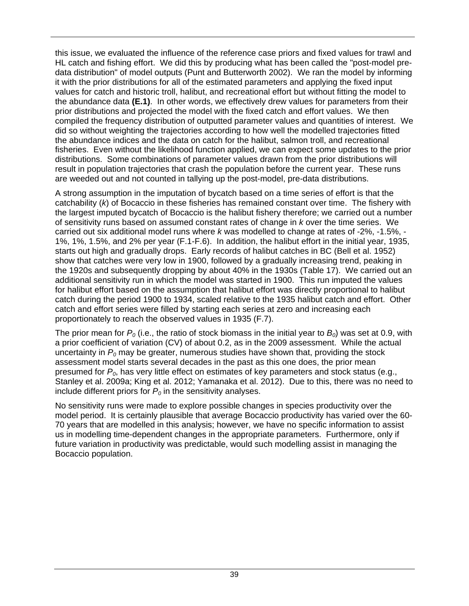this issue, we evaluated the influence of the reference case priors and fixed values for trawl and HL catch and fishing effort. We did this by producing what has been called the "post-model predata distribution" of model outputs (Punt and Butterworth 2002). We ran the model by informing it with the prior distributions for all of the estimated parameters and applying the fixed input values for catch and historic troll, halibut, and recreational effort but without fitting the model to the abundance data **(E.1)**. In other words, we effectively drew values for parameters from their prior distributions and projected the model with the fixed catch and effort values. We then compiled the frequency distribution of outputted parameter values and quantities of interest. We did so without weighting the trajectories according to how well the modelled trajectories fitted the abundance indices and the data on catch for the halibut, salmon troll, and recreational fisheries. Even without the likelihood function applied, we can expect some updates to the prior distributions. Some combinations of parameter values drawn from the prior distributions will result in population trajectories that crash the population before the current year. These runs are weeded out and not counted in tallying up the post-model, pre-data distributions.

A strong assumption in the imputation of bycatch based on a time series of effort is that the catchability (*k*) of Bocaccio in these fisheries has remained constant over time. The fishery with the largest imputed bycatch of Bocaccio is the halibut fishery therefore; we carried out a number of sensitivity runs based on assumed constant rates of change in *k* over the time series. We carried out six additional model runs where *k* was modelled to change at rates of -2%, -1.5%, - 1%, 1%, 1.5%, and 2% per year (F.1-F.6). In addition, the halibut effort in the initial year, 1935, starts out high and gradually drops. Early records of halibut catches in BC (Bell et al. 1952) show that catches were very low in 1900, followed by a gradually increasing trend, peaking in the 1920s and subsequently dropping by about 40% in the 1930s ([Table 17](#page-48-0)). We carried out an additional sensitivity run in which the model was started in 1900. This run imputed the values for halibut effort based on the assumption that halibut effort was directly proportional to halibut catch during the period 1900 to 1934, scaled relative to the 1935 halibut catch and effort. Other catch and effort series were filled by starting each series at zero and increasing each proportionately to reach the observed values in 1935 (F.7).

The prior mean for  $P_0$  (i.e., the ratio of stock biomass in the initial year to  $B_0$ ) was set at 0.9, with a prior coefficient of variation (CV) of about 0.2, as in the 2009 assessment. While the actual uncertainty in  $P_0$  may be greater, numerous studies have shown that, providing the stock assessment model starts several decades in the past as this one does, the prior mean presumed for *P0*, has very little effect on estimates of key parameters and stock status (e.g., Stanley et al. 2009a; King et al. 2012; Yamanaka et al. 2012). Due to this, there was no need to include different priors for  $P_0$  in the sensitivity analyses.

No sensitivity runs were made to explore possible changes in species productivity over the model period. It is certainly plausible that average Bocaccio productivity has varied over the 60- 70 years that are modelled in this analysis; however, we have no specific information to assist us in modelling time-dependent changes in the appropriate parameters. Furthermore, only if future variation in productivity was predictable, would such modelling assist in managing the Bocaccio population.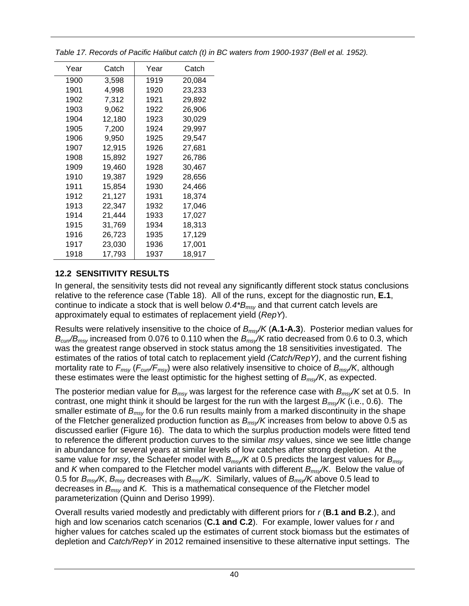| Year | Catch  | Year | Catch  |
|------|--------|------|--------|
| 1900 | 3.598  | 1919 | 20,084 |
| 1901 | 4,998  | 1920 | 23,233 |
| 1902 | 7,312  | 1921 | 29,892 |
| 1903 | 9,062  | 1922 | 26,906 |
| 1904 | 12,180 | 1923 | 30,029 |
| 1905 | 7,200  | 1924 | 29,997 |
| 1906 | 9.950  | 1925 | 29,547 |
| 1907 | 12,915 | 1926 | 27,681 |
| 1908 | 15,892 | 1927 | 26,786 |
| 1909 | 19,460 | 1928 | 30,467 |
| 1910 | 19.387 | 1929 | 28,656 |
| 1911 | 15,854 | 1930 | 24,466 |
| 1912 | 21,127 | 1931 | 18,374 |
| 1913 | 22,347 | 1932 | 17,046 |
| 1914 | 21,444 | 1933 | 17.027 |
| 1915 | 31,769 | 1934 | 18.313 |
| 1916 | 26,723 | 1935 | 17,129 |
| 1917 | 23,030 | 1936 | 17,001 |
| 1918 | 17,793 | 1937 | 18.917 |

<span id="page-48-0"></span>*Table 17. Records of Pacific Halibut catch (t) in BC waters from 1900-1937 (Bell et al. 1952).* 

## **12.2 SENSITIVITY RESULTS**

In general, the sensitivity tests did not reveal any significantly different stock status conclusions relative to the reference case ([Table 18](#page-51-0)). All of the runs, except for the diagnostic run, **E.1**, continue to indicate a stock that is well below *0.4\*Bmsy* and that current catch levels are approximately equal to estimates of replacement yield (*RepY*).

Results were relatively insensitive to the choice of *Bmsy/K* (**A.1-A.3**). Posterior median values for *Bcurr/Bmsy* increased from 0.076 to 0.110 when the *Bmsy/K* ratio decreased from 0.6 to 0.3, which was the greatest range observed in stock status among the 18 sensitivities investigated. The estimates of the ratios of total catch to replacement yield *(Catch/RepY)*, and the current fishing mortality rate to *Fmsy* (*Fcurr/Fmsy*) were also relatively insensitive to choice of *Bmsy/K*, although these estimates were the least optimistic for the highest setting of *Bmsy/K*, as expected.

The posterior median value for *Bmsy* was largest for the reference case with *Bmsy/K* set at 0.5. In contrast, one might think it should be largest for the run with the largest *Bmsy/K* (i.e., 0.6). The smaller estimate of *Bmsy* for the 0.6 run results mainly from a marked discontinuity in the shape of the Fletcher generalized production function as *Bmsy/K* increases from below to above 0.5 as discussed earlier [\(Figure 16\)](#page-32-0). The data to which the surplus production models were fitted tend to reference the different production curves to the similar *msy* values, since we see little change in abundance for several years at similar levels of low catches after strong depletion. At the same value for *msy*, the Schaefer model with *Bmsy/K* at 0.5 predicts the largest values for *Bmsy* and *K* when compared to the Fletcher model variants with different *Bmsy/K*. Below the value of 0.5 for *Bmsy/K*, *Bmsy* decreases with *Bmsy/K*. Similarly, values of *Bmsy/K* above 0.5 lead to decreases in *Bmsy* and *K.* This is a mathematical consequence of the Fletcher model parameterization (Quinn and Deriso 1999).

Overall results varied modestly and predictably with different priors for *r* (**B.1 and B.2**.), and high and low scenarios catch scenarios (**C.1 and C.2**). For example, lower values for *r* and higher values for catches scaled up the estimates of current stock biomass but the estimates of depletion and *Catch/RepY* in 2012 remained insensitive to these alternative input settings. The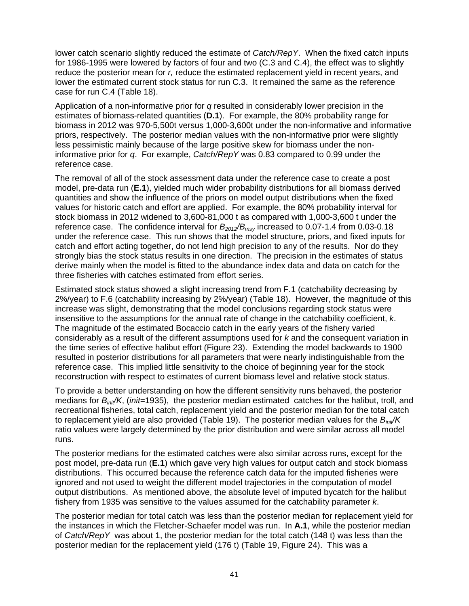lower catch scenario slightly reduced the estimate of *Catch/RepY*. When the fixed catch inputs for 1986-1995 were lowered by factors of four and two (C.3 and C.4), the effect was to slightly reduce the posterior mean for *r,* reduce the estimated replacement yield in recent years, and lower the estimated current stock status for run C.3. It remained the same as the reference case for run C.4 ([Table 18\)](#page-51-0).

Application of a non-informative prior for *q* resulted in considerably lower precision in the estimates of biomass-related quantities (**D.1**). For example, the 80% probability range for biomass in 2012 was 970-5,500t versus 1,000-3,600t under the non-informative and informative priors, respectively. The posterior median values with the non-informative prior were slightly less pessimistic mainly because of the large positive skew for biomass under the noninformative prior for *q*. For example, *Catch/RepY* was 0.83 compared to 0.99 under the reference case.

The removal of all of the stock assessment data under the reference case to create a post model, pre-data run (**E.1**), yielded much wider probability distributions for all biomass derived quantities and show the influence of the priors on model output distributions when the fixed values for historic catch and effort are applied. For example, the 80% probability interval for stock biomass in 2012 widened to 3,600-81,000 t as compared with 1,000-3,600 t under the reference case. The confidence interval for  $B_{2012}/B_{msy}$  increased to 0.07-1.4 from 0.03-0.18 under the reference case. This run shows that the model structure, priors, and fixed inputs for catch and effort acting together, do not lend high precision to any of the results. Nor do they strongly bias the stock status results in one direction. The precision in the estimates of status derive mainly when the model is fitted to the abundance index data and data on catch for the three fisheries with catches estimated from effort series.

Estimated stock status showed a slight increasing trend from F.1 (catchability decreasing by 2%/year) to F.6 (catchability increasing by 2%/year) ([Table 18\)](#page-51-0). However, the magnitude of this increase was slight, demonstrating that the model conclusions regarding stock status were insensitive to the assumptions for the annual rate of change in the catchability coefficient, *k*. The magnitude of the estimated Bocaccio catch in the early years of the fishery varied considerably as a result of the different assumptions used for *k* and the consequent variation in the time series of effective halibut effort [\(Figure 23](#page-53-0)). Extending the model backwards to 1900 resulted in posterior distributions for all parameters that were nearly indistinguishable from the reference case. This implied little sensitivity to the choice of beginning year for the stock reconstruction with respect to estimates of current biomass level and relative stock status.

To provide a better understanding on how the different sensitivity runs behaved, the posterior medians for *Binit/K*, (*init*=1935), the posterior median estimated catches for the halibut, troll, and recreational fisheries, total catch, replacement yield and the posterior median for the total catch to replacement yield are also provided ([Table 19](#page-52-0)). The posterior median values for the  $B<sub>init</sub>/K$ ratio values were largely determined by the prior distribution and were similar across all model runs.

The posterior medians for the estimated catches were also similar across runs, except for the post model, pre-data run (**E.1**) which gave very high values for output catch and stock biomass distributions. This occurred because the reference catch data for the imputed fisheries were ignored and not used to weight the different model trajectories in the computation of model output distributions. As mentioned above, the absolute level of imputed bycatch for the halibut fishery from 1935 was sensitive to the values assumed for the catchability parameter *k*.

The posterior median for total catch was less than the posterior median for replacement yield for the instances in which the Fletcher-Schaefer model was run. In **A.1**, while the posterior median of *Catch/RepY* was about 1, the posterior median for the total catch (148 t) was less than the posterior median for the replacement yield (176 t) ([Table 19,](#page-52-0) [Figure 24](#page-54-0)). This was a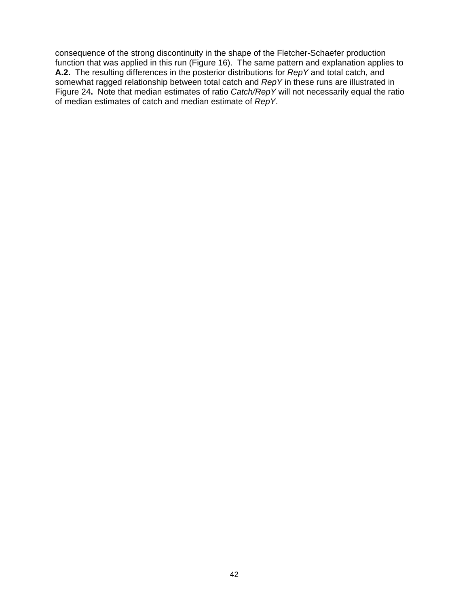consequence of the strong discontinuity in the shape of the Fletcher-Schaefer production function that was applied in this run ([Figure 16](#page-32-0)). The same pattern and explanation applies to **A.2.** The resulting differences in the posterior distributions for *RepY* and total catch, and somewhat ragged relationship between total catch and *RepY* in these runs are illustrated in [Figure 24](#page-54-0)**.** Note that median estimates of ratio *Catch/RepY* will not necessarily equal the ratio of median estimates of catch and median estimate of *RepY*.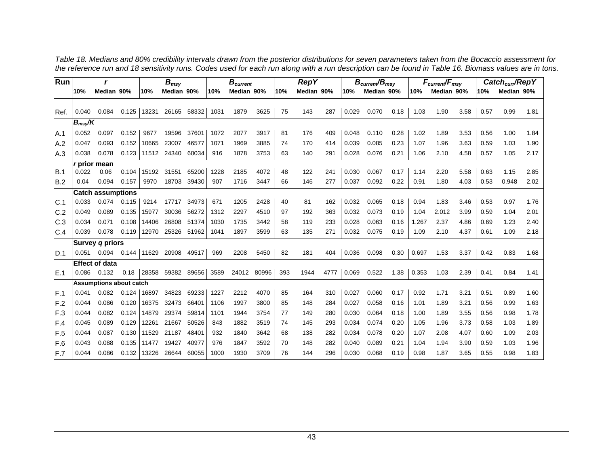<span id="page-51-0"></span>

| Run  |             | r                              |       |       | $B_{msy}$         |       |      | $B_{current}$ |       |     | <b>RepY</b> |      |       | $B_{\text{current}}/B_{\text{msv}}$ |      |       | $F_{\text{current}}/F_{\text{msy}}$ |      |      | Catch <sub>curr</sub> /RepY |      |
|------|-------------|--------------------------------|-------|-------|-------------------|-------|------|---------------|-------|-----|-------------|------|-------|-------------------------------------|------|-------|-------------------------------------|------|------|-----------------------------|------|
|      | 10%         | Median 90%                     |       | 10%   | Median 90%        |       | 10%  | Median 90%    |       | 10% | Median 90%  |      | 10%   | Median 90%                          |      | 10%   | Median 90%                          |      | 10%  | Median 90%                  |      |
|      |             |                                |       |       |                   |       |      |               |       |     |             |      |       |                                     |      |       |                                     |      |      |                             |      |
| Ref. | 0.040       | 0.084                          | 0.125 |       | 13231 26165 58332 |       | 1031 | 1879          | 3625  | 75  | 143         | 287  | 0.029 | 0.070                               | 0.18 | 1.03  | 1.90                                | 3.58 | 0.57 | 0.99                        | 1.81 |
|      | $B_{msv}/K$ |                                |       |       |                   |       |      |               |       |     |             |      |       |                                     |      |       |                                     |      |      |                             |      |
| A.1  | 0.052       | 0.097                          | 0.152 | 9677  | 19596             | 37601 | 1072 | 2077          | 3917  | 81  | 176         | 409  | 0.048 | 0.110                               | 0.28 | 1.02  | 1.89                                | 3.53 | 0.56 | 1.00                        | 1.84 |
| A.2  | 0.047       | 0.093                          | 0.152 | 10665 | 23007             | 46577 | 1071 | 1969          | 3885  | 74  | 170         | 414  | 0.039 | 0.085                               | 0.23 | 1.07  | 1.96                                | 3.63 | 0.59 | 1.03                        | 1.90 |
| A.3  | 0.038       | 0.078                          | 0.123 | 11512 | 24340             | 60034 | 916  | 1878          | 3753  | 63  | 140         | 291  | 0.028 | 0.076                               | 0.21 | 1.06  | 2.10                                | 4.58 | 0.57 | 1.05                        | 2.17 |
|      |             | <i>r</i> prior mean            |       |       |                   |       |      |               |       |     |             |      |       |                                     |      |       |                                     |      |      |                             |      |
| B.1  | 0.022       | 0.06                           | 0.104 | 15192 | 31551             | 65200 | 1228 | 2185          | 4072  | 48  | 122         | 241  | 0.030 | 0.067                               | 0.17 | 1.14  | 2.20                                | 5.58 | 0.63 | 1.15                        | 2.85 |
| B.2  | 0.04        | 0.094                          | 0.157 | 9970  | 18703             | 39430 | 907  | 1716          | 3447  | 66  | 146         | 277  | 0.037 | 0.092                               | 0.22 | 0.91  | 1.80                                | 4.03 | 0.53 | 0.948                       | 2.02 |
|      |             | <b>Catch assumptions</b>       |       |       |                   |       |      |               |       |     |             |      |       |                                     |      |       |                                     |      |      |                             |      |
| C.1  | 0.033       | 0.074                          | 0.115 | 9214  | 17717             | 34973 | 671  | 1205          | 2428  | 40  | 81          | 162  | 0.032 | 0.065                               | 0.18 | 0.94  | 1.83                                | 3.46 | 0.53 | 0.97                        | 1.76 |
| C.2  | 0.049       | 0.089                          | 0.135 | 15977 | 30036             | 56272 | 1312 | 2297          | 4510  | 97  | 192         | 363  | 0.032 | 0.073                               | 0.19 | 1.04  | 2.012                               | 3.99 | 0.59 | 1.04                        | 2.01 |
| C.3  | 0.034       | 0.071                          | 0.108 | 14406 | 26808             | 51374 | 1030 | 1735          | 3442  | 58  | 119         | 233  | 0.028 | 0.063                               | 0.16 | 1.267 | 2.37                                | 4.86 | 0.69 | 1.23                        | 2.40 |
| C.4  | 0.039       | 0.078                          | 0.119 |       | 12970 25326       | 51962 | 1041 | 1897          | 3599  | 63  | 135         | 271  | 0.032 | 0.075                               | 0.19 | 1.09  | 2.10                                | 4.37 | 0.61 | 1.09                        | 2.18 |
|      |             | Survey q priors                |       |       |                   |       |      |               |       |     |             |      |       |                                     |      |       |                                     |      |      |                             |      |
| ID.1 | 0.051       | 0.094                          |       |       | 0.144 11629 20908 | 49517 | 969  | 2208          | 5450  | 82  | 181         | 404  | 0.036 | 0.098                               | 0.30 | 0.697 | 1.53                                | 3.37 | 0.42 | 0.83                        | 1.68 |
|      |             | <b>Effect of data</b>          |       |       |                   |       |      |               |       |     |             |      |       |                                     |      |       |                                     |      |      |                             |      |
| IE.1 | 0.086       | 0.132                          | 0.18  | 28358 | 59382             | 89656 | 3589 | 24012         | 80996 | 393 | 1944        | 4777 | 0.069 | 0.522                               | 1.38 | 0.353 | 1.03                                | 2.39 | 0.41 | 0.84                        | 1.41 |
|      |             | <b>Assumptions about catch</b> |       |       |                   |       |      |               |       |     |             |      |       |                                     |      |       |                                     |      |      |                             |      |
| IF.1 | 0.041       | 0.082                          | 0.124 | 16897 | 34823             | 69233 | 1227 | 2212          | 4070  | 85  | 164         | 310  | 0.027 | 0.060                               | 0.17 | 0.92  | 1.71                                | 3.21 | 0.51 | 0.89                        | 1.60 |
| IF.2 | 0.044       | 0.086                          | 0.120 | 16375 | 32473             | 66401 | 1106 | 1997          | 3800  | 85  | 148         | 284  | 0.027 | 0.058                               | 0.16 | 1.01  | 1.89                                | 3.21 | 0.56 | 0.99                        | 1.63 |
| F.3  | 0.044       | 0.082                          | 0.124 | 14879 | 29374             | 59814 | 1101 | 1944          | 3754  | 77  | 149         | 280  | 0.030 | 0.064                               | 0.18 | 1.00  | 1.89                                | 3.55 | 0.56 | 0.98                        | 1.78 |
| F.4  | 0.045       | 0.089                          | 0.129 | 12261 | 21667             | 50526 | 843  | 1882          | 3519  | 74  | 145         | 293  | 0.034 | 0.074                               | 0.20 | 1.05  | 1.96                                | 3.73 | 0.58 | 1.03                        | 1.89 |
| IF.5 | 0.044       | 0.087                          | 0.130 | 11529 | 21187             | 48401 | 932  | 1840          | 3642  | 68  | 138         | 282  | 0.034 | 0.078                               | 0.20 | 1.07  | 2.08                                | 4.07 | 0.60 | 1.09                        | 2.03 |
| F.6  | 0.043       | 0.088                          | 0.135 | 11477 | 19427             | 40977 | 976  | 1847          | 3592  | 70  | 148         | 282  | 0.040 | 0.089                               | 0.21 | 1.04  | 1.94                                | 3.90 | 0.59 | 1.03                        | 1.96 |
| F.7  | 0.044       | 0.086                          | 0.132 | 13226 | 26644             | 60055 | 1000 | 1930          | 3709  | 76  | 144         | 296  | 0.030 | 0.068                               | 0.19 | 0.98  | 1.87                                | 3.65 | 0.55 | 0.98                        | 1.83 |

*Table 18. Medians and 80% credibility intervals drawn from the posterior distributions for seven parameters taken from the Bocaccio assessment for the reference run and 18 sensitivity runs. Codes used for each run along with a run description can be found in [Table 16](#page-46-1). Biomass values are in tons.*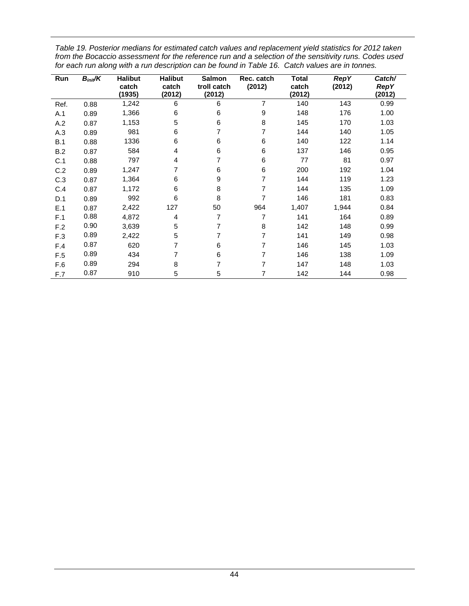<span id="page-52-0"></span>*Table 19. Posterior medians for estimated catch values and replacement yield statistics for 2012 taken from the Bocaccio assessment for the reference run and a selection of the sensitivity runs. Codes used for each run along with a run description can be found in [Table 16.](#page-46-0) Catch values are in tonnes.* 

| Run  | $B_{init}/K$ | <b>Halibut</b><br>catch<br>(1935) | <b>Halibut</b><br>catch<br>(2012) | <b>Salmon</b><br>troll catch<br>(2012) | Rec. catch<br>(2012) | <b>Total</b><br>catch<br>(2012) | <b>RepY</b><br>(2012) | Catch/<br><b>RepY</b><br>(2012) |
|------|--------------|-----------------------------------|-----------------------------------|----------------------------------------|----------------------|---------------------------------|-----------------------|---------------------------------|
| Ref. | 0.88         | 1,242                             | 6                                 | 6                                      | 7                    | 140                             | 143                   | 0.99                            |
| A.1  | 0.89         | 1,366                             | 6                                 | 6                                      | 9                    | 148                             | 176                   | 1.00                            |
| A.2  | 0.87         | 1,153                             | 5                                 | 6                                      | 8                    | 145                             | 170                   | 1.03                            |
| A.3  | 0.89         | 981                               | 6                                 | 7                                      | 7                    | 144                             | 140                   | 1.05                            |
| B.1  | 0.88         | 1336                              | 6                                 | 6                                      | 6                    | 140                             | 122                   | 1.14                            |
| B.2  | 0.87         | 584                               | 4                                 | 6                                      | $\,6$                | 137                             | 146                   | 0.95                            |
| C.1  | 0.88         | 797                               | 4                                 | 7                                      | $\,6$                | 77                              | 81                    | 0.97                            |
| C.2  | 0.89         | 1,247                             | 7                                 | 6                                      | 6                    | 200                             | 192                   | 1.04                            |
| C.3  | 0.87         | 1,364                             | 6                                 | 9                                      | 7                    | 144                             | 119                   | 1.23                            |
| C.4  | 0.87         | 1,172                             | 6                                 | 8                                      | 7                    | 144                             | 135                   | 1.09                            |
| D.1  | 0.89         | 992                               | 6                                 | 8                                      | 7                    | 146                             | 181                   | 0.83                            |
| E.1  | 0.87         | 2,422                             | 127                               | 50                                     | 964                  | 1,407                           | 1,944                 | 0.84                            |
| F.1  | 0.88         | 4,872                             | 4                                 | 7                                      | 7                    | 141                             | 164                   | 0.89                            |
| F.2  | 0.90         | 3,639                             | 5                                 | 7                                      | 8                    | 142                             | 148                   | 0.99                            |
| F.3  | 0.89         | 2,422                             | 5                                 | 7                                      | 7                    | 141                             | 149                   | 0.98                            |
| F.4  | 0.87         | 620                               | 7                                 | 6                                      | 7                    | 146                             | 145                   | 1.03                            |
| F.5  | 0.89         | 434                               | 7                                 | 6                                      | 7                    | 146                             | 138                   | 1.09                            |
| F.6  | 0.89         | 294                               | 8                                 | 7                                      | 7                    | 147                             | 148                   | 1.03                            |
| F.7  | 0.87         | 910                               | 5                                 | 5                                      | 7                    | 142                             | 144                   | 0.98                            |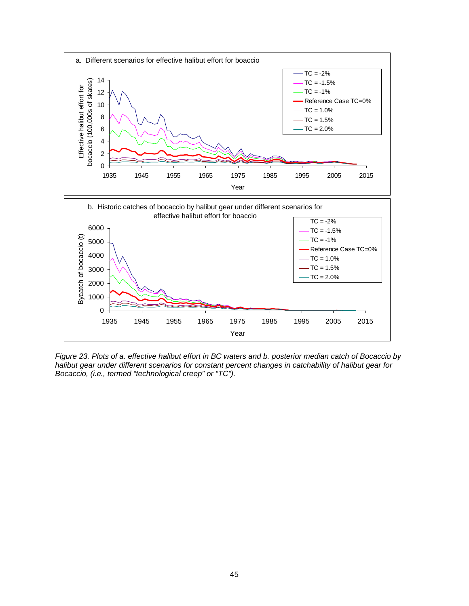

<span id="page-53-0"></span>*Figure 23. Plots of a. effective halibut effort in BC waters and b. posterior median catch of Bocaccio by halibut gear under different scenarios for constant percent changes in catchability of halibut gear for Bocaccio, (i.e., termed "technological creep" or "TC").*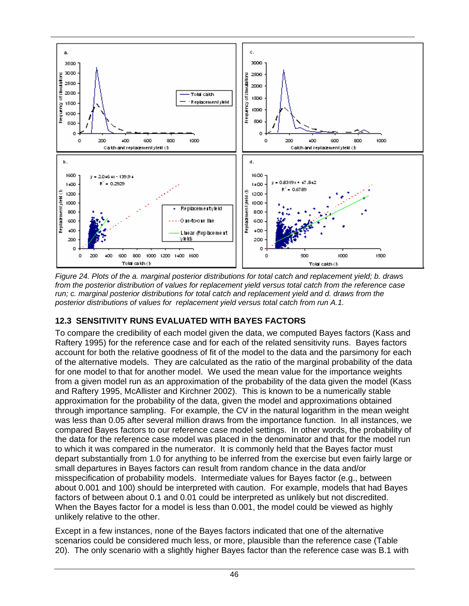

<span id="page-54-0"></span>*Figure 24. Plots of the a. marginal posterior distributions for total catch and replacement yield; b. draws from the posterior distribution of values for replacement yield versus total catch from the reference case run; c. marginal posterior distributions for total catch and replacement yield and d. draws from the posterior distributions of values for replacement yield versus total catch from run A.1.*

## **12.3 SENSITIVITY RUNS EVALUATED WITH BAYES FACTORS**

To compare the credibility of each model given the data, we computed Bayes factors (Kass and Raftery 1995) for the reference case and for each of the related sensitivity runs. Bayes factors account for both the relative goodness of fit of the model to the data and the parsimony for each of the alternative models. They are calculated as the ratio of the marginal probability of the data for one model to that for another model. We used the mean value for the importance weights from a given model run as an approximation of the probability of the data given the model (Kass and Raftery 1995, McAllister and Kirchner 2002). This is known to be a numerically stable approximation for the probability of the data, given the model and approximations obtained through importance sampling. For example, the CV in the natural logarithm in the mean weight was less than 0.05 after several million draws from the importance function. In all instances, we compared Bayes factors to our reference case model settings. In other words, the probability of the data for the reference case model was placed in the denominator and that for the model run to which it was compared in the numerator. It is commonly held that the Bayes factor must depart substantially from 1.0 for anything to be inferred from the exercise but even fairly large or small departures in Bayes factors can result from random chance in the data and/or misspecification of probability models. Intermediate values for Bayes factor (e.g., between about 0.001 and 100) should be interpreted with caution. For example, models that had Bayes factors of between about 0.1 and 0.01 could be interpreted as unlikely but not discredited. When the Bayes factor for a model is less than 0.001, the model could be viewed as highly unlikely relative to the other.

Except in a few instances, none of the Bayes factors indicated that one of the alternative scenarios could be considered much less, or more, plausible than the reference case ([Table](#page-55-0)  [20](#page-55-0)). The only scenario with a slightly higher Bayes factor than the reference case was B.1 with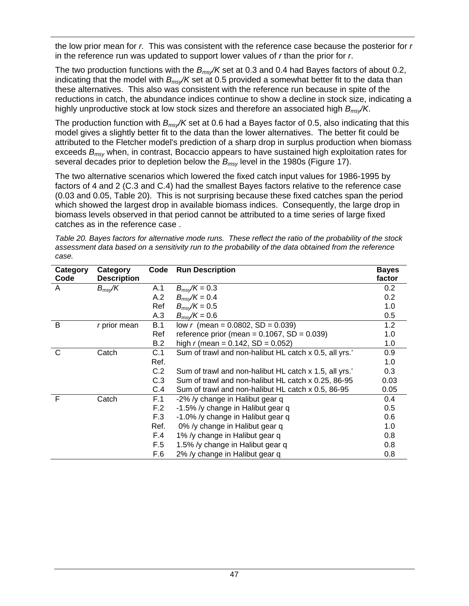the low prior mean for *r.* This was consistent with the reference case because the posterior for *r* in the reference run was updated to support lower values of *r* than the prior for *r*.

The two production functions with the *Bmsy/K* set at 0.3 and 0.4 had Bayes factors of about 0.2, indicating that the model with *Bmsy/K* set at 0.5 provided a somewhat better fit to the data than these alternatives. This also was consistent with the reference run because in spite of the reductions in catch, the abundance indices continue to show a decline in stock size, indicating a highly unproductive stock at low stock sizes and therefore an associated high *Bmsy/K*.

The production function with *Bmsy/K* set at 0.6 had a Bayes factor of 0.5, also indicating that this model gives a slightly better fit to the data than the lower alternatives. The better fit could be attributed to the Fletcher model's prediction of a sharp drop in surplus production when biomass exceeds *Bmsy* when, in contrast, Bocaccio appears to have sustained high exploitation rates for several decades prior to depletion below the *Bmsy* level in the 1980s ([Figure 17](#page-38-0)).

The two alternative scenarios which lowered the fixed catch input values for 1986-1995 by factors of 4 and 2 (C.3 and C.4) had the smallest Bayes factors relative to the reference case (0.03 and 0.05, [Table 20\)](#page-55-0). This is not surprising because these fixed catches span the period which showed the largest drop in available biomass indices. Consequently, the large drop in biomass levels observed in that period cannot be attributed to a time series of large fixed catches as in the reference case .

<span id="page-55-0"></span>

| Category Category                                                                                          | Code Run Description |  | <b>Raves</b> |  |
|------------------------------------------------------------------------------------------------------------|----------------------|--|--------------|--|
| case.                                                                                                      |                      |  |              |  |
| assessment data based on a sensitivity run to the probability of the data obtained from the reference      |                      |  |              |  |
| Table 20. Bayes factors for alternative mode runs. These reflect the ratio of the probability of the stock |                      |  |              |  |
|                                                                                                            |                      |  |              |  |
|                                                                                                            |                      |  |              |  |

| Category | Category           | Code | <b>Run Description</b>                                 | <b>Bayes</b> |
|----------|--------------------|------|--------------------------------------------------------|--------------|
| Code     | <b>Description</b> |      |                                                        | factor       |
| A        | $B_{ms}/K$         | A.1  | $B_{\text{msy}}/K = 0.3$                               | 0.2          |
|          |                    | A.2  | $B_{\text{msv}}/K = 0.4$                               | 0.2          |
|          |                    | Ref  | $B_{\text{msv}}/K = 0.5$                               | 1.0          |
|          |                    | A.3  | $B_{msv}/K = 0.6$                                      | 0.5          |
| B        | r prior mean       | B.1  | low r (mean = $0.0802$ , SD = $0.039$ )                | 1.2          |
|          |                    | Ref  | reference prior (mean = $0.1067$ , SD = $0.039$ )      | 1.0          |
|          |                    | B.2  | high r (mean = $0.142$ , SD = $0.052$ )                | 1.0          |
| C        | Catch              | C.1  | Sum of trawl and non-halibut HL catch x 0.5, all yrs.' | 0.9          |
|          |                    | Ref. |                                                        | 1.0          |
|          |                    | C.2  | Sum of trawl and non-halibut HL catch x 1.5, all yrs.  | 0.3          |
|          |                    | C.3  | Sum of trawl and non-halibut HL catch x 0.25, 86-95    | 0.03         |
|          |                    | C.4  | Sum of trawl and non-halibut HL catch x 0.5, 86-95     | 0.05         |
| F        | Catch              | F.1  | -2% /y change in Halibut gear q                        | 0.4          |
|          |                    | F.2  | -1.5% /y change in Halibut gear q                      | 0.5          |
|          |                    | F.3  | -1.0% /y change in Halibut gear q                      | 0.6          |
|          |                    | Ref. | 0% /y change in Halibut gear q                         | 1.0          |
|          |                    | F.4  | 1% /y change in Halibut gear q                         | 0.8          |
|          |                    | F.5  | 1.5% /y change in Halibut gear q                       | 0.8          |
|          |                    | F.6  | 2% /y change in Halibut gear q                         | 0.8          |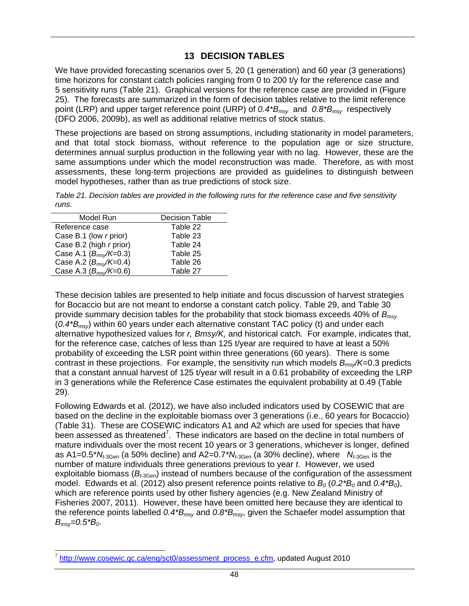#### **13 DECISION TABLES**

We have provided forecasting scenarios over 5, 20 (1 generation) and 60 year (3 generations) time horizons for constant catch policies ranging from 0 to 200 t/y for the reference case and 5 sensitivity runs [\(Table 21\)](#page-56-0). Graphical versions for the reference case are provided in [\(Figure](#page-58-0)  [25](#page-58-0)). The forecasts are summarized in the form of decision tables relative to the limit reference point (LRP) and upper target reference point (URP) of *0.4\*Bmsy* and *0.8\*Bmsy* respectively (DFO 2006, 2009b), as well as additional relative metrics of stock status.

These projections are based on strong assumptions, including stationarity in model parameters, and that total stock biomass, without reference to the population age or size structure, determines annual surplus production in the following year with no lag. However, these are the same assumptions under which the model reconstruction was made. Therefore, as with most assessments, these long-term projections are provided as guidelines to distinguish between model hypotheses, rather than as true predictions of stock size.

<span id="page-56-0"></span>*Table 21. Decision tables are provided in the following runs for the reference case and five sensitivity runs.* 

| Model Run                 | <b>Decision Table</b> |
|---------------------------|-----------------------|
| Reference case            | Table 22              |
| Case B.1 (low r prior)    | Table 23              |
| Case B.2 (high r prior)   | Table 24              |
| Case A.1 $(B_{ms}/K=0.3)$ | Table 25              |
| Case A.2 $(B_{ms}/K=0.4)$ | Table 26              |
| Case A.3 $(B_{ms}/K=0.6)$ | Table 27              |
|                           |                       |

These decision tables are presented to help initiate and focus discussion of harvest strategies for Bocaccio but are not meant to endorse a constant catch policy. [Table 29](#page-64-0), and [Table 30](#page-64-1) provide summary decision tables for the probability that stock biomass exceeds 40% of *Bmsy* (*0.4\*Bmsy*) within 60 years under each alternative constant TAC policy (t) and under each alternative hypothesized values for *r, Bmsy/K,* and historical catch*.* For example, indicates that, for the reference case, catches of less than 125 t/year are required to have at least a 50% probability of exceeding the LSR point within three generations (60 years). There is some contrast in these projections. For example, the sensitivity run which models *Bmsy/K*=0.3 predicts that a constant annual harvest of 125 t/year will result in a 0.61 probability of exceeding the LRP in 3 generations while the Reference Case estimates the equivalent probability at 0.49 ([Table](#page-64-0)  [29](#page-64-0)).

Following Edwards et al. (2012), we have also included indicators used by COSEWIC that are based on the decline in the exploitable biomass over 3 generations (i.e., 60 years for Bocaccio) ([Table 31](#page-65-0)). These are COSEWIC indicators A1 and A2 which are used for species that have been assessed as threatened<sup>[7](#page-56-1)</sup>. These indicators are based on the decline in total numbers of mature individuals over the most recent 10 years or 3 generations, whichever is longer, defined as A1= $0.5$ <sup>\*</sup> $N_{t3Gen}$  (a 50% decline) and A2= $0.7$ <sup>\* $N_{t3Gen}$ </sup> (a 30% decline), where  $N_{t3Gen}$  is the number of mature individuals three generations previous to year *t*. However, we used exploitable biomass  $(B_{t_3Gen})$  instead of numbers because of the configuration of the assessment model. Edwards et al. (2012) also present reference points relative to  $B_0$  (0.2<sup>\*</sup> $B_0$  and 0.4<sup>\*</sup> $B_0$ ), which are reference points used by other fishery agencies (e.g. New Zealand Ministry of Fisheries 2007, 2011). However, these have been omitted here because they are identical to the reference points labelled *0.4\*Bmsy* and *0.8\*Bmsy*, given the Schaefer model assumption that *Bmsy=0.5\*B0*.

<span id="page-56-1"></span>l <sup>7</sup> http://www.cosewic.gc.ca/eng/sct0/assessment\_process\_e.cfm, updated August 2010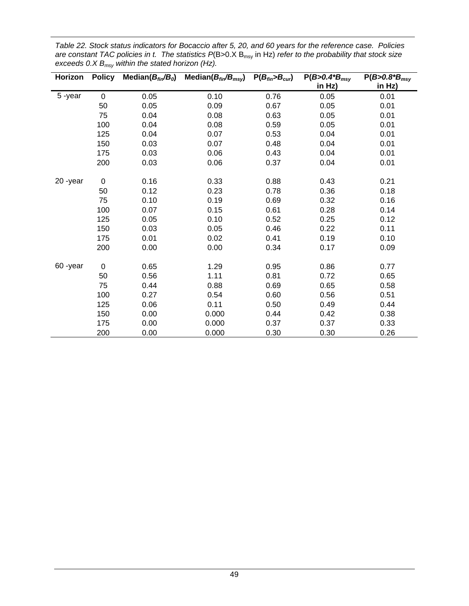<span id="page-57-0"></span>

| Table 22. Stock status indicators for Bocaccio after 5, 20, and 60 years for the reference case. Policies                |  |
|--------------------------------------------------------------------------------------------------------------------------|--|
| are constant TAC policies in t. The statistics $P(B>0.X B_{\text{msy}})$ in Hz) refer to the probability that stock size |  |
| exceeds 0.X $B_{msv}$ within the stated horizon (Hz).                                                                    |  |

| Horizon | <b>Policy</b> | Median $(B_{fin}/B_0)$ | Median $(B_{fin}/B_{msy})$ | $P(B_{fin} > B_{cur})$ | $P(B > 0.4 B_{msy})$ | $P(B > 0.8 B_{msy})$ |
|---------|---------------|------------------------|----------------------------|------------------------|----------------------|----------------------|
|         |               |                        |                            |                        | in Hz)               | in Hz)               |
| 5-year  | $\pmb{0}$     | 0.05                   | 0.10                       | 0.76                   | 0.05                 | 0.01                 |
|         | 50            | 0.05                   | 0.09                       | 0.67                   | 0.05                 | 0.01                 |
|         | 75            | 0.04                   | 0.08                       | 0.63                   | 0.05                 | 0.01                 |
|         | 100           | 0.04                   | 0.08                       | 0.59                   | 0.05                 | 0.01                 |
|         | 125           | 0.04                   | 0.07                       | 0.53                   | 0.04                 | 0.01                 |
|         | 150           | 0.03                   | 0.07                       | 0.48                   | 0.04                 | 0.01                 |
|         | 175           | 0.03                   | 0.06                       | 0.43                   | 0.04                 | 0.01                 |
|         | 200           | 0.03                   | 0.06                       | 0.37                   | 0.04                 | 0.01                 |
|         |               |                        |                            |                        |                      |                      |
| 20-year | 0             | 0.16                   | 0.33                       | 0.88                   | 0.43                 | 0.21                 |
|         | 50            | 0.12                   | 0.23                       | 0.78                   | 0.36                 | 0.18                 |
|         | 75            | 0.10                   | 0.19                       | 0.69                   | 0.32                 | 0.16                 |
|         | 100           | 0.07                   | 0.15                       | 0.61                   | 0.28                 | 0.14                 |
|         | 125           | 0.05                   | 0.10                       | 0.52                   | 0.25                 | 0.12                 |
|         | 150           | 0.03                   | 0.05                       | 0.46                   | 0.22                 | 0.11                 |
|         | 175           | 0.01                   | 0.02                       | 0.41                   | 0.19                 | 0.10                 |
|         | 200           | 0.00                   | 0.00                       | 0.34                   | 0.17                 | 0.09                 |
|         |               |                        |                            |                        |                      |                      |
| 60-year | $\pmb{0}$     | 0.65                   | 1.29                       | 0.95                   | 0.86                 | 0.77                 |
|         | 50            | 0.56                   | 1.11                       | 0.81                   | 0.72                 | 0.65                 |
|         | 75            | 0.44                   | 0.88                       | 0.69                   | 0.65                 | 0.58                 |
|         | 100           | 0.27                   | 0.54                       | 0.60                   | 0.56                 | 0.51                 |
|         | 125           | 0.06                   | 0.11                       | 0.50                   | 0.49                 | 0.44                 |
|         | 150           | 0.00                   | 0.000                      | 0.44                   | 0.42                 | 0.38                 |
|         | 175           | 0.00                   | 0.000                      | 0.37                   | 0.37                 | 0.33                 |
|         | 200           | 0.00                   | 0.000                      | 0.30                   | 0.30                 | 0.26                 |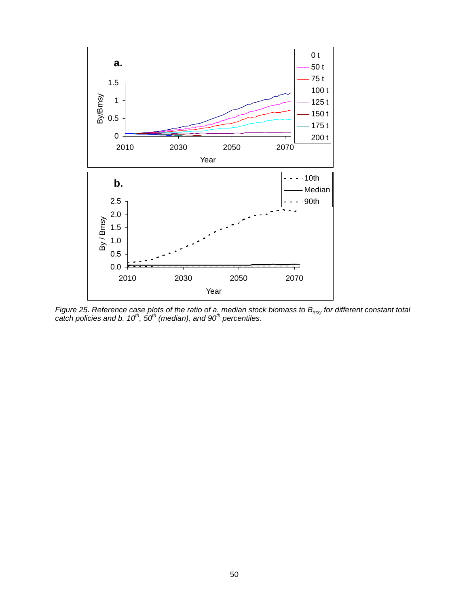

<span id="page-58-0"></span>*Figure 25. Reference case plots of the ratio of a. median stock biomass to B<sub>msy</sub> for different constant total catch policies and b. 10th, 50th (median), and 90th percentiles.*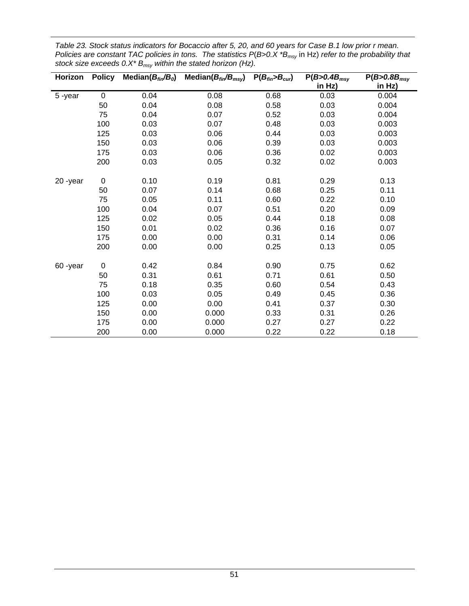| Horizon | <b>Policy</b> | Median $(B_{fin}/B_0)$ | Median( $B_{fin}/B_{msv}$ ) | $P(B_{fin} > B_{cur})$ | $P(B>0.4B_{msy})$ | $P(B>0.8B_{msy})$ |
|---------|---------------|------------------------|-----------------------------|------------------------|-------------------|-------------------|
|         |               |                        |                             |                        | in Hz)            | in Hz)            |
| 5-year  | $\mathbf 0$   | 0.04                   | 0.08                        | 0.68                   | 0.03              | 0.004             |
|         | 50            | 0.04                   | 0.08                        | 0.58                   | 0.03              | 0.004             |
|         | 75            | 0.04                   | 0.07                        | 0.52                   | 0.03              | 0.004             |
|         | 100           | 0.03                   | 0.07                        | 0.48                   | 0.03              | 0.003             |
|         | 125           | 0.03                   | 0.06                        | 0.44                   | 0.03              | 0.003             |
|         | 150           | 0.03                   | 0.06                        | 0.39                   | 0.03              | 0.003             |
|         | 175           | 0.03                   | 0.06                        | 0.36                   | 0.02              | 0.003             |
|         | 200           | 0.03                   | 0.05                        | 0.32                   | 0.02              | 0.003             |
|         |               |                        |                             |                        |                   |                   |
| 20-year | 0             | 0.10                   | 0.19                        | 0.81                   | 0.29              | 0.13              |
|         | 50            | 0.07                   | 0.14                        | 0.68                   | 0.25              | 0.11              |
|         | 75            | 0.05                   | 0.11                        | 0.60                   | 0.22              | 0.10              |
|         | 100           | 0.04                   | 0.07                        | 0.51                   | 0.20              | 0.09              |
|         | 125           | 0.02                   | 0.05                        | 0.44                   | 0.18              | 0.08              |
|         | 150           | 0.01                   | 0.02                        | 0.36                   | 0.16              | 0.07              |
|         | 175           | 0.00                   | 0.00                        | 0.31                   | 0.14              | 0.06              |
|         | 200           | 0.00                   | 0.00                        | 0.25                   | 0.13              | 0.05              |
|         |               |                        |                             |                        |                   |                   |
| 60-year | $\pmb{0}$     | 0.42                   | 0.84                        | 0.90                   | 0.75              | 0.62              |
|         | 50            | 0.31                   | 0.61                        | 0.71                   | 0.61              | 0.50              |
|         | 75            | 0.18                   | 0.35                        | 0.60                   | 0.54              | 0.43              |
|         | 100           | 0.03                   | 0.05                        | 0.49                   | 0.45              | 0.36              |
|         | 125           | 0.00                   | 0.00                        | 0.41                   | 0.37              | 0.30              |
|         | 150           | 0.00                   | 0.000                       | 0.33                   | 0.31              | 0.26              |
|         | 175           | 0.00                   | 0.000                       | 0.27                   | 0.27              | 0.22              |
|         | 200           | 0.00                   | 0.000                       | 0.22                   | 0.22              | 0.18              |

<span id="page-59-0"></span>*Table 23. Stock status indicators for Bocaccio after 5, 20, and 60 years for Case B.1 low prior r mean. Policies are constant TAC policies in tons. The statistics P*(*B>0.X \*Bmsy* in Hz) *refer to the probability that stock size exceeds 0.X\* Bmsy within the stated horizon (Hz).*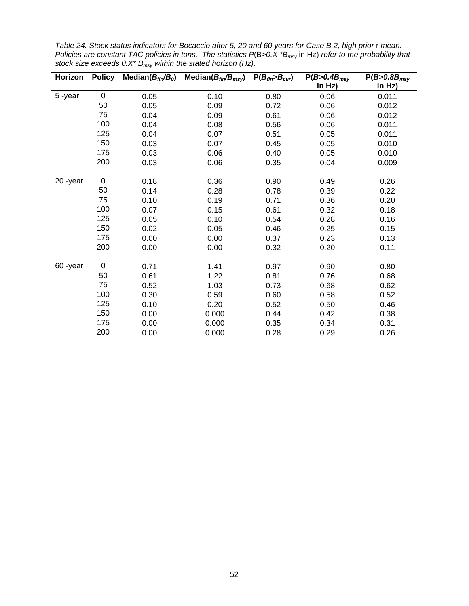| Horizon | <b>Policy</b> | Median $(B_{fin}/B_0)$ | Median $(B_{fin}/B_{msv})$ | $P(B_{fin} > B_{cur})$ | $P(B>0.4B_{msy})$ | $P(B>0.8B_{msy})$ |
|---------|---------------|------------------------|----------------------------|------------------------|-------------------|-------------------|
|         |               |                        |                            |                        | in Hz)            | in Hz)            |
| 5-year  | $\mathbf 0$   | 0.05                   | 0.10                       | 0.80                   | 0.06              | 0.011             |
|         | 50            | 0.05                   | 0.09                       | 0.72                   | 0.06              | 0.012             |
|         | 75            | 0.04                   | 0.09                       | 0.61                   | 0.06              | 0.012             |
|         | 100           | 0.04                   | 0.08                       | 0.56                   | 0.06              | 0.011             |
|         | 125           | 0.04                   | 0.07                       | 0.51                   | 0.05              | 0.011             |
|         | 150           | 0.03                   | 0.07                       | 0.45                   | 0.05              | 0.010             |
|         | 175           | 0.03                   | 0.06                       | 0.40                   | 0.05              | 0.010             |
|         | 200           | 0.03                   | 0.06                       | 0.35                   | 0.04              | 0.009             |
|         |               |                        |                            |                        |                   |                   |
| 20-year | $\pmb{0}$     | 0.18                   | 0.36                       | 0.90                   | 0.49              | 0.26              |
|         | 50            | 0.14                   | 0.28                       | 0.78                   | 0.39              | 0.22              |
|         | 75            | 0.10                   | 0.19                       | 0.71                   | 0.36              | 0.20              |
|         | 100           | 0.07                   | 0.15                       | 0.61                   | 0.32              | 0.18              |
|         | 125           | 0.05                   | 0.10                       | 0.54                   | 0.28              | 0.16              |
|         | 150           | 0.02                   | 0.05                       | 0.46                   | 0.25              | 0.15              |
|         | 175           | 0.00                   | 0.00                       | 0.37                   | 0.23              | 0.13              |
|         | 200           | 0.00                   | 0.00                       | 0.32                   | 0.20              | 0.11              |
|         |               |                        |                            |                        |                   |                   |
| 60-year | $\pmb{0}$     | 0.71                   | 1.41                       | 0.97                   | 0.90              | 0.80              |
|         | 50            | 0.61                   | 1.22                       | 0.81                   | 0.76              | 0.68              |
|         | 75            | 0.52                   | 1.03                       | 0.73                   | 0.68              | 0.62              |
|         | 100           | 0.30                   | 0.59                       | 0.60                   | 0.58              | 0.52              |
|         | 125           | 0.10                   | 0.20                       | 0.52                   | 0.50              | 0.46              |
|         | 150           | 0.00                   | 0.000                      | 0.44                   | 0.42              | 0.38              |
|         | 175           | 0.00                   | 0.000                      | 0.35                   | 0.34              | 0.31              |
|         | 200           | 0.00                   | 0.000                      | 0.28                   | 0.29              | 0.26              |

<span id="page-60-0"></span>*Table 24. Stock status indicators for Bocaccio after 5, 20 and 60 years for Case B.2, high prior* r *mean. Policies are constant TAC policies in tons. The statistics P*(B>*0.X \*Bmsy* in Hz) *refer to the probability that stock size exceeds 0.X\* Bmsy within the stated horizon (Hz).*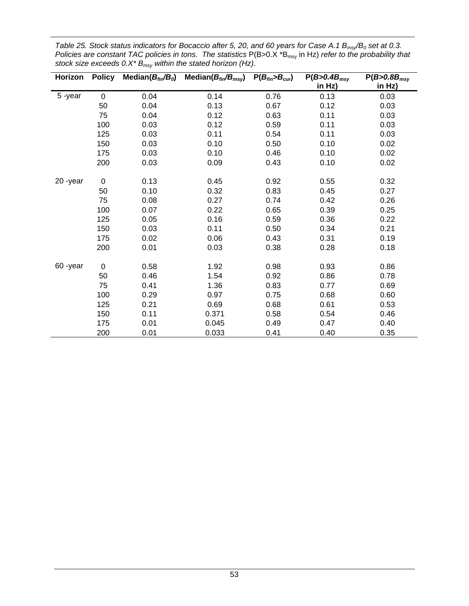| Horizon | <b>Policy</b> | Median $(B_{fin}/B_0)$ | Median $(B_{fin}/B_{msv})$ | $P(B_{fin} > B_{cur})$ | $P(B>0.4B_{msy})$ | $P(B>0.8B_{msy})$ |
|---------|---------------|------------------------|----------------------------|------------------------|-------------------|-------------------|
|         |               |                        |                            |                        | in Hz)            | in Hz)            |
| 5-year  | $\mathbf 0$   | 0.04                   | 0.14                       | 0.76                   | 0.13              | 0.03              |
|         | 50            | 0.04                   | 0.13                       | 0.67                   | 0.12              | 0.03              |
|         | 75            | 0.04                   | 0.12                       | 0.63                   | 0.11              | 0.03              |
|         | 100           | 0.03                   | 0.12                       | 0.59                   | 0.11              | 0.03              |
|         | 125           | 0.03                   | 0.11                       | 0.54                   | 0.11              | 0.03              |
|         | 150           | 0.03                   | 0.10                       | 0.50                   | 0.10              | 0.02              |
|         | 175           | 0.03                   | 0.10                       | 0.46                   | 0.10              | 0.02              |
|         | 200           | 0.03                   | 0.09                       | 0.43                   | 0.10              | 0.02              |
|         |               |                        |                            |                        |                   |                   |
| 20-year | $\mathbf 0$   | 0.13                   | 0.45                       | 0.92                   | 0.55              | 0.32              |
|         | 50            | 0.10                   | 0.32                       | 0.83                   | 0.45              | 0.27              |
|         | 75            | 0.08                   | 0.27                       | 0.74                   | 0.42              | 0.26              |
|         | 100           | 0.07                   | 0.22                       | 0.65                   | 0.39              | 0.25              |
|         | 125           | 0.05                   | 0.16                       | 0.59                   | 0.36              | 0.22              |
|         | 150           | 0.03                   | 0.11                       | 0.50                   | 0.34              | 0.21              |
|         | 175           | 0.02                   | 0.06                       | 0.43                   | 0.31              | 0.19              |
|         | 200           | 0.01                   | 0.03                       | 0.38                   | 0.28              | 0.18              |
|         |               |                        |                            |                        |                   |                   |
| 60-year | $\mathbf 0$   | 0.58                   | 1.92                       | 0.98                   | 0.93              | 0.86              |
|         | 50            | 0.46                   | 1.54                       | 0.92                   | 0.86              | 0.78              |
|         | 75            | 0.41                   | 1.36                       | 0.83                   | 0.77              | 0.69              |
|         | 100           | 0.29                   | 0.97                       | 0.75                   | 0.68              | 0.60              |
|         | 125           | 0.21                   | 0.69                       | 0.68                   | 0.61              | 0.53              |
|         | 150           | 0.11                   | 0.371                      | 0.58                   | 0.54              | 0.46              |
|         | 175           | 0.01                   | 0.045                      | 0.49                   | 0.47              | 0.40              |
|         | 200           | 0.01                   | 0.033                      | 0.41                   | 0.40              | 0.35              |

<span id="page-61-0"></span>*Table 25. Stock status indicators for Bocaccio after 5, 20, and 60 years for Case A.1 B<sub>msy</sub>/B<sub>0</sub> set at 0.3. Policies are constant TAC policies in tons. The statistics P(B>0.X \*B<sub>msy</sub> in Hz) refer to the probability that stock size exceeds 0.X\* Bmsy within the stated horizon (Hz).*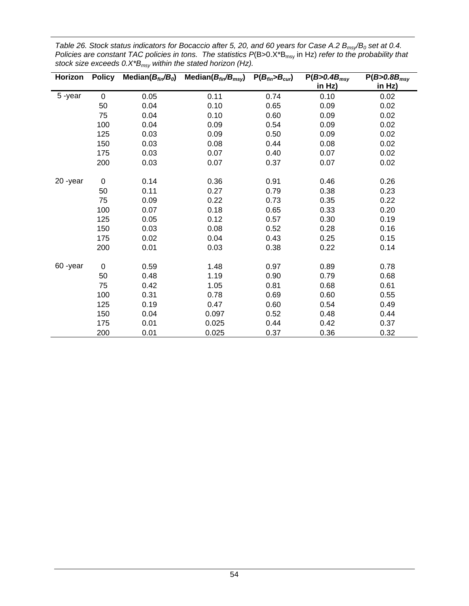| Horizon | <b>Policy</b> | Median $(B_{fin}/B_0)$ | Median $(B_{fin}/B_{msy})$ | $P(B_{fin} > B_{cur})$ | $P(B>0.4B_{msy})$ | $P(B>0.8B_{msy})$ |
|---------|---------------|------------------------|----------------------------|------------------------|-------------------|-------------------|
|         |               |                        |                            |                        | in Hz)            | in Hz)            |
| 5-year  | $\mathbf 0$   | 0.05                   | 0.11                       | 0.74                   | 0.10              | 0.02              |
|         | 50            | 0.04                   | 0.10                       | 0.65                   | 0.09              | 0.02              |
|         | 75            | 0.04                   | 0.10                       | 0.60                   | 0.09              | 0.02              |
|         | 100           | 0.04                   | 0.09                       | 0.54                   | 0.09              | 0.02              |
|         | 125           | 0.03                   | 0.09                       | 0.50                   | 0.09              | 0.02              |
|         | 150           | 0.03                   | 0.08                       | 0.44                   | 0.08              | 0.02              |
|         | 175           | 0.03                   | 0.07                       | 0.40                   | 0.07              | 0.02              |
|         | 200           | 0.03                   | 0.07                       | 0.37                   | 0.07              | 0.02              |
|         |               |                        |                            |                        |                   |                   |
| 20-year | $\pmb{0}$     | 0.14                   | 0.36                       | 0.91                   | 0.46              | 0.26              |
|         | 50            | 0.11                   | 0.27                       | 0.79                   | 0.38              | 0.23              |
|         | 75            | 0.09                   | 0.22                       | 0.73                   | 0.35              | 0.22              |
|         | 100           | 0.07                   | 0.18                       | 0.65                   | 0.33              | 0.20              |
|         | 125           | 0.05                   | 0.12                       | 0.57                   | 0.30              | 0.19              |
|         | 150           | 0.03                   | 0.08                       | 0.52                   | 0.28              | 0.16              |
|         | 175           | 0.02                   | 0.04                       | 0.43                   | 0.25              | 0.15              |
|         | 200           | 0.01                   | 0.03                       | 0.38                   | 0.22              | 0.14              |
|         |               |                        |                            |                        |                   |                   |
| 60-year | $\pmb{0}$     | 0.59                   | 1.48                       | 0.97                   | 0.89              | 0.78              |
|         | 50            | 0.48                   | 1.19                       | 0.90                   | 0.79              | 0.68              |
|         | 75            | 0.42                   | 1.05                       | 0.81                   | 0.68              | 0.61              |
|         | 100           | 0.31                   | 0.78                       | 0.69                   | 0.60              | 0.55              |
|         | 125           | 0.19                   | 0.47                       | 0.60                   | 0.54              | 0.49              |
|         | 150           | 0.04                   | 0.097                      | 0.52                   | 0.48              | 0.44              |
|         | 175           | 0.01                   | 0.025                      | 0.44                   | 0.42              | 0.37              |
|         | 200           | 0.01                   | 0.025                      | 0.37                   | 0.36              | 0.32              |

<span id="page-62-0"></span>*Table 26. Stock status indicators for Bocaccio after 5, 20, and 60 years for Case A.2 B<sub>msy</sub>/B<sub>0</sub> set at 0.4. Policies are constant TAC policies in tons. The statistics P(B>0.X\*B<sub>msy</sub> in Hz) refer to the probability that stock size exceeds 0.X\*Bmsy within the stated horizon (Hz).*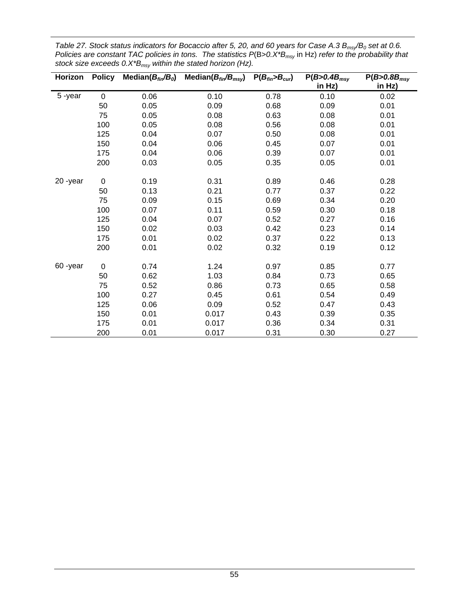| Horizon | <b>Policy</b> | Median( $B_{fin}/B_0$ ) | Median $(B_{fin}/B_{msv})$ | $P(B_{fin} > B_{cur})$ | $P(B>0.4B_{msy})$ | $P(B>0.8B_{msy})$ |
|---------|---------------|-------------------------|----------------------------|------------------------|-------------------|-------------------|
|         |               |                         |                            |                        | in Hz)            | in Hz)            |
| 5-year  | $\mathbf 0$   | 0.06                    | 0.10                       | 0.78                   | 0.10              | 0.02              |
|         | 50            | 0.05                    | 0.09                       | 0.68                   | 0.09              | 0.01              |
|         | 75            | 0.05                    | 0.08                       | 0.63                   | 0.08              | 0.01              |
|         | 100           | 0.05                    | 0.08                       | 0.56                   | 0.08              | 0.01              |
|         | 125           | 0.04                    | 0.07                       | 0.50                   | 0.08              | 0.01              |
|         | 150           | 0.04                    | 0.06                       | 0.45                   | 0.07              | 0.01              |
|         | 175           | 0.04                    | 0.06                       | 0.39                   | 0.07              | 0.01              |
|         | 200           | 0.03                    | 0.05                       | 0.35                   | 0.05              | 0.01              |
|         |               |                         |                            |                        |                   |                   |
| 20-year | $\mathbf 0$   | 0.19                    | 0.31                       | 0.89                   | 0.46              | 0.28              |
|         | 50            | 0.13                    | 0.21                       | 0.77                   | 0.37              | 0.22              |
|         | 75            | 0.09                    | 0.15                       | 0.69                   | 0.34              | 0.20              |
|         | 100           | 0.07                    | 0.11                       | 0.59                   | 0.30              | 0.18              |
|         | 125           | 0.04                    | 0.07                       | 0.52                   | 0.27              | 0.16              |
|         | 150           | 0.02                    | 0.03                       | 0.42                   | 0.23              | 0.14              |
|         | 175           | 0.01                    | 0.02                       | 0.37                   | 0.22              | 0.13              |
|         | 200           | 0.01                    | 0.02                       | 0.32                   | 0.19              | 0.12              |
|         |               |                         |                            |                        |                   |                   |
| 60-year | $\pmb{0}$     | 0.74                    | 1.24                       | 0.97                   | 0.85              | 0.77              |
|         | 50            | 0.62                    | 1.03                       | 0.84                   | 0.73              | 0.65              |
|         | 75            | 0.52                    | 0.86                       | 0.73                   | 0.65              | 0.58              |
|         | 100           | 0.27                    | 0.45                       | 0.61                   | 0.54              | 0.49              |
|         | 125           | 0.06                    | 0.09                       | 0.52                   | 0.47              | 0.43              |
|         | 150           | 0.01                    | 0.017                      | 0.43                   | 0.39              | 0.35              |
|         | 175           | 0.01                    | 0.017                      | 0.36                   | 0.34              | 0.31              |
|         | 200           | 0.01                    | 0.017                      | 0.31                   | 0.30              | 0.27              |

<span id="page-63-0"></span>*Table 27. Stock status indicators for Bocaccio after 5, 20, and 60 years for Case A.3 B<sub>msy</sub>/B<sub>0</sub> set at 0.6. Policies are constant TAC policies in tons. The statistics P*(B>*0.X\*Bmsy* in Hz) *refer to the probability that stock size exceeds 0.X\*Bmsy within the stated horizon (Hz).*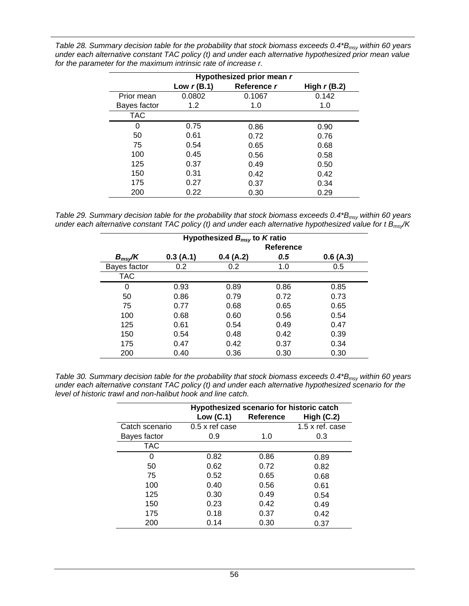| Table 28. Summary decision table for the probability that stock biomass exceeds 0.4*B <sub>msv</sub> within 60 years |
|----------------------------------------------------------------------------------------------------------------------|
| under each alternative constant TAC policy (t) and under each alternative hypothesized prior mean value              |
| for the parameter for the maximum intrinsic rate of increase r.                                                      |

|              | Hypothesized prior mean r |             |                |  |  |
|--------------|---------------------------|-------------|----------------|--|--|
|              | Low $r(B.1)$              | Reference r | High $r$ (B.2) |  |  |
| Prior mean   | 0.0802                    | 0.1067      | 0.142          |  |  |
| Bayes factor | 1.2                       | 1.0         | 1.0            |  |  |
| <b>TAC</b>   |                           |             |                |  |  |
| 0            | 0.75                      | 0.86        | 0.90           |  |  |
| 50           | 0.61                      | 0.72        | 0.76           |  |  |
| 75           | 0.54                      | 0.65        | 0.68           |  |  |
| 100          | 0.45                      | 0.56        | 0.58           |  |  |
| 125          | 0.37                      | 0.49        | 0.50           |  |  |
| 150          | 0.31                      | 0.42        | 0.42           |  |  |
| 175          | 0.27                      | 0.37        | 0.34           |  |  |
| 200          | 0.22                      | 0.30        | 0.29           |  |  |

<span id="page-64-0"></span>*Table 29. Summary decision table for the probability that stock biomass exceeds 0.4\*B<sub>msy</sub> within 60 years under each alternative constant TAC policy (t) and under each alternative hypothesized value for t Bmsy/K* 

| Hypothesized $B_{msy}$ to K ratio |           |          |      |          |  |  |
|-----------------------------------|-----------|----------|------|----------|--|--|
|                                   | Reference |          |      |          |  |  |
| $B_{msy}$ /K                      | 0.3(A.1)  | 0.4(A.2) | 0.5  | 0.6(A.3) |  |  |
| Bayes factor                      | 0.2       | 0.2      | 1.0  | 0.5      |  |  |
| <b>TAC</b>                        |           |          |      |          |  |  |
| 0                                 | 0.93      | 0.89     | 0.86 | 0.85     |  |  |
| 50                                | 0.86      | 0.79     | 0.72 | 0.73     |  |  |
| 75                                | 0.77      | 0.68     | 0.65 | 0.65     |  |  |
| 100                               | 0.68      | 0.60     | 0.56 | 0.54     |  |  |
| 125                               | 0.61      | 0.54     | 0.49 | 0.47     |  |  |
| 150                               | 0.54      | 0.48     | 0.42 | 0.39     |  |  |
| 175                               | 0.47      | 0.42     | 0.37 | 0.34     |  |  |
| 200                               | 0.40      | 0.36     | 0.30 | 0.30     |  |  |

<span id="page-64-1"></span>*Table 30. Summary decision table for the probability that stock biomass exceeds 0.4\*B<sub>msy</sub> within 60 years under each alternative constant TAC policy (t) and under each alternative hypothesized scenario for the level of historic trawl and non-halibut hook and line catch.* 

|                | Hypothesized scenario for historic catch |                  |                 |  |  |
|----------------|------------------------------------------|------------------|-----------------|--|--|
|                | Low $(C.1)$                              | <b>Reference</b> | High $(C.2)$    |  |  |
| Catch scenario | $0.5 \times$ ref case                    |                  | 1.5 x ref. case |  |  |
| Bayes factor   | 0.9                                      | 1.0              | 0.3             |  |  |
| <b>TAC</b>     |                                          |                  |                 |  |  |
| O              | 0.82                                     | 0.86             | 0.89            |  |  |
| 50             | 0.62                                     | 0.72             | 0.82            |  |  |
| 75             | 0.52                                     | 0.65             | 0.68            |  |  |
| 100            | 0.40                                     | 0.56             | 0.61            |  |  |
| 125            | 0.30                                     | 0.49             | 0.54            |  |  |
| 150            | 0.23                                     | 0.42             | 0.49            |  |  |
| 175            | 0.18                                     | 0.37             | 0.42            |  |  |
| 200            | 0.14                                     | 0.30             | 0.37            |  |  |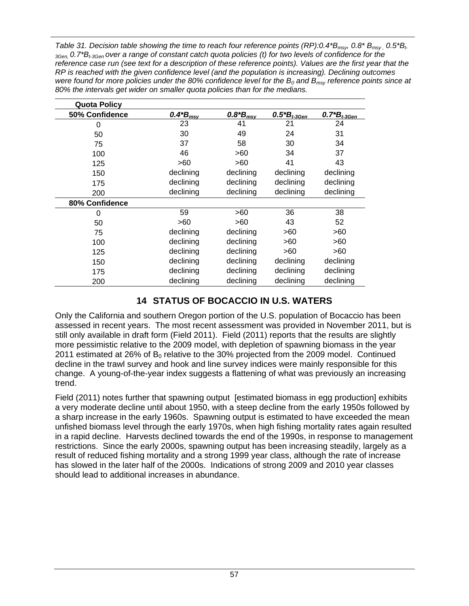<span id="page-65-0"></span>*Table 31. Decision table showing the time to reach four reference points (RP):0.4\*Bmsy, 0.8\* Bmsy , 0.5\*Bt-3Gen, 0.7\*Bt-3Gen over a range of constant catch quota policies (t) for two levels of confidence for the reference case run (see text for a description of these reference points). Values are the first year that the RP is reached with the given confidence level (and the population is increasing). Declining outcomes were found for more policies under the 80% confidence level for the*  $B_0$  *and*  $B_{\text{msy}}$  *reference points since at 80% the intervals get wider on smaller quota policies than for the medians.* 

| <b>Quota Policy</b> |                      |                |                     |                     |
|---------------------|----------------------|----------------|---------------------|---------------------|
| 50% Confidence      | $0.4 B_{\text{msy}}$ | $0.8 B*_{msv}$ | $0.5^{*}B_{t-3Gen}$ | $0.7^{*}B_{t-3Gen}$ |
| 0                   | 23                   | 41             | 21                  | 24                  |
| 50                  | 30                   | 49             | 24                  | 31                  |
| 75                  | 37                   | 58             | 30                  | 34                  |
| 100                 | 46                   | >60            | 34                  | 37                  |
| 125                 | >60                  | >60            | 41                  | 43                  |
| 150                 | declining            | declining      | declining           | declining           |
| 175                 | declining            | declining      | declining           | declining           |
| 200                 | declining            | declining      | declining           | declining           |
| 80% Confidence      |                      |                |                     |                     |
| 0                   | 59                   | >60            | 36                  | 38                  |
| 50                  | >60                  | >60            | 43                  | 52                  |
| 75                  | declining            | declining      | >60                 | >60                 |
| 100                 | declining            | declining      | >60                 | >60                 |
| 125                 | declining            | declining      | >60                 | >60                 |
| 150                 | declining            | declining      | declining           | declining           |
| 175                 | declining            | declining      | declining           | declining           |
| 200                 | declining            | declining      | declining           | declining           |

# **14 STATUS OF BOCACCIO IN U.S. WATERS**

Only the California and southern Oregon portion of the U.S. population of Bocaccio has been assessed in recent years. The most recent assessment was provided in November 2011, but is still only available in draft form (Field 2011). Field (2011) reports that the results are slightly more pessimistic relative to the 2009 model, with depletion of spawning biomass in the year 2011 estimated at 26% of  $B<sub>0</sub>$  relative to the 30% projected from the 2009 model. Continued decline in the trawl survey and hook and line survey indices were mainly responsible for this change. A young-of-the-year index suggests a flattening of what was previously an increasing trend.

Field (2011) notes further that spawning output [estimated biomass in egg production] exhibits a very moderate decline until about 1950, with a steep decline from the early 1950s followed by a sharp increase in the early 1960s. Spawning output is estimated to have exceeded the mean unfished biomass level through the early 1970s, when high fishing mortality rates again resulted in a rapid decline. Harvests declined towards the end of the 1990s, in response to management restrictions. Since the early 2000s, spawning output has been increasing steadily, largely as a result of reduced fishing mortality and a strong 1999 year class, although the rate of increase has slowed in the later half of the 2000s. Indications of strong 2009 and 2010 year classes should lead to additional increases in abundance.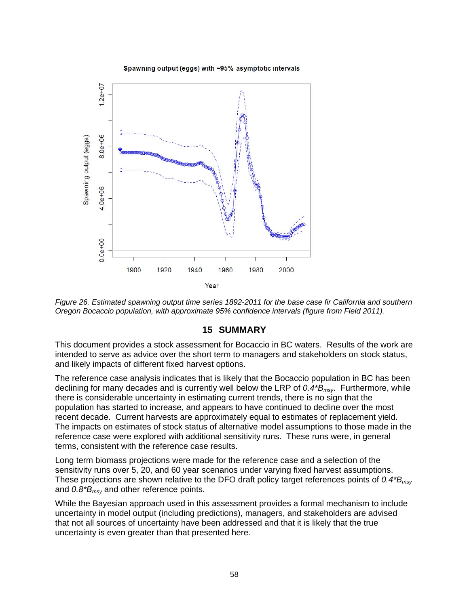Spawning output (eggs) with ~95% asymptotic intervals



*Figure 26. Estimated spawning output time series 1892-2011 for the base case fir California and southern Oregon Bocaccio population, with approximate 95% confidence intervals (figure from Field 2011).* 

## **15 SUMMARY**

This document provides a stock assessment for Bocaccio in BC waters. Results of the work are intended to serve as advice over the short term to managers and stakeholders on stock status, and likely impacts of different fixed harvest options.

The reference case analysis indicates that is likely that the Bocaccio population in BC has been declining for many decades and is currently well below the LRP of *0.4\*Bmsy*. Furthermore, while there is considerable uncertainty in estimating current trends, there is no sign that the population has started to increase, and appears to have continued to decline over the most recent decade. Current harvests are approximately equal to estimates of replacement yield. The impacts on estimates of stock status of alternative model assumptions to those made in the reference case were explored with additional sensitivity runs. These runs were, in general terms, consistent with the reference case results.

Long term biomass projections were made for the reference case and a selection of the sensitivity runs over 5, 20, and 60 year scenarios under varying fixed harvest assumptions. These projections are shown relative to the DFO draft policy target references points of *0.4\*Bmsy* and *0.8\*Bmsy* and other reference points.

While the Bayesian approach used in this assessment provides a formal mechanism to include uncertainty in model output (including predictions), managers, and stakeholders are advised that not all sources of uncertainty have been addressed and that it is likely that the true uncertainty is even greater than that presented here.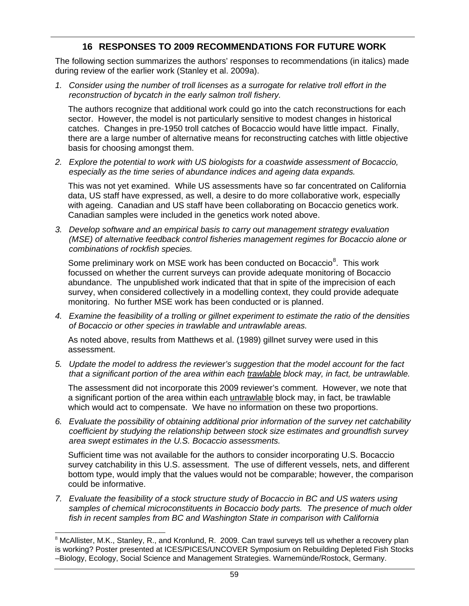#### **16 RESPONSES TO 2009 RECOMMENDATIONS FOR FUTURE WORK**

The following section summarizes the authors' responses to recommendations (in italics) made during review of the earlier work (Stanley et al. 2009a).

*1. Consider using the number of troll licenses as a surrogate for relative troll effort in the reconstruction of bycatch in the early salmon troll fishery.* 

The authors recognize that additional work could go into the catch reconstructions for each sector. However, the model is not particularly sensitive to modest changes in historical catches. Changes in pre-1950 troll catches of Bocaccio would have little impact. Finally, there are a large number of alternative means for reconstructing catches with little objective basis for choosing amongst them.

*2. Explore the potential to work with US biologists for a coastwide assessment of Bocaccio, especially as the time series of abundance indices and ageing data expands.* 

This was not yet examined. While US assessments have so far concentrated on California data, US staff have expressed, as well, a desire to do more collaborative work, especially with ageing. Canadian and US staff have been collaborating on Bocaccio genetics work. Canadian samples were included in the genetics work noted above.

*3. Develop software and an empirical basis to carry out management strategy evaluation (MSE) of alternative feedback control fisheries management regimes for Bocaccio alone or combinations of rockfish species.* 

Some preliminary work on MSE work has been conducted on Bocaccio<sup>[8](#page-67-0)</sup>. This work focussed on whether the current surveys can provide adequate monitoring of Bocaccio abundance. The unpublished work indicated that that in spite of the imprecision of each survey, when considered collectively in a modelling context, they could provide adequate monitoring. No further MSE work has been conducted or is planned.

*4. Examine the feasibility of a trolling or gillnet experiment to estimate the ratio of the densities of Bocaccio or other species in trawlable and untrawlable areas.* 

As noted above, results from Matthews et al. (1989) gillnet survey were used in this assessment.

*5. Update the model to address the reviewer's suggestion that the model account for the fact that a significant portion of the area within each trawlable block may, in fact, be untrawlable.* 

The assessment did not incorporate this 2009 reviewer's comment. However, we note that a significant portion of the area within each untrawlable block may, in fact, be trawlable which would act to compensate. We have no information on these two proportions.

*6. Evaluate the possibility of obtaining additional prior information of the survey net catchability coefficient by studying the relationship between stock size estimates and groundfish survey area swept estimates in the U.S. Bocaccio assessments.* 

Sufficient time was not available for the authors to consider incorporating U.S. Bocaccio survey catchability in this U.S. assessment. The use of different vessels, nets, and different bottom type, would imply that the values would not be comparable; however, the comparison could be informative.

*7. Evaluate the feasibility of a stock structure study of Bocaccio in BC and US waters using samples of chemical microconstituents in Bocaccio body parts. The presence of much older fish in recent samples from BC and Washington State in comparison with California* 

l

<span id="page-67-0"></span> $8$  McAllister, M.K., Stanley, R., and Kronlund, R. 2009. Can trawl surveys tell us whether a recovery plan is working? Poster presented at ICES/PICES/UNCOVER Symposium on Rebuilding Depleted Fish Stocks –Biology, Ecology, Social Science and Management Strategies. Warnemünde/Rostock, Germany.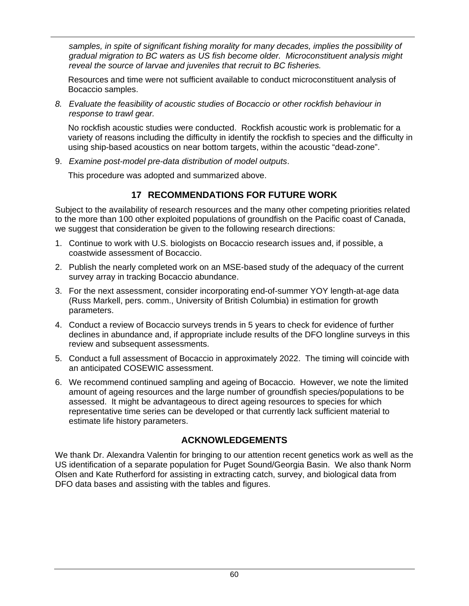*samples, in spite of significant fishing morality for many decades, implies the possibility of gradual migration to BC waters as US fish become older. Microconstituent analysis might reveal the source of larvae and juveniles that recruit to BC fisheries.* 

Resources and time were not sufficient available to conduct microconstituent analysis of Bocaccio samples.

*8. Evaluate the feasibility of acoustic studies of Bocaccio or other rockfish behaviour in response to trawl gear.* 

No rockfish acoustic studies were conducted. Rockfish acoustic work is problematic for a variety of reasons including the difficulty in identify the rockfish to species and the difficulty in using ship-based acoustics on near bottom targets, within the acoustic "dead-zone".

9. *Examine post-model pre-data distribution of model outputs*.

This procedure was adopted and summarized above.

#### **17 RECOMMENDATIONS FOR FUTURE WORK**

Subject to the availability of research resources and the many other competing priorities related to the more than 100 other exploited populations of groundfish on the Pacific coast of Canada, we suggest that consideration be given to the following research directions:

- 1. Continue to work with U.S. biologists on Bocaccio research issues and, if possible, a coastwide assessment of Bocaccio.
- 2. Publish the nearly completed work on an MSE-based study of the adequacy of the current survey array in tracking Bocaccio abundance.
- 3. For the next assessment, consider incorporating end-of-summer YOY length-at-age data (Russ Markell, pers. comm., University of British Columbia) in estimation for growth parameters.
- 4. Conduct a review of Bocaccio surveys trends in 5 years to check for evidence of further declines in abundance and, if appropriate include results of the DFO longline surveys in this review and subsequent assessments.
- 5. Conduct a full assessment of Bocaccio in approximately 2022. The timing will coincide with an anticipated COSEWIC assessment.
- 6. We recommend continued sampling and ageing of Bocaccio. However, we note the limited amount of ageing resources and the large number of groundfish species/populations to be assessed. It might be advantageous to direct ageing resources to species for which representative time series can be developed or that currently lack sufficient material to estimate life history parameters.

## **ACKNOWLEDGEMENTS**

We thank Dr. Alexandra Valentin for bringing to our attention recent genetics work as well as the US identification of a separate population for Puget Sound/Georgia Basin. We also thank Norm Olsen and Kate Rutherford for assisting in extracting catch, survey, and biological data from DFO data bases and assisting with the tables and figures.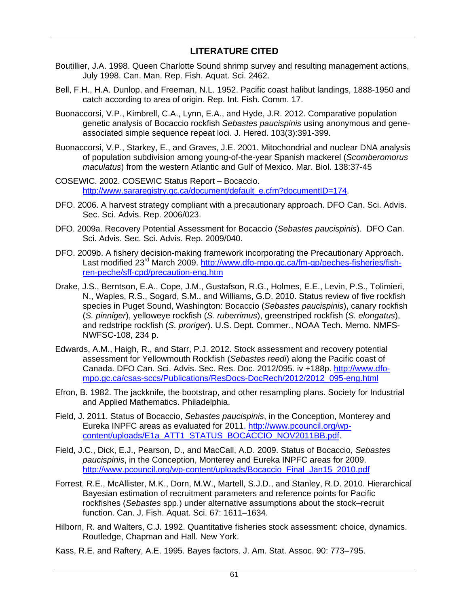### **LITERATURE CITED**

- Boutillier, J.A. 1998. Queen Charlotte Sound shrimp survey and resulting management actions, July 1998. Can. Man. Rep. Fish. Aquat. Sci. 2462.
- Bell, F.H., H.A. Dunlop, and Freeman, N.L. 1952. Pacific coast halibut landings, 1888-1950 and catch according to area of origin. Rep. Int. Fish. Comm. 17.
- Buonaccorsi, V.P., Kimbrell, C.A., Lynn, E.A., and Hyde, J.R. 2012. Comparative population genetic analysis of Bocaccio rockfish *Sebastes paucispinis* using anonymous and geneassociated simple sequence repeat loci. J. Hered. 103(3):391-399.
- Buonaccorsi, V.P., Starkey, E., and Graves, J.E. 2001. Mitochondrial and nuclear DNA analysis of population subdivision among young-of-the-year Spanish mackerel (*Scomberomorus maculatus*) from the western Atlantic and Gulf of Mexico. Mar. Biol. 138:37-45
- COSEWIC. 2002. COSEWIC Status Report Bocaccio. [http://www.sararegistry.gc.ca/document/default\\_e.cfm?documentID=174](http://www.sararegistry.gc.ca/document/default_e.cfm?documentID=174).
- DFO. 2006. A harvest strategy compliant with a precautionary approach. DFO Can. Sci. Advis. Sec. Sci. Advis. Rep. 2006/023.
- DFO. 2009a. Recovery Potential Assessment for Bocaccio (*Sebastes paucispinis*). DFO Can. Sci. Advis. Sec. Sci. Advis. Rep. 2009/040.
- DFO. 2009b. A fishery decision-making framework incorporating the Precautionary Approach. Last modified 23<sup>rd</sup> March 2009. [http://www.dfo-mpo.gc.ca/fm-gp/peches-fisheries/fish](http://www.dfo-mpo.gc.ca/fm-gp/peches-fisheries/fish-ren-peche/sff-cpd/precaution-eng.htm)[ren-peche/sff-cpd/precaution-eng.htm](http://www.dfo-mpo.gc.ca/fm-gp/peches-fisheries/fish-ren-peche/sff-cpd/precaution-eng.htm)
- Drake, J.S., Berntson, E.A., Cope, J.M., Gustafson, R.G., Holmes, E.E., Levin, P.S., Tolimieri, N., Waples, R.S., Sogard, S.M., and Williams, G.D. 2010. Status review of five rockfish species in Puget Sound, Washington: Bocaccio (*Sebastes paucispinis*), canary rockfish (*S. pinniger*), yelloweye rockfish (*S. ruberrimus*), greenstriped rockfish (*S. elongatus*), and redstripe rockfish (*S. proriger*). U.S. Dept. Commer., NOAA Tech. Memo. NMFS-NWFSC-108, 234 p.
- Edwards, A.M., Haigh, R., and Starr, P.J. 2012. Stock assessment and recovery potential assessment for Yellowmouth Rockfish (*Sebastes reedi*) along the Pacific coast of Canada. DFO Can. Sci. Advis. Sec. Res. Doc. 2012/095. iv +188p. [http://www.dfo](http://www.dfo-mpo.gc.ca/csas-sccs/Publications/ResDocs-DocRech/2012/2012_095-eng.html)[mpo.gc.ca/csas-sccs/Publications/ResDocs-DocRech/2012/2012\\_095-eng.html](http://www.dfo-mpo.gc.ca/csas-sccs/Publications/ResDocs-DocRech/2012/2012_095-eng.html)
- Efron, B. 1982. The jackknife, the bootstrap, and other resampling plans. Society for Industrial and Applied Mathematics. Philadelphia.
- Field, J. 2011. Status of Bocaccio, *Sebastes paucispinis*, in the Conception, Monterey and Eureka INPFC areas as evaluated for 2011. [http://www.pcouncil.org/wp](http://www.pcouncil.org/wp-content/uploads/E1a_ATT1_STATUS_BOCACCIO_NOV2011BB.pdf)[content/uploads/E1a\\_ATT1\\_STATUS\\_BOCACCIO\\_NOV2011BB.pdf](http://www.pcouncil.org/wp-content/uploads/E1a_ATT1_STATUS_BOCACCIO_NOV2011BB.pdf).
- Field, J.C., Dick, E.J., Pearson, D., and MacCall, A.D. 2009. Status of Bocaccio, *Sebastes paucispinis*, in the Conception, Monterey and Eureka INPFC areas for 2009. [http://www.pcouncil.org/wp-content/uploads/Bocaccio\\_Final\\_Jan15\\_2010.pdf](http://www.pcouncil.org/wp-content/uploads/Bocaccio_Final_Jan15_2010.pdf)
- Forrest, R.E., McAllister, M.K., Dorn, M.W., Martell, S.J.D., and Stanley, R.D. 2010. Hierarchical Bayesian estimation of recruitment parameters and reference points for Pacific rockfishes (*Sebastes* spp.) under alternative assumptions about the stock–recruit function. Can. J. Fish. Aquat. Sci. 67: 1611–1634.
- Hilborn, R. and Walters, C.J. 1992. Quantitative fisheries stock assessment: choice, dynamics. Routledge, Chapman and Hall. New York.
- Kass, R.E. and Raftery, A.E. 1995. Bayes factors. J. Am. Stat. Assoc. 90: 773–795.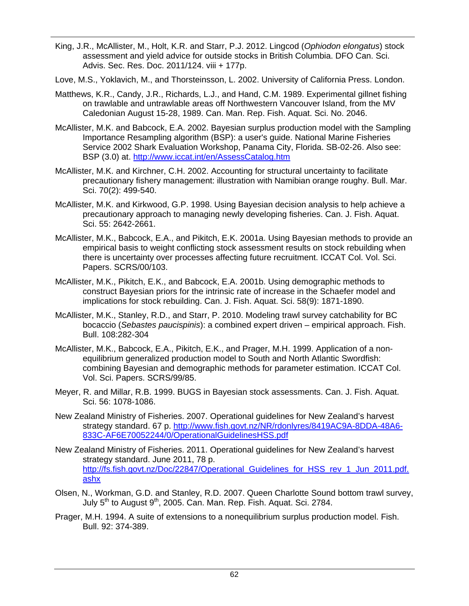- King, J.R., McAllister, M., Holt, K.R. and Starr, P.J. 2012. Lingcod (*Ophiodon elongatus*) stock assessment and yield advice for outside stocks in British Columbia. DFO Can. Sci. Advis. Sec. Res. Doc. 2011/124. viii + 177p.
- Love, M.S., Yoklavich, M., and Thorsteinsson, L. 2002. University of California Press. London.
- Matthews, K.R., Candy, J.R., Richards, L.J., and Hand, C.M. 1989. Experimental gillnet fishing on trawlable and untrawlable areas off Northwestern Vancouver Island, from the MV Caledonian August 15-28, 1989. Can. Man. Rep. Fish. Aquat. Sci. No. 2046.
- McAllister, M.K. and Babcock, E.A. 2002. Bayesian surplus production model with the Sampling Importance Resampling algorithm (BSP): a user's guide. National Marine Fisheries Service 2002 Shark Evaluation Workshop, Panama City, Florida. SB-02-26. Also see: BSP (3.0) at.<http://www.iccat.int/en/AssessCatalog.htm>
- McAllister, M.K. and Kirchner, C.H. 2002. Accounting for structural uncertainty to facilitate precautionary fishery management: illustration with Namibian orange roughy. Bull. Mar. Sci. 70(2): 499-540.
- McAllister, M.K. and Kirkwood, G.P. 1998. Using Bayesian decision analysis to help achieve a precautionary approach to managing newly developing fisheries. Can. J. Fish. Aquat. Sci. 55: 2642-2661.
- McAllister, M.K., Babcock, E.A., and Pikitch, E.K. 2001a. Using Bayesian methods to provide an empirical basis to weight conflicting stock assessment results on stock rebuilding when there is uncertainty over processes affecting future recruitment. ICCAT Col. Vol. Sci. Papers. SCRS/00/103.
- McAllister, M.K., Pikitch, E.K., and Babcock, E.A. 2001b. Using demographic methods to construct Bayesian priors for the intrinsic rate of increase in the Schaefer model and implications for stock rebuilding. Can. J. Fish. Aquat. Sci. 58(9): 1871-1890.
- McAllister, M.K., Stanley, R.D., and Starr, P. 2010. Modeling trawl survey catchability for BC bocaccio (*Sebastes paucispinis*): a combined expert driven – empirical approach. Fish. Bull. 108:282-304
- McAllister, M.K., Babcock, E.A., Pikitch, E.K., and Prager, M.H. 1999. Application of a nonequilibrium generalized production model to South and North Atlantic Swordfish: combining Bayesian and demographic methods for parameter estimation. ICCAT Col. Vol. Sci. Papers. SCRS/99/85.
- Meyer, R. and Millar, R.B. 1999. BUGS in Bayesian stock assessments. Can. J. Fish. Aquat. Sci. 56: 1078-1086.
- New Zealand Ministry of Fisheries. 2007. Operational guidelines for New Zealand's harvest strategy standard. 67 p. http://www.fish.govt.nz/NR/rdonlyres/8419AC9A-8DDA-48A6- 833C-AF6E70052244/0/[OperationalGuidelinesHSS.pdf](http://www.fish.govt.nz/NR/rdonlyres/8419AC9A-8DDA-48A6-833C-AF6E70052244/0/OperationalGuidelinesHSS.pdf)
- New Z[ealand Ministry of Fisheries. 2011. Operational guideline](http://www.fish.govt.nz/NR/rdonlyres/8419AC9A-8DDA-48A6-833C-AF6E70052244/0/OperationalGuidelinesHSS.pdf)s for New Zealand's harvest strategy standard. June 2011, 78 p. http://fs.fish.govt.nz/Doc/22847/Operational Guidelines for HSS rev 1 Jun 2011.pdf. ashx
- Olsen, [N., W](http://fs.fish.govt.nz/Doc/22847/Operational_Guidelines_for_HSS_rev_1_Jun_2011.pdf.ashx)orkman, G.D. and Stanley, R.D. 2007. Queen Charlotte Sound bottom trawl survey, July 5<sup>th</sup> to August 9<sup>th</sup>, 2005. Can. Man. Rep. Fish. Aquat. Sci. 2784.
- Prager, M.H. 1994. A suite of extensions to a nonequilibrium surplus production model. Fish. Bull. 92: 374-389.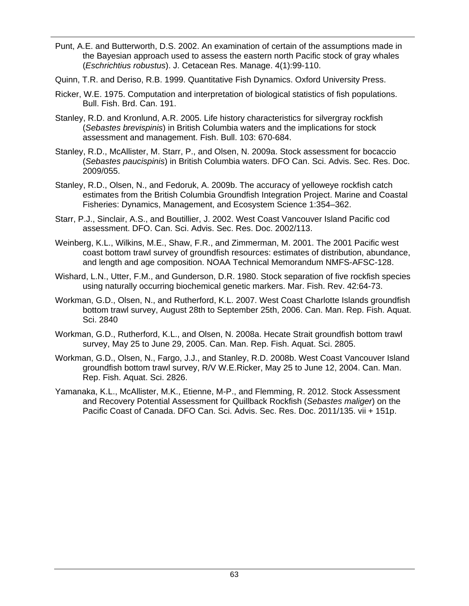- Punt, A.E. and Butterworth, D.S. 2002. An examination of certain of the assumptions made in the Bayesian approach used to assess the eastern north Pacific stock of gray whales (*Eschrichtius robustus*). J. Cetacean Res. Manage. 4(1):99-110.
- Quinn, T.R. and Deriso, R.B. 1999. Quantitative Fish Dynamics. Oxford University Press.
- Ricker, W.E. 1975. Computation and interpretation of biological statistics of fish populations. Bull. Fish. Brd. Can. 191.
- Stanley, R.D. and Kronlund, A.R. 2005. Life history characteristics for silvergray rockfish (*Sebastes brevispinis*) in British Columbia waters and the implications for stock assessment and management. Fish. Bull. 103: 670-684.
- Stanley, R.D., McAllister, M. Starr, P., and Olsen, N. 2009a. Stock assessment for bocaccio (*Sebastes paucispinis*) in British Columbia waters. DFO Can. Sci. Advis. Sec. Res. Doc. 2009/055.
- Stanley, R.D., Olsen, N., and Fedoruk, A. 2009b. The accuracy of yelloweye rockfish catch estimates from the British Columbia Groundfish Integration Project. Marine and Coastal Fisheries: Dynamics, Management, and Ecosystem Science 1:354–362.
- Starr, P.J., Sinclair, A.S., and Boutillier, J. 2002. West Coast Vancouver Island Pacific cod assessment. DFO. Can. Sci. Advis. Sec. Res. Doc. 2002/113.
- Weinberg, K.L., Wilkins, M.E., Shaw, F.R., and Zimmerman, M. 2001. The 2001 Pacific west coast bottom trawl survey of groundfish resources: estimates of distribution, abundance, and length and age composition. NOAA Technical Memorandum NMFS-AFSC-128.
- Wishard, L.N., Utter, F.M., and Gunderson, D.R. 1980. Stock separation of five rockfish species using naturally occurring biochemical genetic markers. Mar. Fish. Rev. 42:64-73.
- Workman, G.D., Olsen, N., and Rutherford, K.L. 2007. West Coast Charlotte Islands groundfish bottom trawl survey, August 28th to September 25th, 2006. Can. Man. Rep. Fish. Aquat. Sci. 2840
- Workman, G.D., Rutherford, K.L., and Olsen, N. 2008a. Hecate Strait groundfish bottom trawl survey, May 25 to June 29, 2005. Can. Man. Rep. Fish. Aquat. Sci. 2805.
- Workman, G.D., Olsen, N., Fargo, J.J., and Stanley, R.D. 2008b. West Coast Vancouver Island groundfish bottom trawl survey, R/V W.E.Ricker, May 25 to June 12, 2004. Can. Man. Rep. Fish. Aquat. Sci. 2826.
- Yamanaka, K.L., McAllister, M.K., Etienne, M-P., and Flemming, R. 2012. Stock Assessment and Recovery Potential Assessment for Quillback Rockfish (*Sebastes maliger*) on the Pacific Coast of Canada. DFO Can. Sci. Advis. Sec. Res. Doc. 2011/135. vii + 151p.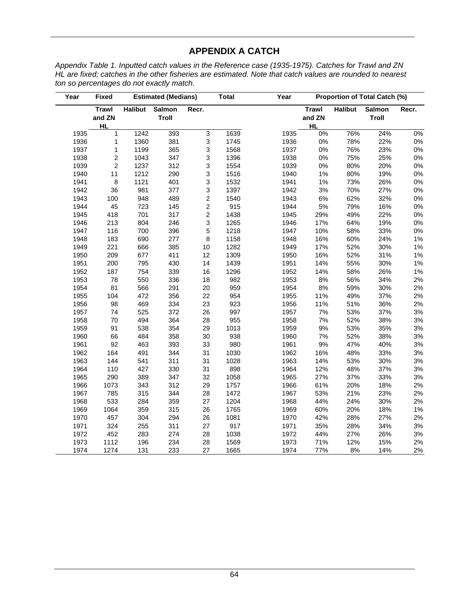## **APPENDIX A CATCH**

*Appendix Table 1. Inputted catch values in the Reference case (1935-1975). Catches for Trawl and ZN HL are fixed; catches in the other fisheries are estimated. Note that catch values are rounded to nearest ton so percentages do not exactly match.* 

| Year | <b>Fixed</b>                        |                | <b>Estimated (Medians)</b> |                           | <b>Total</b> | Year |                                     |                | <b>Proportion of Total Catch (%)</b> |       |
|------|-------------------------------------|----------------|----------------------------|---------------------------|--------------|------|-------------------------------------|----------------|--------------------------------------|-------|
|      | <b>Trawl</b><br>and ZN<br><b>HL</b> | <b>Halibut</b> | <b>Salmon</b><br>Troll     | Recr.                     |              |      | <b>Trawl</b><br>and ZN<br><b>HL</b> | <b>Halibut</b> | <b>Salmon</b><br>Troll               | Recr. |
| 1935 | 1                                   | 1242           | 393                        | $\overline{3}$            | 1639         | 1935 | $0\%$                               | 76%            | 24%                                  | $0\%$ |
| 1936 | $\mathbf{1}$                        | 1360           | 381                        | $\ensuremath{\mathsf{3}}$ | 1745         | 1936 | $0\%$                               | 78%            | 22%                                  | $0\%$ |
| 1937 | 1                                   | 1199           | 365                        | $\mathsf 3$               | 1568         | 1937 | $0\%$                               | 76%            | 23%                                  | $0\%$ |
| 1938 | $\overline{c}$                      | 1043           | 347                        | 3                         | 1396         | 1938 | $0\%$                               | 75%            | 25%                                  | 0%    |
| 1939 | $\mathbf 2$                         | 1237           | 312                        | 3                         | 1554         | 1939 | 0%                                  | 80%            | 20%                                  | $0\%$ |
| 1940 | 11                                  | 1212           | 290                        | $\mathsf 3$               | 1516         | 1940 | $1\%$                               | 80%            | 19%                                  | $0\%$ |
| 1941 | 8                                   | 1121           | 401                        | $\ensuremath{\mathsf{3}}$ | 1532         | 1941 | 1%                                  | 73%            | 26%                                  | 0%    |
| 1942 | 36                                  | 981            | 377                        | 3                         | 1397         | 1942 | 3%                                  | 70%            | 27%                                  | $0\%$ |
| 1943 | 100                                 | 948            | 489                        | $\sqrt{2}$                | 1540         | 1943 | $6\%$                               | 62%            | 32%                                  | $0\%$ |
| 1944 | 45                                  | 723            | 145                        | $\overline{c}$            | 915          | 1944 | 5%                                  | 79%            | 16%                                  | $0\%$ |
| 1945 | 418                                 | 701            | 317                        | $\mathbf 2$               | 1438         | 1945 | 29%                                 | 49%            | 22%                                  | 0%    |
| 1946 | 213                                 | 804            | 246                        | $\mathsf 3$               | 1265         | 1946 | 17%                                 | 64%            | 19%                                  | $0\%$ |
| 1947 | 116                                 | 700            | 396                        | 5                         | 1218         | 1947 | 10%                                 | 58%            | 33%                                  | $0\%$ |
| 1948 | 183                                 | 690            | 277                        | 8                         | 1158         | 1948 | 16%                                 | 60%            | 24%                                  | $1\%$ |
| 1949 | 221                                 | 666            | 385                        | 10                        | 1282         | 1949 | 17%                                 | 52%            | 30%                                  | $1\%$ |
| 1950 | 209                                 | 677            | 411                        | 12                        | 1309         | 1950 | 16%                                 | 52%            | 31%                                  | 1%    |
| 1951 | 200                                 | 795            | 430                        | 14                        | 1439         | 1951 | 14%                                 | 55%            | 30%                                  | 1%    |
| 1952 | 187                                 | 754            | 339                        | 16                        | 1296         | 1952 | 14%                                 | 58%            | 26%                                  | $1\%$ |
| 1953 | 78                                  | 550            | 336                        | 18                        | 982          | 1953 | 8%                                  | 56%            | 34%                                  | 2%    |
| 1954 | 81                                  | 566            | 291                        | 20                        | 959          | 1954 | 8%                                  | 59%            | 30%                                  | 2%    |
| 1955 | 104                                 | 472            | 356                        | 22                        | 954          | 1955 | 11%                                 | 49%            | 37%                                  | 2%    |
| 1956 | 98                                  | 469            | 334                        | 23                        | 923          | 1956 | 11%                                 | 51%            | 36%                                  | 2%    |
| 1957 | 74                                  | 525            | 372                        | 26                        | 997          | 1957 | 7%                                  | 53%            | 37%                                  | 3%    |
| 1958 | 70                                  | 494            | 364                        | 28                        | 955          | 1958 | 7%                                  | 52%            | 38%                                  | $3%$  |
| 1959 | 91                                  | 538            | 354                        | 29                        | 1013         | 1959 | $9\%$                               | 53%            | 35%                                  | 3%    |
| 1960 | 66                                  | 484            | 358                        | 30                        | 938          | 1960 | 7%                                  | 52%            | 38%                                  | 3%    |
| 1961 | 92                                  | 463            | 393                        | 33                        | 980          | 1961 | $9\%$                               | 47%            | 40%                                  | 3%    |
| 1962 | 164                                 | 491            | 344                        | 31                        | 1030         | 1962 | 16%                                 | 48%            | 33%                                  | 3%    |
| 1963 | 144                                 | 541            | 311                        | 31                        | 1028         | 1963 | 14%                                 | 53%            | 30%                                  | 3%    |
| 1964 | 110                                 | 427            | 330                        | 31                        | 898          | 1964 | 12%                                 | 48%            | 37%                                  | $3%$  |
| 1965 | 290                                 | 389            | 347                        | 32                        | 1058         | 1965 | 27%                                 | 37%            | 33%                                  | 3%    |
| 1966 | 1073                                | 343            | 312                        | 29                        | 1757         | 1966 | 61%                                 | 20%            | 18%                                  | 2%    |
| 1967 | 785                                 | 315            | 344                        | 28                        | 1472         | 1967 | 53%                                 | 21%            | 23%                                  | 2%    |
| 1968 | 533                                 | 284            | 359                        | 27                        | 1204         | 1968 | 44%                                 | 24%            | 30%                                  | 2%    |
| 1969 | 1064                                | 359            | 315                        | 26                        | 1765         | 1969 | 60%                                 | 20%            | 18%                                  | 1%    |
| 1970 | 457                                 | 304            | 294                        | 26                        | 1081         | 1970 | 42%                                 | 28%            | 27%                                  | 2%    |
| 1971 | 324                                 | 255            | 311                        | 27                        | 917          | 1971 | 35%                                 | 28%            | 34%                                  | 3%    |
| 1972 | 452                                 | 283            | 274                        | 28                        | 1038         | 1972 | 44%                                 | 27%            | 26%                                  | 3%    |
| 1973 | 1112                                | 196            | 234                        | 28                        | 1569         | 1973 | 71%                                 | 12%            | 15%                                  | 2%    |
| 1974 | 1274                                | 131            | 233                        | 27                        | 1665         | 1974 | 77%                                 | 8%             | 14%                                  | 2%    |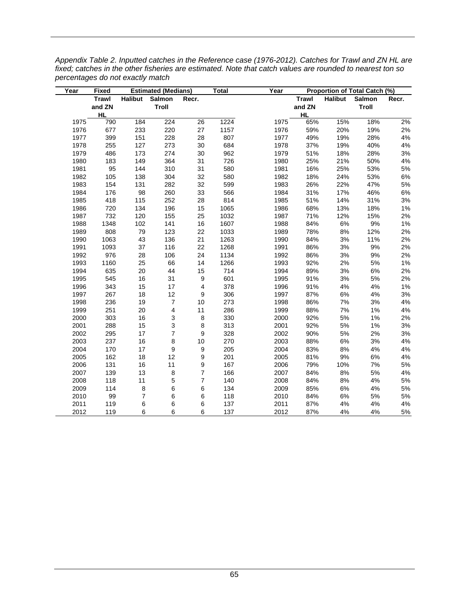| Year | <b>Fixed</b> |                         | <b>Estimated (Medians)</b> |                  | <b>Total</b> | Year |           |                | Proportion of Total Catch (%) |       |
|------|--------------|-------------------------|----------------------------|------------------|--------------|------|-----------|----------------|-------------------------------|-------|
|      | Trawl        | <b>Halibut</b>          | Salmon                     | Recr.            |              |      | Trawl     | <b>Halibut</b> | Salmon                        | Recr. |
|      | and ZN       |                         | Troll                      |                  |              |      | and ZN    |                | Troll                         |       |
|      | <b>HL</b>    |                         |                            |                  |              |      | <b>HL</b> |                |                               |       |
| 1975 | 790          | 184                     | 224                        | 26               | 1224         | 1975 | 65%       | 15%            | 18%                           | 2%    |
| 1976 | 677          | 233                     | 220                        | 27               | 1157         | 1976 | 59%       | 20%            | 19%                           | 2%    |
| 1977 | 399          | 151                     | 228                        | 28               | 807          | 1977 | 49%       | 19%            | 28%                           | 4%    |
| 1978 | 255          | 127                     | 273                        | 30               | 684          | 1978 | 37%       | 19%            | 40%                           | 4%    |
| 1979 | 486          | 173                     | 274                        | 30               | 962          | 1979 | 51%       | 18%            | 28%                           | 3%    |
| 1980 | 183          | 149                     | 364                        | 31               | 726          | 1980 | 25%       | 21%            | 50%                           | $4\%$ |
| 1981 | 95           | 144                     | 310                        | 31               | 580          | 1981 | 16%       | 25%            | 53%                           | 5%    |
| 1982 | 105          | 138                     | 304                        | 32               | 580          | 1982 | 18%       | 24%            | 53%                           | $6\%$ |
| 1983 | 154          | 131                     | 282                        | 32               | 599          | 1983 | 26%       | 22%            | 47%                           | 5%    |
| 1984 | 176          | 98                      | 260                        | 33               | 566          | 1984 | 31%       | 17%            | 46%                           | 6%    |
| 1985 | 418          | 115                     | 252                        | 28               | 814          | 1985 | 51%       | 14%            | 31%                           | 3%    |
| 1986 | 720          | 134                     | 196                        | 15               | 1065         | 1986 | 68%       | 13%            | 18%                           | 1%    |
| 1987 | 732          | 120                     | 155                        | 25               | 1032         | 1987 | 71%       | 12%            | 15%                           | 2%    |
| 1988 | 1348         | 102                     | 141                        | 16               | 1607         | 1988 | 84%       | $6\%$          | 9%                            | $1\%$ |
| 1989 | 808          | 79                      | 123                        | 22               | 1033         | 1989 | 78%       | $8\%$          | 12%                           | 2%    |
| 1990 | 1063         | 43                      | 136                        | 21               | 1263         | 1990 | 84%       | 3%             | 11%                           | 2%    |
| 1991 | 1093         | 37                      | 116                        | 22               | 1268         | 1991 | 86%       | 3%             | 9%                            | 2%    |
| 1992 | 976          | 28                      | 106                        | 24               | 1134         | 1992 | 86%       | 3%             | 9%                            | 2%    |
| 1993 | 1160         | 25                      | 66                         | 14               | 1266         | 1993 | 92%       | 2%             | 5%                            | 1%    |
| 1994 | 635          | 20                      | 44                         | 15               | 714          | 1994 | 89%       | 3%             | 6%                            | 2%    |
| 1995 | 545          | 16                      | 31                         | 9                | 601          | 1995 | 91%       | 3%             | 5%                            | 2%    |
| 1996 | 343          | 15                      | 17                         | $\overline{4}$   | 378          | 1996 | 91%       | $4%$           | 4%                            | $1\%$ |
| 1997 | 267          | 18                      | 12                         | 9                | 306          | 1997 | 87%       | 6%             | 4%                            | 3%    |
| 1998 | 236          | 19                      | $\boldsymbol{7}$           | 10               | 273          | 1998 | 86%       | 7%             | 3%                            | 4%    |
| 1999 | 251          | 20                      | 4                          | 11               | 286          | 1999 | 88%       | 7%             | 1%                            | 4%    |
| 2000 | 303          | 16                      | 3                          | 8                | 330          | 2000 | 92%       | 5%             | 1%                            | 2%    |
| 2001 | 288          | 15                      | 3                          | 8                | 313          | 2001 | 92%       | 5%             | 1%                            | 3%    |
| 2002 | 295          | 17                      | $\overline{\mathcal{I}}$   | 9                | 328          | 2002 | 90%       | 5%             | 2%                            | 3%    |
| 2003 | 237          | 16                      | 8                          | 10               | 270          | 2003 | 88%       | $6\%$          | 3%                            | 4%    |
| 2004 | 170          | 17                      | 9                          | 9                | 205          | 2004 | 83%       | $8\%$          | 4%                            | 4%    |
| 2005 | 162          | 18                      | 12                         | 9                | 201          | 2005 | 81%       | 9%             | 6%                            | $4\%$ |
| 2006 | 131          | 16                      | 11                         | $\boldsymbol{9}$ | 167          | 2006 | 79%       | 10%            | 7%                            | 5%    |
| 2007 | 139          | 13                      | 8                          | $\overline{7}$   | 166          | 2007 | 84%       | $8%$           | 5%                            | 4%    |
| 2008 | 118          | 11                      | 5                          | $\overline{7}$   | 140          | 2008 | 84%       | 8%             | 4%                            | 5%    |
| 2009 | 114          | 8                       | 6                          | 6                | 134          | 2009 | 85%       | 6%             | 4%                            | 5%    |
| 2010 | 99           | $\overline{\mathbf{7}}$ | 6                          | 6                | 118          | 2010 | 84%       | 6%             | 5%                            | $5\%$ |
| 2011 | 119          | $\,6\,$                 | 6                          | 6                | 137          | 2011 | 87%       | 4%             | 4%                            | 4%    |
| 2012 | 119          | 6                       | 6                          | 6                | 137          | 2012 | 87%       | 4%             | 4%                            | $5\%$ |

*Appendix Table 2. Inputted catches in the Reference case (1976-2012). Catches for Trawl and ZN HL are fixed; catches in the other fisheries are estimated. Note that catch values are rounded to nearest ton so percentages do not exactly match*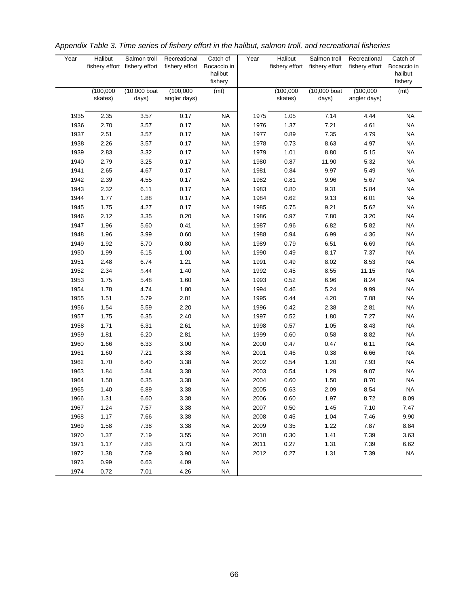| Year | <b>Halibut</b>       | Salmon troll<br>fishery effort fishery effort | Recreational<br>fishery effort | Catch of<br>Bocaccio in<br>halibut<br>fishery | Year | <b>Halibut</b>       | Salmon troll<br>fishery effort fishery effort | Recreational<br>fishery effort | Catch of<br>Bocaccio in<br>halibut<br>fishery |
|------|----------------------|-----------------------------------------------|--------------------------------|-----------------------------------------------|------|----------------------|-----------------------------------------------|--------------------------------|-----------------------------------------------|
|      | (100,000)<br>skates) | (10,000 boat<br>days)                         | (100,000)<br>angler days)      | (mt)                                          |      | (100,000)<br>skates) | (10,000 boat<br>days)                         | (100,000)<br>angler days)      | (mt)                                          |
| 1935 | 2.35                 | 3.57                                          | 0.17                           | <b>NA</b>                                     | 1975 | 1.05                 | 7.14                                          | 4.44                           | <b>NA</b>                                     |
| 1936 | 2.70                 | 3.57                                          | 0.17                           | <b>NA</b>                                     | 1976 | 1.37                 | 7.21                                          | 4.61                           | <b>NA</b>                                     |
| 1937 | 2.51                 | 3.57                                          | 0.17                           | <b>NA</b>                                     | 1977 | 0.89                 | 7.35                                          | 4.79                           | <b>NA</b>                                     |
| 1938 | 2.26                 | 3.57                                          | 0.17                           | <b>NA</b>                                     | 1978 | 0.73                 | 8.63                                          | 4.97                           | <b>NA</b>                                     |
| 1939 | 2.83                 | 3.32                                          | 0.17                           | <b>NA</b>                                     | 1979 | 1.01                 | 8.80                                          | 5.15                           | <b>NA</b>                                     |
| 1940 | 2.79                 | 3.25                                          | 0.17                           | <b>NA</b>                                     | 1980 | 0.87                 | 11.90                                         | 5.32                           | <b>NA</b>                                     |
| 1941 | 2.65                 | 4.67                                          | 0.17                           | <b>NA</b>                                     | 1981 | 0.84                 | 9.97                                          | 5.49                           | <b>NA</b>                                     |
| 1942 | 2.39                 | 4.55                                          | 0.17                           | <b>NA</b>                                     | 1982 | 0.81                 | 9.96                                          | 5.67                           | <b>NA</b>                                     |
| 1943 | 2.32                 | 6.11                                          | 0.17                           | <b>NA</b>                                     | 1983 | 0.80                 | 9.31                                          | 5.84                           | <b>NA</b>                                     |
| 1944 | 1.77                 | 1.88                                          | 0.17                           | <b>NA</b>                                     | 1984 | 0.62                 | 9.13                                          | 6.01                           | <b>NA</b>                                     |
| 1945 | 1.75                 | 4.27                                          | 0.17                           | <b>NA</b>                                     | 1985 | 0.75                 | 9.21                                          | 5.62                           | <b>NA</b>                                     |
| 1946 | 2.12                 | 3.35                                          | 0.20                           | <b>NA</b>                                     | 1986 | 0.97                 | 7.80                                          | 3.20                           | <b>NA</b>                                     |
| 1947 | 1.96                 | 5.60                                          | 0.41                           | <b>NA</b>                                     | 1987 | 0.96                 | 6.82                                          | 5.82                           | <b>NA</b>                                     |
| 1948 | 1.96                 | 3.99                                          | 0.60                           | <b>NA</b>                                     | 1988 | 0.94                 | 6.99                                          | 4.36                           | <b>NA</b>                                     |
| 1949 | 1.92                 | 5.70                                          | 0.80                           | <b>NA</b>                                     | 1989 | 0.79                 | 6.51                                          | 6.69                           | <b>NA</b>                                     |
| 1950 | 1.99                 | 6.15                                          | 1.00                           | <b>NA</b>                                     | 1990 | 0.49                 | 8.17                                          | 7.37                           | <b>NA</b>                                     |
| 1951 | 2.48                 | 6.74                                          | 1.21                           | <b>NA</b>                                     | 1991 | 0.49                 | 8.02                                          | 8.53                           | <b>NA</b>                                     |
| 1952 | 2.34                 | 5.44                                          | 1.40                           | <b>NA</b>                                     | 1992 | 0.45                 | 8.55                                          | 11.15                          | <b>NA</b>                                     |
| 1953 | 1.75                 | 5.48                                          | 1.60                           | <b>NA</b>                                     | 1993 | 0.52                 | 6.96                                          | 8.24                           | <b>NA</b>                                     |
| 1954 | 1.78                 | 4.74                                          | 1.80                           | <b>NA</b>                                     | 1994 | 0.46                 | 5.24                                          | 9.99                           | <b>NA</b>                                     |
| 1955 | 1.51                 | 5.79                                          | 2.01                           | <b>NA</b>                                     | 1995 | 0.44                 | 4.20                                          | 7.08                           | <b>NA</b>                                     |
| 1956 | 1.54                 | 5.59                                          | 2.20                           | <b>NA</b>                                     | 1996 | 0.42                 | 2.38                                          | 2.81                           | <b>NA</b>                                     |
| 1957 | 1.75                 | 6.35                                          | 2.40                           | <b>NA</b>                                     | 1997 | 0.52                 | 1.80                                          | 7.27                           | <b>NA</b>                                     |
| 1958 | 1.71                 | 6.31                                          | 2.61                           | <b>NA</b>                                     | 1998 | 0.57                 | 1.05                                          | 8.43                           | <b>NA</b>                                     |
| 1959 | 1.81                 | 6.20                                          | 2.81                           | <b>NA</b>                                     | 1999 | 0.60                 | 0.58                                          | 8.82                           | <b>NA</b>                                     |
| 1960 | 1.66                 | 6.33                                          | 3.00                           | <b>NA</b>                                     | 2000 | 0.47                 | 0.47                                          | 6.11                           | <b>NA</b>                                     |
| 1961 | 1.60                 | 7.21                                          | 3.38                           | <b>NA</b>                                     | 2001 | 0.46                 | 0.38                                          | 6.66                           | <b>NA</b>                                     |
| 1962 | 1.70                 | 6.40                                          | 3.38                           | <b>NA</b>                                     | 2002 | 0.54                 | 1.20                                          | 7.93                           | <b>NA</b>                                     |
| 1963 | 1.84                 | 5.84                                          | 3.38                           | <b>NA</b>                                     | 2003 | 0.54                 | 1.29                                          | 9.07                           | <b>NA</b>                                     |
| 1964 | 1.50                 | 6.35                                          | 3.38                           | <b>NA</b>                                     | 2004 | 0.60                 | 1.50                                          | 8.70                           | <b>NA</b>                                     |
| 1965 | 1.40                 | 6.89                                          | 3.38                           | <b>NA</b>                                     | 2005 | 0.63                 | 2.09                                          | 8.54                           | <b>NA</b>                                     |
| 1966 | 1.31                 | 6.60                                          | 3.38                           | NA.                                           | 2006 | 0.60                 | 1.97                                          | 8.72                           | 8.09                                          |
| 1967 | 1.24                 | 7.57                                          | 3.38                           | <b>NA</b>                                     | 2007 | 0.50                 | 1.45                                          | 7.10                           | 7.47                                          |
| 1968 | 1.17                 | 7.66                                          | 3.38                           | <b>NA</b>                                     | 2008 | 0.45                 | 1.04                                          | 7.46                           | 9.90                                          |
| 1969 | 1.58                 | 7.38                                          | 3.38                           | <b>NA</b>                                     | 2009 | 0.35                 | 1.22                                          | 7.87                           | 8.84                                          |
| 1970 | 1.37                 | 7.19                                          | 3.55                           | <b>NA</b>                                     | 2010 | 0.30                 | 1.41                                          | 7.39                           | 3.63                                          |
| 1971 | 1.17                 | 7.83                                          | 3.73                           | <b>NA</b>                                     | 2011 | 0.27                 | 1.31                                          | 7.39                           | 6.62                                          |
| 1972 | 1.38                 | 7.09                                          | 3.90                           | <b>NA</b>                                     | 2012 | 0.27                 | 1.31                                          | 7.39                           | <b>NA</b>                                     |
| 1973 | 0.99                 | 6.63                                          | 4.09                           | <b>NA</b>                                     |      |                      |                                               |                                |                                               |
| 1974 | 0.72                 | 7.01                                          | 4.26                           | <b>NA</b>                                     |      |                      |                                               |                                |                                               |

*Appendix Table 3. Time series of fishery effort in the halibut, salmon troll, and recreational fisheries*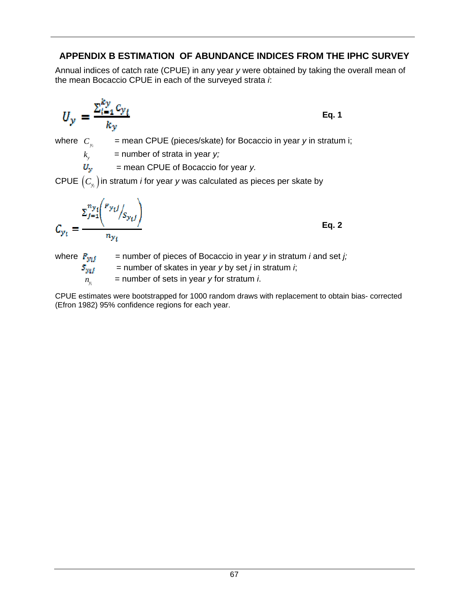## **APPENDIX B ESTIMATION OF ABUNDANCE INDICES FROM THE IPHC SURVEY**

Annual indices of catch rate (CPUE) in any year *y* were obtained by taking the overall mean of the mean Bocaccio CPUE in each of the surveyed strata *i*:

$$
U_{y} = \frac{\sum_{i=1}^{ky} c_{y_i}}{k_y}
$$
 Eq. 1

where  $C_{y_i}$  = mean CPUE (pieces/skate) for Bocaccio in year *y* in stratum i;

 $k_{y}$  = number of strata in year *y*;

 $U_y$  = mean CPUE of Bocaccio for year *y*.

CPUE  $(C_{y_i})$  in stratum *i* for year *y* was calculated as pieces per skate by

$$
C_{y_t} = \frac{\sum_{j=1}^{n_{y_t}} {p_{y_t j}}_{y_{y_t}}}{n_{y_t}}
$$

**Eq. 2** 

where  $P_{wij}$  = number of pieces of Bocaccio in year *y* in stratum *i* and set *j*;

 $S_{yif}$  = number of skates in year *y* by set *j* in stratum *i*;  $\overline{n_v}$  = number of sets in year *y* for stratum *i*.

CPUE estimates were bootstrapped for 1000 random draws with replacement to obtain bias- corrected (Efron 1982) 95% confidence regions for each year.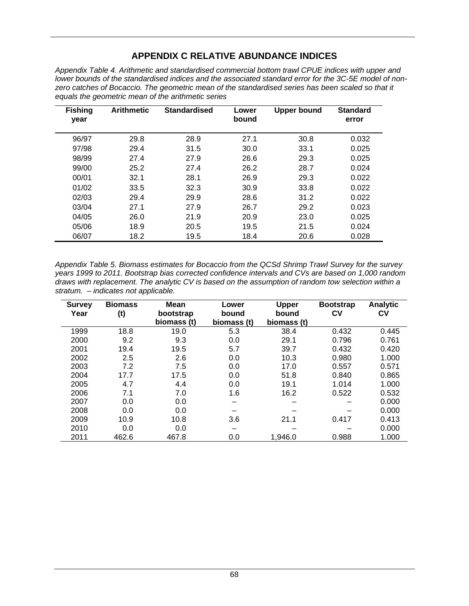## **APPENDIX C RELATIVE ABUNDANCE INDICES**

*Appendix Table 4. Arithmetic and standardised commercial bottom trawl CPUE indices with upper and lower bounds of the standardised indices and the associated standard error for the 3C-5E model of non*zero catches of Bocaccio. The geometric mean of the standardised series has been scaled so that it *equals the geometric mean of the arithmetic series* 

| <b>Fishing</b><br>year | <b>Arithmetic</b> | <b>Standardised</b> | Lower<br>bound | <b>Upper bound</b> | <b>Standard</b><br>error |
|------------------------|-------------------|---------------------|----------------|--------------------|--------------------------|
| 96/97                  | 29.8              | 28.9                | 27.1           | 30.8               | 0.032                    |
| 97/98                  | 29.4              | 31.5                | 30.0           | 33.1               | 0.025                    |
| 98/99                  | 27.4              | 27.9                | 26.6           | 29.3               | 0.025                    |
| 99/00                  | 25.2              | 27.4                | 26.2           | 28.7               | 0.024                    |
| 00/01                  | 32.1              | 28.1                | 26.9           | 29.3               | 0.022                    |
| 01/02                  | 33.5              | 32.3                | 30.9           | 33.8               | 0.022                    |
| 02/03                  | 29.4              | 29.9                | 28.6           | 31.2               | 0.022                    |
| 03/04                  | 27.1              | 27.9                | 26.7           | 29.2               | 0.023                    |
| 04/05                  | 26.0              | 21.9                | 20.9           | 23.0               | 0.025                    |
| 05/06                  | 18.9              | 20.5                | 19.5           | 21.5               | 0.024                    |
| 06/07                  | 18.2              | 19.5                | 18.4           | 20.6               | 0.028                    |

*Appendix Table 5. Biomass estimates for Bocaccio from the QCSd Shrimp Trawl Survey for the survey years 1999 to 2011. Bootstrap bias corrected confidence intervals and CVs are based on 1,000 random draws with replacement. The analytic CV is based on the assumption of random tow selection within a stratum. – indicates not applicable.* 

| <b>Survey</b><br>Year | <b>Biomass</b><br>(t) | Mean<br>bootstrap<br>biomass (t) | Lower<br>bound<br>biomass (t) | <b>Upper</b><br>bound<br>biomass (t) | <b>Bootstrap</b><br>СV | <b>Analytic</b><br>Cν |
|-----------------------|-----------------------|----------------------------------|-------------------------------|--------------------------------------|------------------------|-----------------------|
| 1999                  | 18.8                  | 19.0                             | 5.3                           | 38.4                                 | 0.432                  | 0.445                 |
| 2000                  | 9.2                   | 9.3                              | 0.0                           | 29.1                                 | 0.796                  | 0.761                 |
| 2001                  | 19.4                  | 19.5                             | 5.7                           | 39.7                                 | 0.432                  | 0.420                 |
| 2002                  | 2.5                   | 2.6                              | 0.0                           | 10.3                                 | 0.980                  | 1.000                 |
| 2003                  | 7.2                   | 7.5                              | 0.0                           | 17.0                                 | 0.557                  | 0.571                 |
| 2004                  | 17.7                  | 17.5                             | 0.0                           | 51.8                                 | 0.840                  | 0.865                 |
| 2005                  | 4.7                   | 4.4                              | 0.0                           | 19.1                                 | 1.014                  | 1.000                 |
| 2006                  | 7.1                   | 7.0                              | 1.6                           | 16.2                                 | 0.522                  | 0.532                 |
| 2007                  | 0.0                   | 0.0                              |                               |                                      |                        | 0.000                 |
| 2008                  | 0.0                   | 0.0                              |                               |                                      |                        | 0.000                 |
| 2009                  | 10.9                  | 10.8                             | 3.6                           | 21.1                                 | 0.417                  | 0.413                 |
| 2010                  | 0.0                   | 0.0                              |                               |                                      |                        | 0.000                 |
| 2011                  | 462.6                 | 467.8                            | 0.0                           | 1,946.0                              | 0.988                  | 1.000                 |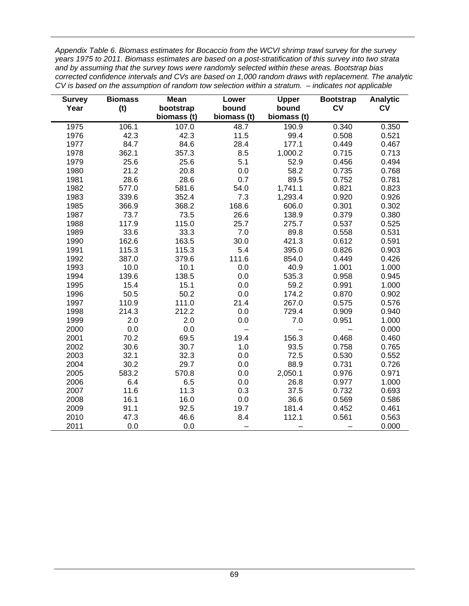*Appendix Table 6. Biomass estimates for Bocaccio from the WCVI shrimp trawl survey for the survey years 1975 to 2011. Biomass estimates are based on a post-stratification of this survey into two strata and by assuming that the survey tows were randomly selected within these areas. Bootstrap bias corrected confidence intervals and CVs are based on 1,000 random draws with replacement. The analytic CV is based on the assumption of random tow selection within a stratum. – indicates not applicable* 

| <b>Survey</b> | <b>Biomass</b> | <b>Mean</b> | Lower       | <b>Upper</b> | <b>Bootstrap</b> | <b>Analytic</b> |
|---------------|----------------|-------------|-------------|--------------|------------------|-----------------|
| Year          | (t)            | bootstrap   | bound       | bound        | <b>CV</b>        | <b>CV</b>       |
|               |                | biomass (t) | biomass (t) | biomass (t)  |                  |                 |
| 1975          | 106.1          | 107.0       | 48.7        | 190.9        | 0.340            | 0.350           |
| 1976          | 42.3           | 42.3        | 11.5        | 99.4         | 0.508            | 0.521           |
| 1977          | 84.7           | 84.6        | 28.4        | 177.1        | 0.449            | 0.467           |
| 1978          | 362.1          | 357.3       | 8.5         | 1,000.2      | 0.715            | 0.713           |
| 1979          | 25.6           | 25.6        | 5.1         | 52.9         | 0.456            | 0.494           |
| 1980          | 21.2           | 20.8        | 0.0         | 58.2         | 0.735            | 0.768           |
| 1981          | 28.6           | 28.6        | 0.7         | 89.5         | 0.752            | 0.781           |
| 1982          | 577.0          | 581.6       | 54.0        | 1,741.1      | 0.821            | 0.823           |
| 1983          | 339.6          | 352.4       | 7.3         | 1,293.4      | 0.920            | 0.926           |
| 1985          | 366.9          | 368.2       | 168.6       | 606.0        | 0.301            | 0.302           |
| 1987          | 73.7           | 73.5        | 26.6        | 138.9        | 0.379            | 0.380           |
| 1988          | 117.9          | 115.0       | 25.7        | 275.7        | 0.537            | 0.525           |
| 1989          | 33.6           | 33.3        | 7.0         | 89.8         | 0.558            | 0.531           |
| 1990          | 162.6          | 163.5       | 30.0        | 421.3        | 0.612            | 0.591           |
| 1991          | 115.3          | 115.3       | 5.4         | 395.0        | 0.826            | 0.903           |
| 1992          | 387.0          | 379.6       | 111.6       | 854.0        | 0.449            | 0.426           |
| 1993          | 10.0           | 10.1        | 0.0         | 40.9         | 1.001            | 1.000           |
| 1994          | 139.6          | 138.5       | 0.0         | 535.3        | 0.958            | 0.945           |
| 1995          | 15.4           | 15.1        | 0.0         | 59.2         | 0.991            | 1.000           |
| 1996          | 50.5           | 50.2        | 0.0         | 174.2        | 0.870            | 0.902           |
| 1997          | 110.9          | 111.0       | 21.4        | 267.0        | 0.575            | 0.576           |
| 1998          | 214.3          | 212.2       | 0.0         | 729.4        | 0.909            | 0.940           |
| 1999          | 2.0            | 2.0         | 0.0         | 7.0          | 0.951            | 1.000           |
| 2000          | 0.0            | 0.0         |             |              |                  | 0.000           |
| 2001          | 70.2           | 69.5        | 19.4        | 156.3        | 0.468            | 0.460           |
| 2002          | 30.6           | 30.7        | 1.0         | 93.5         | 0.758            | 0.765           |
| 2003          | 32.1           | 32.3        | 0.0         | 72.5         | 0.530            | 0.552           |
| 2004          | 30.2           | 29.7        | 0.0         | 88.9         | 0.731            | 0.726           |
| 2005          | 583.2          | 570.8       | 0.0         | 2,050.1      | 0.976            | 0.971           |
| 2006          | 6.4            | 6.5         | 0.0         | 26.8         | 0.977            | 1.000           |
| 2007          | 11.6           | 11.3        | 0.3         | 37.5         | 0.732            | 0.693           |
| 2008          | 16.1           | 16.0        | 0.0         | 36.6         | 0.569            | 0.586           |
| 2009          | 91.1           | 92.5        | 19.7        | 181.4        | 0.452            | 0.461           |
| 2010          | 47.3           | 46.6        | 8.4         | 112.1        | 0.561            | 0.563           |
| 2011          | 0.0            | 0.0         |             |              |                  | 0.000           |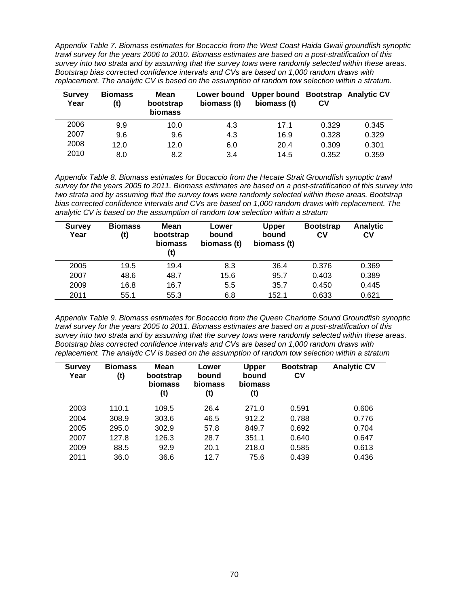*Appendix Table 7. Biomass estimates for Bocaccio from the West Coast Haida Gwaii groundfish synoptic trawl survey for the years 2006 to 2010. Biomass estimates are based on a post-stratification of this survey into two strata and by assuming that the survey tows were randomly selected within these areas. Bootstrap bias corrected confidence intervals and CVs are based on 1,000 random draws with replacement. The analytic CV is based on the assumption of random tow selection within a stratum.* 

| <b>Survey</b><br>Year | <b>Biomass</b><br>(t) | Mean<br>bootstrap<br>biomass | Lower bound<br>biomass (t) | Upper bound Bootstrap Analytic CV<br>biomass (t) | СV    |       |
|-----------------------|-----------------------|------------------------------|----------------------------|--------------------------------------------------|-------|-------|
| 2006                  | 9.9                   | 10.0                         | 4.3                        | 17.1                                             | 0.329 | 0.345 |
| 2007                  | 9.6                   | 9.6                          | 4.3                        | 16.9                                             | 0.328 | 0.329 |
| 2008                  | 12.0                  | 12.0                         | 6.0                        | 20.4                                             | 0.309 | 0.301 |
| 2010                  | 8.0                   | 8.2                          | 3.4                        | 14.5                                             | 0.352 | 0.359 |

*Appendix Table 8. Biomass estimates for Bocaccio from the Hecate Strait Groundfish synoptic trawl survey for the years 2005 to 2011. Biomass estimates are based on a post-stratification of this survey into two strata and by assuming that the survey tows were randomly selected within these areas. Bootstrap bias corrected confidence intervals and CVs are based on 1,000 random draws with replacement. The analytic CV is based on the assumption of random tow selection within a stratum* 

| <b>Survey</b><br>Year | <b>Biomass</b><br>(t) | Mean<br>bootstrap<br>biomass<br>(t) | Lower<br>bound<br>biomass (t) | <b>Upper</b><br>bound<br>biomass (t) | <b>Bootstrap</b><br>СV | <b>Analytic</b><br>CV |
|-----------------------|-----------------------|-------------------------------------|-------------------------------|--------------------------------------|------------------------|-----------------------|
| 2005                  | 19.5                  | 19.4                                | 8.3                           | 36.4                                 | 0.376                  | 0.369                 |
| 2007                  | 48.6                  | 48.7                                | 15.6                          | 95.7                                 | 0.403                  | 0.389                 |
| 2009                  | 16.8                  | 16.7                                | 5.5                           | 35.7                                 | 0.450                  | 0.445                 |
| 2011                  | 55.1                  | 55.3                                | 6.8                           | 152.1                                | 0.633                  | 0.621                 |

*Appendix Table 9. Biomass estimates for Bocaccio from the Queen Charlotte Sound Groundfish synoptic trawl survey for the years 2005 to 2011. Biomass estimates are based on a post-stratification of this survey into two strata and by assuming that the survey tows were randomly selected within these areas. Bootstrap bias corrected confidence intervals and CVs are based on 1,000 random draws with replacement. The analytic CV is based on the assumption of random tow selection within a stratum* 

| <b>Survey</b><br>Year | <b>Biomass</b><br>(t) | Mean<br>bootstrap<br>biomass<br>(t) | Lower<br>bound<br>biomass<br>(t) | <b>Upper</b><br>bound<br>biomass<br>(t) | <b>Bootstrap</b><br>CV | <b>Analytic CV</b> |
|-----------------------|-----------------------|-------------------------------------|----------------------------------|-----------------------------------------|------------------------|--------------------|
| 2003                  | 110.1                 | 109.5                               | 26.4                             | 271.0                                   | 0.591                  | 0.606              |
| 2004                  | 308.9                 | 303.6                               | 46.5                             | 912.2                                   | 0.788                  | 0.776              |
| 2005                  | 295.0                 | 302.9                               | 57.8                             | 849.7                                   | 0.692                  | 0.704              |
| 2007                  | 127.8                 | 126.3                               | 28.7                             | 351.1                                   | 0.640                  | 0.647              |
| 2009                  | 88.5                  | 92.9                                | 20.1                             | 218.0                                   | 0.585                  | 0.613              |
| 2011                  | 36.0                  | 36.6                                | 12.7                             | 75.6                                    | 0.439                  | 0.436              |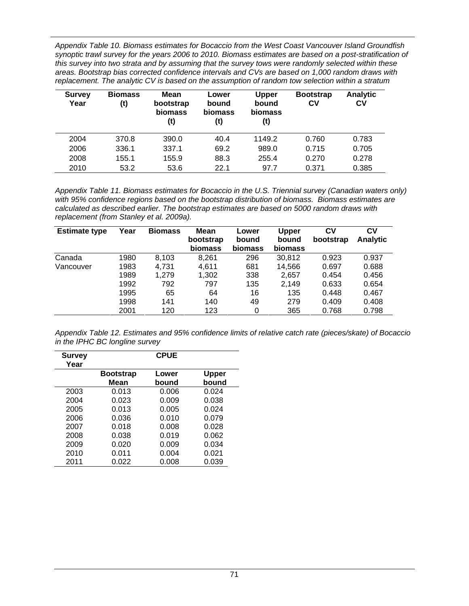*Appendix Table 10. Biomass estimates for Bocaccio from the West Coast Vancouver Island Groundfish synoptic trawl survey for the years 2006 to 2010. Biomass estimates are based on a post-stratification of this survey into two strata and by assuming that the survey tows were randomly selected within these areas. Bootstrap bias corrected confidence intervals and CVs are based on 1,000 random draws with replacement. The analytic CV is based on the assumption of random tow selection within a stratum* 

| <b>Survey</b><br>Year | <b>Biomass</b><br>(t) | Mean<br>bootstrap<br>biomass<br>(t) | Lower<br>bound<br>biomass<br>(t) | <b>Upper</b><br>bound<br><b>biomass</b><br>(t) | <b>Bootstrap</b><br>Cν | Analytic<br>CV |
|-----------------------|-----------------------|-------------------------------------|----------------------------------|------------------------------------------------|------------------------|----------------|
| 2004                  | 370.8                 | 390.0                               | 40.4                             | 1149.2                                         | 0.760                  | 0.783          |
| 2006                  | 336.1                 | 337.1                               | 69.2                             | 989.0                                          | 0.715                  | 0.705          |
| 2008                  | 155.1                 | 155.9                               | 88.3                             | 255.4                                          | 0.270                  | 0.278          |
| 2010                  | 53.2                  | 53.6                                | 22.1                             | 97.7                                           | 0.371                  | 0.385          |

*Appendix Table 11. Biomass estimates for Bocaccio in the U.S. Triennial survey (Canadian waters only) with 95% confidence regions based on the bootstrap distribution of biomass. Biomass estimates are calculated as described earlier. The bootstrap estimates are based on 5000 random draws with replacement (from Stanley et al. 2009a).* 

| <b>Estimate type</b> | Year | <b>Biomass</b> | Mean<br>bootstrap<br>biomass | Lower<br>bound<br>biomass | Upper<br>bound<br>biomass | CV<br>bootstrap | C٧<br><b>Analytic</b> |
|----------------------|------|----------------|------------------------------|---------------------------|---------------------------|-----------------|-----------------------|
| Canada               | 1980 | 8,103          | 8.261                        | 296                       | 30,812                    | 0.923           | 0.937                 |
| Vancouver            | 1983 | 4,731          | 4.611                        | 681                       | 14,566                    | 0.697           | 0.688                 |
|                      | 1989 | 1.279          | 1,302                        | 338                       | 2,657                     | 0.454           | 0.456                 |
|                      | 1992 | 792            | 797                          | 135                       | 2,149                     | 0.633           | 0.654                 |
|                      | 1995 | 65             | 64                           | 16                        | 135                       | 0.448           | 0.467                 |
|                      | 1998 | 141            | 140                          | 49                        | 279                       | 0.409           | 0.408                 |
|                      | 2001 | 120            | 123                          | 0                         | 365                       | 0.768           | 0.798                 |

*Appendix Table 12. Estimates and 95% confidence limits of relative catch rate (pieces/skate) of Bocaccio in the IPHC BC longline survey* 

| <b>Survey</b><br>Year |                                 | <b>CPUE</b>    |                       |
|-----------------------|---------------------------------|----------------|-----------------------|
|                       | <b>Bootstrap</b><br><b>Mean</b> | Lower<br>bound | <b>Upper</b><br>bound |
|                       |                                 |                |                       |
| 2003                  | 0.013                           | 0.006          | 0.024                 |
| 2004                  | 0.023                           | 0.009          | 0.038                 |
| 2005                  | 0.013                           | 0.005          | 0.024                 |
| 2006                  | 0.036                           | 0.010          | 0.079                 |
| 2007                  | 0.018                           | 0.008          | 0.028                 |
| 2008                  | 0.038                           | 0.019          | 0.062                 |
| 2009                  | 0.020                           | 0.009          | 0.034                 |
| 2010                  | 0.011                           | 0.004          | 0.021                 |
| 2011                  | 0.022                           | 0.008          | 0.039                 |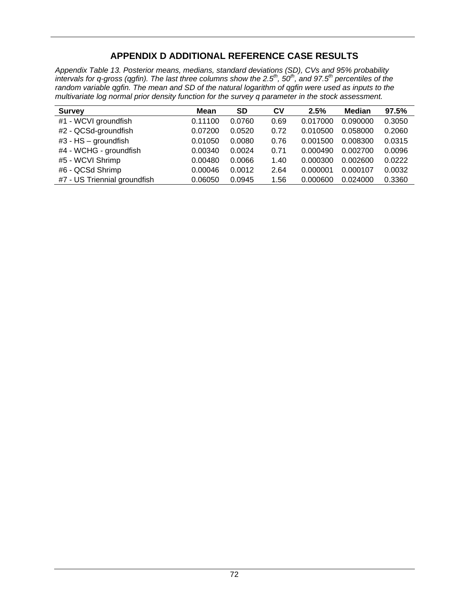## **APPENDIX D ADDITIONAL REFERENCE CASE RESULTS**

*Appendix Table 13. Posterior means, medians, standard deviations (SD), CVs and 95% probability intervals for q-gross (qgfin). The last three columns show the 2.5<sup>th</sup>, 50<sup>th</sup>, and 97.5<sup>th</sup> percentiles of the random variable qgfin. The mean and SD of the natural logarithm of qgfin were used as inputs to the multivariate log normal prior density function for the survey q parameter in the stock assessment.* 

| <b>Survey</b>                | Mean    | SD     | $c_{V}$ | 2.5%     | <b>Median</b> | 97.5%  |
|------------------------------|---------|--------|---------|----------|---------------|--------|
| #1 - WCVI groundfish         | 0.11100 | 0.0760 | 0.69    | 0.017000 | 0.090000      | 0.3050 |
| #2 - QCSd-groundfish         | 0.07200 | 0.0520 | 0.72    | 0.010500 | 0.058000      | 0.2060 |
| $#3$ - HS - groundfish       | 0.01050 | 0.0080 | 0.76    | 0.001500 | 0.008300      | 0.0315 |
| #4 - WCHG - groundfish       | 0.00340 | 0.0024 | 0.71    | 0.000490 | 0.002700      | 0.0096 |
| #5 - WCVI Shrimp             | 0.00480 | 0.0066 | 1.40    | 0.000300 | 0.002600      | 0.0222 |
| #6 - QCSd Shrimp             | 0.00046 | 0.0012 | 2.64    | 0.000001 | 0.000107      | 0.0032 |
| #7 - US Triennial groundfish | 0.06050 | 0.0945 | 1.56    | 0.000600 | 0.024000      | 0.3360 |